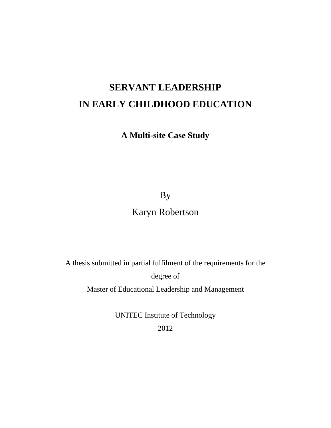# **SERVANT LEADERSHIP IN EARLY CHILDHOOD EDUCATION**

**A Multi-site Case Study** 

By

### Karyn Robertson

A thesis submitted in partial fulfilment of the requirements for the degree of

Master of Educational Leadership and Management

UNITEC Institute of Technology 2012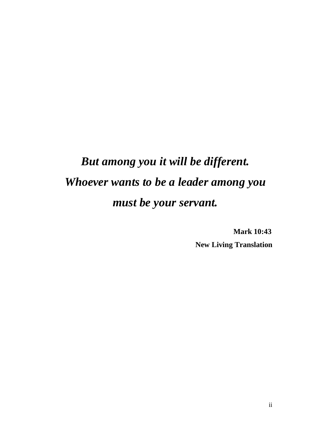# *But among you it will be different. Whoever wants to be a leader among you must be your servant.*

 **Mark 10:43 New Living Translation**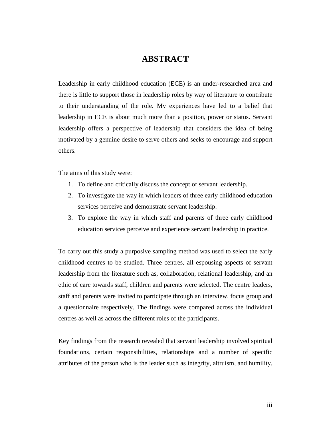### **ABSTRACT**

Leadership in early childhood education (ECE) is an under-researched area and there is little to support those in leadership roles by way of literature to contribute to their understanding of the role. My experiences have led to a belief that leadership in ECE is about much more than a position, power or status. Servant leadership offers a perspective of leadership that considers the idea of being motivated by a genuine desire to serve others and seeks to encourage and support others.

The aims of this study were:

- 1. To define and critically discuss the concept of servant leadership.
- 2. To investigate the way in which leaders of three early childhood education services perceive and demonstrate servant leadership.
- 3. To explore the way in which staff and parents of three early childhood education services perceive and experience servant leadership in practice.

To carry out this study a purposive sampling method was used to select the early childhood centres to be studied. Three centres, all espousing aspects of servant leadership from the literature such as, collaboration, relational leadership, and an ethic of care towards staff, children and parents were selected. The centre leaders, staff and parents were invited to participate through an interview, focus group and a questionnaire respectively. The findings were compared across the individual centres as well as across the different roles of the participants.

Key findings from the research revealed that servant leadership involved spiritual foundations, certain responsibilities, relationships and a number of specific attributes of the person who is the leader such as integrity, altruism, and humility.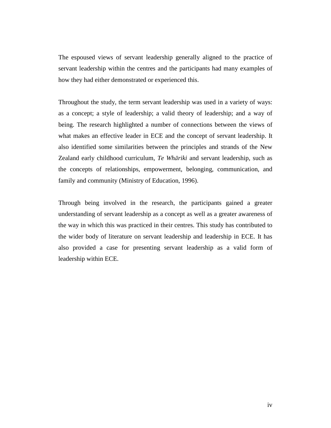The espoused views of servant leadership generally aligned to the practice of servant leadership within the centres and the participants had many examples of how they had either demonstrated or experienced this.

Throughout the study, the term servant leadership was used in a variety of ways: as a concept; a style of leadership; a valid theory of leadership; and a way of being. The research highlighted a number of connections between the views of what makes an effective leader in ECE and the concept of servant leadership. It also identified some similarities between the principles and strands of the New Zealand early childhood curriculum, *Te Whāriki* and servant leadership, such as the concepts of relationships, empowerment, belonging, communication, and family and community (Ministry of Education, 1996).

Through being involved in the research, the participants gained a greater understanding of servant leadership as a concept as well as a greater awareness of the way in which this was practiced in their centres. This study has contributed to the wider body of literature on servant leadership and leadership in ECE. It has also provided a case for presenting servant leadership as a valid form of leadership within ECE.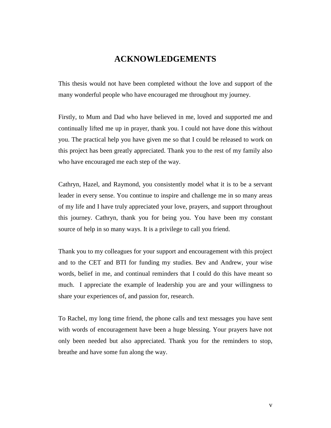### **ACKNOWLEDGEMENTS**

This thesis would not have been completed without the love and support of the many wonderful people who have encouraged me throughout my journey.

Firstly, to Mum and Dad who have believed in me, loved and supported me and continually lifted me up in prayer, thank you. I could not have done this without you. The practical help you have given me so that I could be released to work on this project has been greatly appreciated. Thank you to the rest of my family also who have encouraged me each step of the way.

Cathryn, Hazel, and Raymond, you consistently model what it is to be a servant leader in every sense. You continue to inspire and challenge me in so many areas of my life and I have truly appreciated your love, prayers, and support throughout this journey. Cathryn, thank you for being you. You have been my constant source of help in so many ways. It is a privilege to call you friend.

Thank you to my colleagues for your support and encouragement with this project and to the CET and BTI for funding my studies. Bev and Andrew, your wise words, belief in me, and continual reminders that I could do this have meant so much. I appreciate the example of leadership you are and your willingness to share your experiences of, and passion for, research.

To Rachel, my long time friend, the phone calls and text messages you have sent with words of encouragement have been a huge blessing. Your prayers have not only been needed but also appreciated. Thank you for the reminders to stop, breathe and have some fun along the way.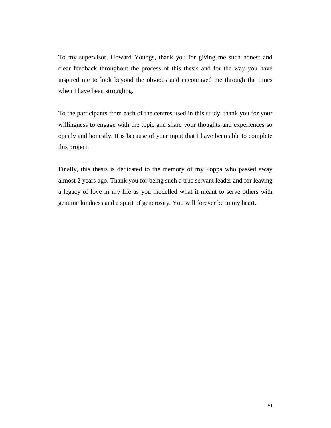To my supervisor, Howard Youngs, thank you for giving me such honest and clear feedback throughout the process of this thesis and for the way you have inspired me to look beyond the obvious and encouraged me through the times when I have been struggling.

To the participants from each of the centres used in this study, thank you for your willingness to engage with the topic and share your thoughts and experiences so openly and honestly. It is because of your input that I have been able to complete this project.

Finally, this thesis is dedicated to the memory of my Poppa who passed away almost 2 years ago. Thank you for being such a true servant leader and for leaving a legacy of love in my life as you modelled what it meant to serve others with genuine kindness and a spirit of generosity. You will forever be in my heart.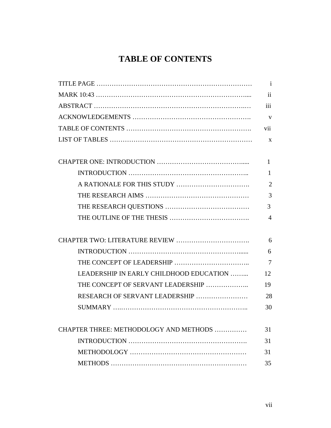### **TABLE OF CONTENTS**

|                                         | $\mathbf{i}$             |
|-----------------------------------------|--------------------------|
|                                         | $\overline{\mathbf{ii}}$ |
|                                         | iii                      |
|                                         | V                        |
|                                         | vii                      |
|                                         | X                        |
|                                         |                          |
|                                         | $\mathbf{1}$             |
|                                         | 1                        |
|                                         | $\overline{2}$           |
|                                         | 3                        |
|                                         | 3                        |
|                                         | $\overline{A}$           |
|                                         |                          |
|                                         | 6                        |
|                                         | 6                        |
|                                         | $\overline{7}$           |
| LEADERSHIP IN EARLY CHILDHOOD EDUCATION | 12                       |
| THE CONCEPT OF SERVANT LEADERSHIP       | 19                       |
| RESEARCH OF SERVANT LEADERSHIP          | 28                       |
|                                         | 30                       |
|                                         |                          |
| CHAPTER THREE: METHODOLOGY AND METHODS  | 31                       |
|                                         | 31                       |
|                                         | 31                       |
|                                         | 35                       |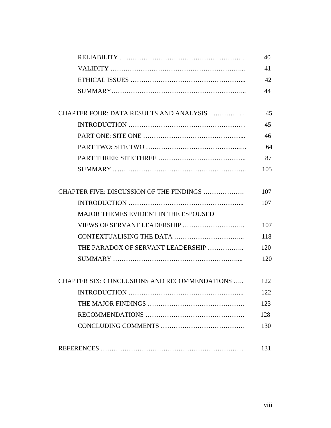|                                                      | 40  |
|------------------------------------------------------|-----|
|                                                      | 41  |
|                                                      | 42  |
|                                                      | 44  |
| CHAPTER FOUR: DATA RESULTS AND ANALYSIS              | 45  |
|                                                      | 45  |
|                                                      | 46  |
|                                                      | 64  |
|                                                      | 87  |
|                                                      | 105 |
| CHAPTER FIVE: DISCUSSION OF THE FINDINGS             | 107 |
|                                                      | 107 |
| <b>MAJOR THEMES EVIDENT IN THE ESPOUSED</b>          |     |
|                                                      | 107 |
|                                                      | 118 |
| THE PARADOX OF SERVANT LEADERSHIP                    | 120 |
|                                                      | 120 |
| <b>CHAPTER SIX: CONCLUSIONS AND RECOMMENDATIONS </b> | 122 |
|                                                      | 122 |
|                                                      | 123 |
|                                                      | 128 |
|                                                      | 130 |
|                                                      | 131 |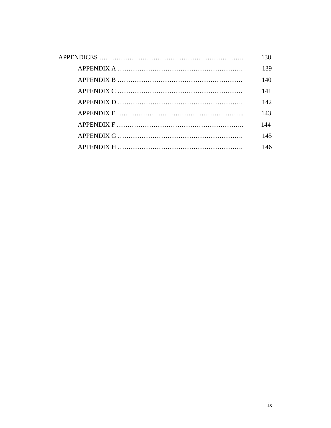| 138 |
|-----|
| 139 |
| 140 |
| 141 |
| 142 |
| 143 |
| 144 |
| 145 |
| 146 |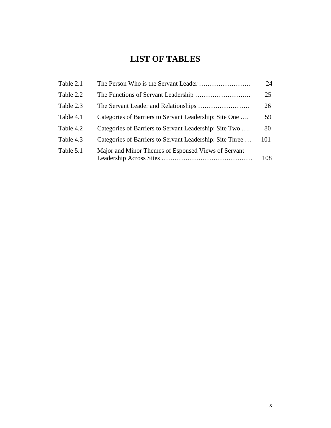### **LIST OF TABLES**

| Table 2.1 |                                                          | 24  |
|-----------|----------------------------------------------------------|-----|
| Table 2.2 |                                                          | 25  |
| Table 2.3 |                                                          | 26  |
| Table 4.1 | Categories of Barriers to Servant Leadership: Site One   | 59  |
| Table 4.2 | Categories of Barriers to Servant Leadership: Site Two   | 80  |
| Table 4.3 | Categories of Barriers to Servant Leadership: Site Three | 101 |
| Table 5.1 | Major and Minor Themes of Espoused Views of Servant      | 108 |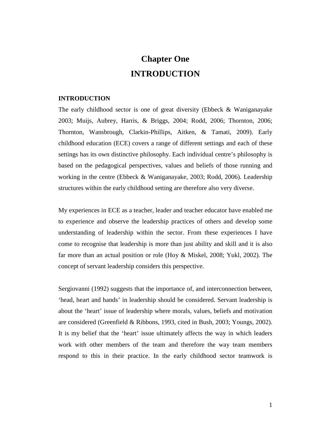## **Chapter One INTRODUCTION**

#### **INTRODUCTION**

The early childhood sector is one of great diversity (Ebbeck & Waniganayake 2003; Muijs, Aubrey, Harris, & Briggs, 2004; Rodd, 2006; Thornton, 2006; Thornton, Wansbrough, Clarkin-Phillips, Aitken, & Tamati, 2009). Early childhood education (ECE) covers a range of different settings and each of these settings has its own distinctive philosophy. Each individual centre's philosophy is based on the pedagogical perspectives, values and beliefs of those running and working in the centre (Ebbeck & Waniganayake, 2003; Rodd, 2006). Leadership structures within the early childhood setting are therefore also very diverse.

My experiences in ECE as a teacher, leader and teacher educator have enabled me to experience and observe the leadership practices of others and develop some understanding of leadership within the sector. From these experiences I have come to recognise that leadership is more than just ability and skill and it is also far more than an actual position or role (Hoy & Miskel, 2008; Yukl, 2002). The concept of servant leadership considers this perspective.

Sergiovanni (1992) suggests that the importance of, and interconnection between, 'head, heart and hands' in leadership should be considered. Servant leadership is about the 'heart' issue of leadership where morals, values, beliefs and motivation are considered (Greenfield & Ribbons, 1993, cited in Bush, 2003; Youngs, 2002). It is my belief that the 'heart' issue ultimately affects the way in which leaders work with other members of the team and therefore the way team members respond to this in their practice. In the early childhood sector teamwork is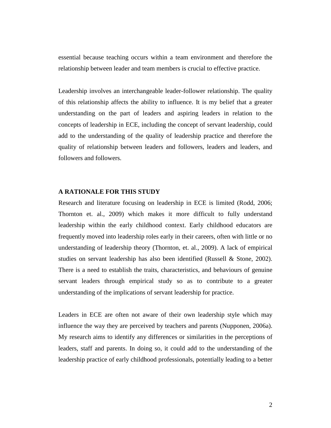essential because teaching occurs within a team environment and therefore the relationship between leader and team members is crucial to effective practice.

Leadership involves an interchangeable leader-follower relationship. The quality of this relationship affects the ability to influence. It is my belief that a greater understanding on the part of leaders and aspiring leaders in relation to the concepts of leadership in ECE, including the concept of servant leadership, could add to the understanding of the quality of leadership practice and therefore the quality of relationship between leaders and followers, leaders and leaders, and followers and followers.

#### **A RATIONALE FOR THIS STUDY**

Research and literature focusing on leadership in ECE is limited (Rodd, 2006; Thornton et. al., 2009) which makes it more difficult to fully understand leadership within the early childhood context. Early childhood educators are frequently moved into leadership roles early in their careers, often with little or no understanding of leadership theory (Thornton, et. al., 2009). A lack of empirical studies on servant leadership has also been identified (Russell & Stone, 2002). There is a need to establish the traits, characteristics, and behaviours of genuine servant leaders through empirical study so as to contribute to a greater understanding of the implications of servant leadership for practice.

Leaders in ECE are often not aware of their own leadership style which may influence the way they are perceived by teachers and parents (Nupponen, 2006a). My research aims to identify any differences or similarities in the perceptions of leaders, staff and parents. In doing so, it could add to the understanding of the leadership practice of early childhood professionals, potentially leading to a better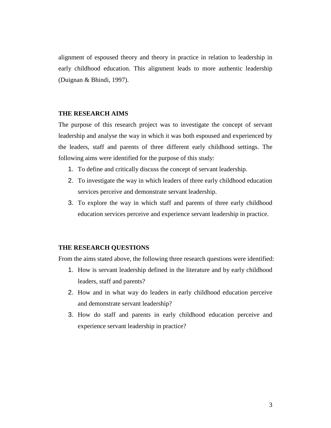alignment of espoused theory and theory in practice in relation to leadership in early childhood education. This alignment leads to more authentic leadership (Duignan & Bhindi, 1997).

#### **THE RESEARCH AIMS**

The purpose of this research project was to investigate the concept of servant leadership and analyse the way in which it was both espoused and experienced by the leaders, staff and parents of three different early childhood settings. The following aims were identified for the purpose of this study:

- 1. To define and critically discuss the concept of servant leadership.
- 2. To investigate the way in which leaders of three early childhood education services perceive and demonstrate servant leadership.
- 3. To explore the way in which staff and parents of three early childhood education services perceive and experience servant leadership in practice.

#### **THE RESEARCH QUESTIONS**

From the aims stated above, the following three research questions were identified:

- 1. How is servant leadership defined in the literature and by early childhood leaders, staff and parents?
- 2. How and in what way do leaders in early childhood education perceive and demonstrate servant leadership?
- 3. How do staff and parents in early childhood education perceive and experience servant leadership in practice?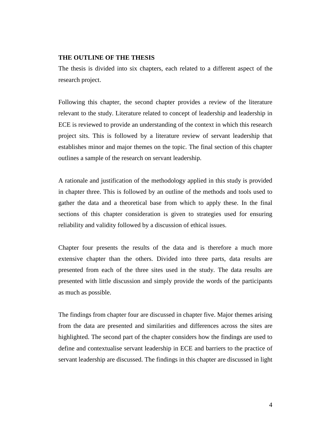#### **THE OUTLINE OF THE THESIS**

The thesis is divided into six chapters, each related to a different aspect of the research project.

Following this chapter, the second chapter provides a review of the literature relevant to the study. Literature related to concept of leadership and leadership in ECE is reviewed to provide an understanding of the context in which this research project sits. This is followed by a literature review of servant leadership that establishes minor and major themes on the topic. The final section of this chapter outlines a sample of the research on servant leadership.

A rationale and justification of the methodology applied in this study is provided in chapter three. This is followed by an outline of the methods and tools used to gather the data and a theoretical base from which to apply these. In the final sections of this chapter consideration is given to strategies used for ensuring reliability and validity followed by a discussion of ethical issues.

Chapter four presents the results of the data and is therefore a much more extensive chapter than the others. Divided into three parts, data results are presented from each of the three sites used in the study. The data results are presented with little discussion and simply provide the words of the participants as much as possible.

The findings from chapter four are discussed in chapter five. Major themes arising from the data are presented and similarities and differences across the sites are highlighted. The second part of the chapter considers how the findings are used to define and contextualise servant leadership in ECE and barriers to the practice of servant leadership are discussed. The findings in this chapter are discussed in light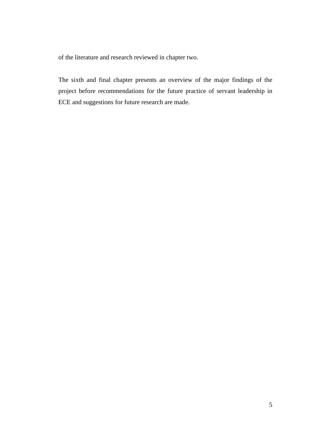of the literature and research reviewed in chapter two.

The sixth and final chapter presents an overview of the major findings of the project before recommendations for the future practice of servant leadership in ECE and suggestions for future research are made.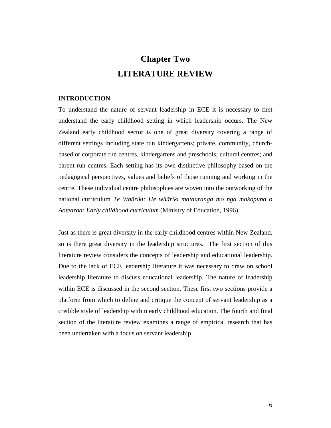## **Chapter Two LITERATURE REVIEW**

#### **INTRODUCTION**

To understand the nature of servant leadership in ECE it is necessary to first understand the early childhood setting in which leadership occurs. The New Zealand early childhood sector is one of great diversity covering a range of different settings including state run kindergartens; private, community, churchbased or corporate run centres, kindergartens and preschools; cultural centres; and parent run centres. Each setting has its own distinctive philosophy based on the pedagogical perspectives, values and beliefs of those running and working in the centre. These individual centre philosophies are woven into the outworking of the national curriculum *Te Whāriki: He whāriki matauranga mo nga mokopuna o Aotearoa: Early childhood curriculum* (Ministry of Education, 1996).

Just as there is great diversity in the early childhood centres within New Zealand, so is there great diversity in the leadership structures. The first section of this literature review considers the concepts of leadership and educational leadership. Due to the lack of ECE leadership literature it was necessary to draw on school leadership literature to discuss educational leadership. The nature of leadership within ECE is discussed in the second section. These first two sections provide a platform from which to define and critique the concept of servant leadership as a credible style of leadership within early childhood education. The fourth and final section of the literature review examines a range of empirical research that has been undertaken with a focus on servant leadership.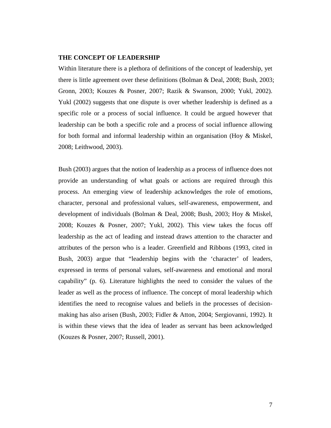#### **THE CONCEPT OF LEADERSHIP**

Within literature there is a plethora of definitions of the concept of leadership, yet there is little agreement over these definitions (Bolman & Deal, 2008; Bush, 2003; Gronn, 2003; Kouzes & Posner, 2007; Razik & Swanson, 2000; Yukl, 2002). Yukl (2002) suggests that one dispute is over whether leadership is defined as a specific role or a process of social influence. It could be argued however that leadership can be both a specific role and a process of social influence allowing for both formal and informal leadership within an organisation (Hoy & Miskel, 2008; Leithwood, 2003).

Bush (2003) argues that the notion of leadership as a process of influence does not provide an understanding of what goals or actions are required through this process. An emerging view of leadership acknowledges the role of emotions, character, personal and professional values, self-awareness, empowerment, and development of individuals (Bolman & Deal, 2008; Bush, 2003; Hoy & Miskel, 2008; Kouzes & Posner, 2007; Yukl, 2002). This view takes the focus off leadership as the act of leading and instead draws attention to the character and attributes of the person who is a leader. Greenfield and Ribbons (1993, cited in Bush, 2003) argue that "leadership begins with the 'character' of leaders, expressed in terms of personal values, self-awareness and emotional and moral capability" (p. 6). Literature highlights the need to consider the values of the leader as well as the process of influence. The concept of moral leadership which identifies the need to recognise values and beliefs in the processes of decisionmaking has also arisen (Bush, 2003; Fidler & Atton, 2004; Sergiovanni, 1992). It is within these views that the idea of leader as servant has been acknowledged (Kouzes & Posner, 2007; Russell, 2001).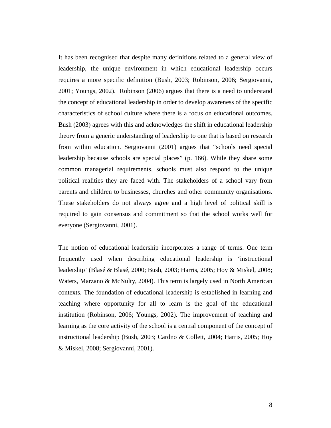It has been recognised that despite many definitions related to a general view of leadership, the unique environment in which educational leadership occurs requires a more specific definition (Bush, 2003; Robinson, 2006; Sergiovanni, 2001; Youngs, 2002). Robinson (2006) argues that there is a need to understand the concept of educational leadership in order to develop awareness of the specific characteristics of school culture where there is a focus on educational outcomes. Bush (2003) agrees with this and acknowledges the shift in educational leadership theory from a generic understanding of leadership to one that is based on research from within education. Sergiovanni (2001) argues that "schools need special leadership because schools are special places" (p. 166). While they share some common managerial requirements, schools must also respond to the unique political realities they are faced with. The stakeholders of a school vary from parents and children to businesses, churches and other community organisations. These stakeholders do not always agree and a high level of political skill is required to gain consensus and commitment so that the school works well for everyone (Sergiovanni, 2001).

The notion of educational leadership incorporates a range of terms. One term frequently used when describing educational leadership is 'instructional leadership' (Blasé & Blasé, 2000; Bush, 2003; Harris, 2005; Hoy & Miskel, 2008; Waters, Marzano & McNulty, 2004). This term is largely used in North American contexts. The foundation of educational leadership is established in learning and teaching where opportunity for all to learn is the goal of the educational institution (Robinson, 2006; Youngs, 2002). The improvement of teaching and learning as the core activity of the school is a central component of the concept of instructional leadership (Bush, 2003; Cardno & Collett, 2004; Harris, 2005; Hoy & Miskel, 2008; Sergiovanni, 2001).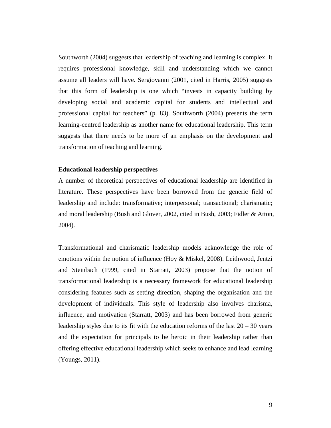Southworth (2004) suggests that leadership of teaching and learning is complex. It requires professional knowledge, skill and understanding which we cannot assume all leaders will have. Sergiovanni (2001, cited in Harris, 2005) suggests that this form of leadership is one which "invests in capacity building by developing social and academic capital for students and intellectual and professional capital for teachers" (p. 83). Southworth (2004) presents the term learning-centred leadership as another name for educational leadership. This term suggests that there needs to be more of an emphasis on the development and transformation of teaching and learning.

#### **Educational leadership perspectives**

A number of theoretical perspectives of educational leadership are identified in literature. These perspectives have been borrowed from the generic field of leadership and include: transformative; interpersonal; transactional; charismatic; and moral leadership (Bush and Glover, 2002, cited in Bush, 2003; Fidler & Atton, 2004).

Transformational and charismatic leadership models acknowledge the role of emotions within the notion of influence (Hoy & Miskel, 2008). Leithwood, Jentzi and Steinbach (1999, cited in Starratt, 2003) propose that the notion of transformational leadership is a necessary framework for educational leadership considering features such as setting direction, shaping the organisation and the development of individuals. This style of leadership also involves charisma, influence, and motivation (Starratt, 2003) and has been borrowed from generic leadership styles due to its fit with the education reforms of the last  $20 - 30$  years and the expectation for principals to be heroic in their leadership rather than offering effective educational leadership which seeks to enhance and lead learning (Youngs, 2011).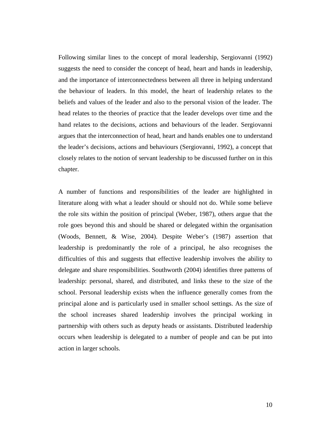Following similar lines to the concept of moral leadership, Sergiovanni (1992) suggests the need to consider the concept of head, heart and hands in leadership, and the importance of interconnectedness between all three in helping understand the behaviour of leaders. In this model, the heart of leadership relates to the beliefs and values of the leader and also to the personal vision of the leader. The head relates to the theories of practice that the leader develops over time and the hand relates to the decisions, actions and behaviours of the leader. Sergiovanni argues that the interconnection of head, heart and hands enables one to understand the leader's decisions, actions and behaviours (Sergiovanni, 1992), a concept that closely relates to the notion of servant leadership to be discussed further on in this chapter.

A number of functions and responsibilities of the leader are highlighted in literature along with what a leader should or should not do. While some believe the role sits within the position of principal (Weber, 1987), others argue that the role goes beyond this and should be shared or delegated within the organisation (Woods, Bennett, & Wise, 2004). Despite Weber's (1987) assertion that leadership is predominantly the role of a principal, he also recognises the difficulties of this and suggests that effective leadership involves the ability to delegate and share responsibilities. Southworth (2004) identifies three patterns of leadership: personal, shared, and distributed, and links these to the size of the school. Personal leadership exists when the influence generally comes from the principal alone and is particularly used in smaller school settings. As the size of the school increases shared leadership involves the principal working in partnership with others such as deputy heads or assistants. Distributed leadership occurs when leadership is delegated to a number of people and can be put into action in larger schools.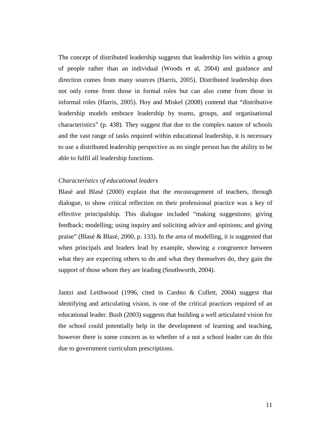The concept of distributed leadership suggests that leadership lies within a group of people rather than an individual (Woods et al, 2004) and guidance and direction comes from many sources (Harris, 2005). Distributed leadership does not only come from those in formal roles but can also come from those in informal roles (Harris, 2005). Hoy and Miskel (2008) contend that "distributive leadership models embrace leadership by teams, groups, and organisational characteristics" (p. 438). They suggest that due to the complex nature of schools and the vast range of tasks required within educational leadership, it is necessary to use a distributed leadership perspective as no single person has the ability to be able to fulfil all leadership functions.

#### *Characteristics of educational leaders*

Blasé and Blasé (2000) explain that the encouragement of teachers, through dialogue, to show critical reflection on their professional practice was a key of effective principalship. This dialogue included "making suggestions; giving feedback; modelling; using inquiry and soliciting advice and opinions; and giving praise" (Blasé & Blasé, 2000, p. 133). In the area of modelling, it is suggested that when principals and leaders lead by example, showing a congruence between what they are expecting others to do and what they themselves do, they gain the support of those whom they are leading (Southworth, 2004).

Jantzi and Leithwood (1996, cited in Cardno & Collett, 2004) suggest that identifying and articulating vision, is one of the critical practices required of an educational leader. Bush (2003) suggests that building a well articulated vision for the school could potentially help in the development of learning and teaching, however there is some concern as to whether of a not a school leader can do this due to government curriculum prescriptions.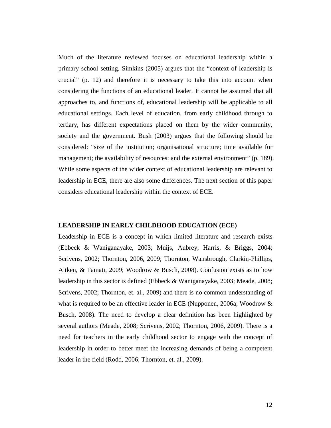Much of the literature reviewed focuses on educational leadership within a primary school setting. Simkins (2005) argues that the "context of leadership is crucial" (p. 12) and therefore it is necessary to take this into account when considering the functions of an educational leader. It cannot be assumed that all approaches to, and functions of, educational leadership will be applicable to all educational settings. Each level of education, from early childhood through to tertiary, has different expectations placed on them by the wider community, society and the government. Bush (2003) argues that the following should be considered: "size of the institution; organisational structure; time available for management; the availability of resources; and the external environment" (p. 189). While some aspects of the wider context of educational leadership are relevant to leadership in ECE, there are also some differences. The next section of this paper considers educational leadership within the context of ECE.

#### **LEADERSHIP IN EARLY CHILDHOOD EDUCATION (ECE)**

Leadership in ECE is a concept in which limited literature and research exists (Ebbeck & Waniganayake, 2003; Muijs, Aubrey, Harris, & Briggs, 2004; Scrivens, 2002; Thornton, 2006, 2009; Thornton, Wansbrough, Clarkin-Phillips, Aitken, & Tamati, 2009; Woodrow & Busch, 2008). Confusion exists as to how leadership in this sector is defined (Ebbeck & Waniganayake, 2003; Meade, 2008; Scrivens, 2002; Thornton, et. al., 2009) and there is no common understanding of what is required to be an effective leader in ECE (Nupponen, 2006a; Woodrow & Busch, 2008). The need to develop a clear definition has been highlighted by several authors (Meade, 2008; Scrivens, 2002; Thornton, 2006, 2009). There is a need for teachers in the early childhood sector to engage with the concept of leadership in order to better meet the increasing demands of being a competent leader in the field (Rodd, 2006; Thornton, et. al., 2009).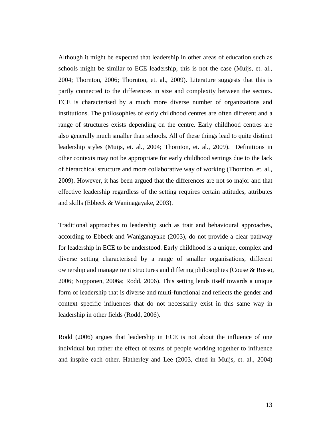Although it might be expected that leadership in other areas of education such as schools might be similar to ECE leadership, this is not the case (Muijs, et. al., 2004; Thornton, 2006; Thornton, et. al., 2009). Literature suggests that this is partly connected to the differences in size and complexity between the sectors. ECE is characterised by a much more diverse number of organizations and institutions. The philosophies of early childhood centres are often different and a range of structures exists depending on the centre. Early childhood centres are also generally much smaller than schools. All of these things lead to quite distinct leadership styles (Muijs, et. al., 2004; Thornton, et. al., 2009). Definitions in other contexts may not be appropriate for early childhood settings due to the lack of hierarchical structure and more collaborative way of working (Thornton, et. al., 2009). However, it has been argued that the differences are not so major and that effective leadership regardless of the setting requires certain attitudes, attributes and skills (Ebbeck & Waninagayake, 2003).

Traditional approaches to leadership such as trait and behavioural approaches, according to Ebbeck and Waniganayake (2003), do not provide a clear pathway for leadership in ECE to be understood. Early childhood is a unique, complex and diverse setting characterised by a range of smaller organisations, different ownership and management structures and differing philosophies (Couse & Russo, 2006; Nupponen, 2006a; Rodd, 2006). This setting lends itself towards a unique form of leadership that is diverse and multi-functional and reflects the gender and context specific influences that do not necessarily exist in this same way in leadership in other fields (Rodd, 2006).

Rodd (2006) argues that leadership in ECE is not about the influence of one individual but rather the effect of teams of people working together to influence and inspire each other. Hatherley and Lee (2003, cited in Muijs, et. al., 2004)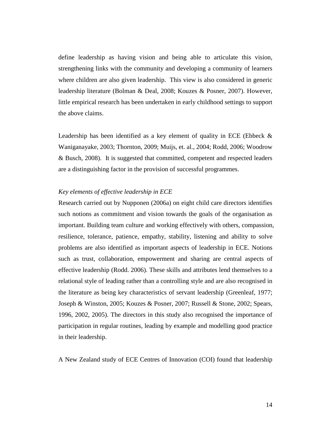define leadership as having vision and being able to articulate this vision, strengthening links with the community and developing a community of learners where children are also given leadership. This view is also considered in generic leadership literature (Bolman & Deal, 2008; Kouzes & Posner, 2007). However, little empirical research has been undertaken in early childhood settings to support the above claims.

Leadership has been identified as a key element of quality in ECE (Ebbeck  $\&$ Waniganayake, 2003; Thornton, 2009; Muijs, et. al., 2004; Rodd, 2006; Woodrow & Busch, 2008). It is suggested that committed, competent and respected leaders are a distinguishing factor in the provision of successful programmes.

#### *Key elements of effective leadership in ECE*

Research carried out by Nupponen (2006a) on eight child care directors identifies such notions as commitment and vision towards the goals of the organisation as important. Building team culture and working effectively with others, compassion, resilience, tolerance, patience, empathy, stability, listening and ability to solve problems are also identified as important aspects of leadership in ECE. Notions such as trust, collaboration, empowerment and sharing are central aspects of effective leadership (Rodd. 2006). These skills and attributes lend themselves to a relational style of leading rather than a controlling style and are also recognised in the literature as being key characteristics of servant leadership (Greenleaf, 1977; Joseph & Winston, 2005; Kouzes & Posner, 2007; Russell & Stone, 2002; Spears, 1996, 2002, 2005). The directors in this study also recognised the importance of participation in regular routines, leading by example and modelling good practice in their leadership.

A New Zealand study of ECE Centres of Innovation (COI) found that leadership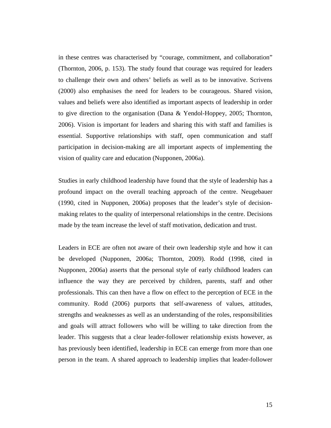in these centres was characterised by "courage, commitment, and collaboration" (Thornton, 2006, p. 153). The study found that courage was required for leaders to challenge their own and others' beliefs as well as to be innovative. Scrivens (2000) also emphasises the need for leaders to be courageous. Shared vision, values and beliefs were also identified as important aspects of leadership in order to give direction to the organisation (Dana & Yendol-Hoppey, 2005; Thornton, 2006). Vision is important for leaders and sharing this with staff and families is essential. Supportive relationships with staff, open communication and staff participation in decision-making are all important aspects of implementing the vision of quality care and education (Nupponen, 2006a).

Studies in early childhood leadership have found that the style of leadership has a profound impact on the overall teaching approach of the centre. Neugebauer (1990, cited in Nupponen, 2006a) proposes that the leader's style of decisionmaking relates to the quality of interpersonal relationships in the centre. Decisions made by the team increase the level of staff motivation, dedication and trust.

Leaders in ECE are often not aware of their own leadership style and how it can be developed (Nupponen, 2006a; Thornton, 2009). Rodd (1998, cited in Nupponen, 2006a) asserts that the personal style of early childhood leaders can influence the way they are perceived by children, parents, staff and other professionals. This can then have a flow on effect to the perception of ECE in the community. Rodd (2006) purports that self-awareness of values, attitudes, strengths and weaknesses as well as an understanding of the roles, responsibilities and goals will attract followers who will be willing to take direction from the leader. This suggests that a clear leader-follower relationship exists however, as has previously been identified, leadership in ECE can emerge from more than one person in the team. A shared approach to leadership implies that leader-follower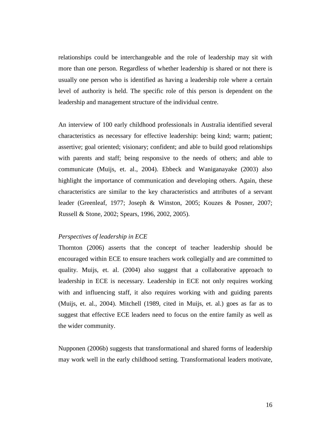relationships could be interchangeable and the role of leadership may sit with more than one person. Regardless of whether leadership is shared or not there is usually one person who is identified as having a leadership role where a certain level of authority is held. The specific role of this person is dependent on the leadership and management structure of the individual centre.

An interview of 100 early childhood professionals in Australia identified several characteristics as necessary for effective leadership: being kind; warm; patient; assertive; goal oriented; visionary; confident; and able to build good relationships with parents and staff; being responsive to the needs of others; and able to communicate (Muijs, et. al., 2004). Ebbeck and Waniganayake (2003) also highlight the importance of communication and developing others. Again, these characteristics are similar to the key characteristics and attributes of a servant leader (Greenleaf, 1977; Joseph & Winston, 2005; Kouzes & Posner, 2007; Russell & Stone, 2002; Spears, 1996, 2002, 2005).

#### *Perspectives of leadership in ECE*

Thornton (2006) asserts that the concept of teacher leadership should be encouraged within ECE to ensure teachers work collegially and are committed to quality. Muijs, et. al. (2004) also suggest that a collaborative approach to leadership in ECE is necessary. Leadership in ECE not only requires working with and influencing staff, it also requires working with and guiding parents (Muijs, et. al., 2004). Mitchell (1989, cited in Muijs, et. al.) goes as far as to suggest that effective ECE leaders need to focus on the entire family as well as the wider community.

Nupponen (2006b) suggests that transformational and shared forms of leadership may work well in the early childhood setting. Transformational leaders motivate,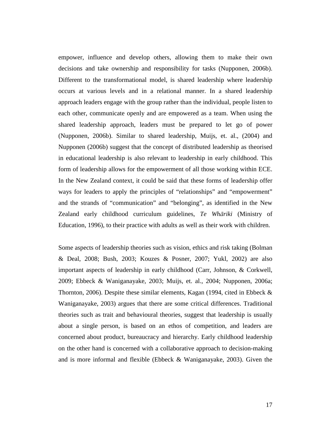empower, influence and develop others, allowing them to make their own decisions and take ownership and responsibility for tasks (Nupponen, 2006b). Different to the transformational model, is shared leadership where leadership occurs at various levels and in a relational manner. In a shared leadership approach leaders engage with the group rather than the individual, people listen to each other, communicate openly and are empowered as a team. When using the shared leadership approach, leaders must be prepared to let go of power (Nupponen, 2006b). Similar to shared leadership, Muijs, et. al., (2004) and Nupponen (2006b) suggest that the concept of distributed leadership as theorised in educational leadership is also relevant to leadership in early childhood. This form of leadership allows for the empowerment of all those working within ECE. In the New Zealand context, it could be said that these forms of leadership offer ways for leaders to apply the principles of "relationships" and "empowerment" and the strands of "communication" and "belonging", as identified in the New Zealand early childhood curriculum guidelines, *Te Whāriki* (Ministry of Education, 1996), to their practice with adults as well as their work with children.

Some aspects of leadership theories such as vision, ethics and risk taking (Bolman & Deal, 2008; Bush, 2003; Kouzes & Posner, 2007; Yukl, 2002) are also important aspects of leadership in early childhood (Carr, Johnson, & Corkwell, 2009; Ebbeck & Waniganayake, 2003; Muijs, et. al., 2004; Nupponen, 2006a; Thornton, 2006). Despite these similar elements, Kagan (1994, cited in Ebbeck  $\&$ Waniganayake, 2003) argues that there are some critical differences. Traditional theories such as trait and behavioural theories, suggest that leadership is usually about a single person, is based on an ethos of competition, and leaders are concerned about product, bureaucracy and hierarchy. Early childhood leadership on the other hand is concerned with a collaborative approach to decision-making and is more informal and flexible (Ebbeck & Waniganayake, 2003). Given the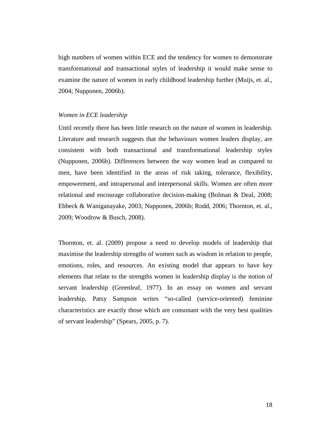high numbers of women within ECE and the tendency for women to demonstrate transformational and transactional styles of leadership it would make sense to examine the nature of women in early childhood leadership further (Muijs, et. al., 2004; Nupponen, 2006b).

#### *Women in ECE leadership*

Until recently there has been little research on the nature of women in leadership. Literature and research suggests that the behaviours women leaders display, are consistent with both transactional and transformational leadership styles (Nupponen, 2006b). Differences between the way women lead as compared to men, have been identified in the areas of risk taking, tolerance, flexibility, empowerment, and intrapersonal and interpersonal skills. Women are often more relational and encourage collaborative decision-making (Bolman & Deal, 2008; Ebbeck & Waniganayake, 2003; Nupponen, 2006b; Rodd, 2006; Thornton, et. al., 2009; Woodrow & Busch, 2008).

Thornton, et. al. (2009) propose a need to develop models of leadership that maximise the leadership strengths of women such as wisdom in relation to people, emotions, roles, and resources. An existing model that appears to have key elements that relate to the strengths women in leadership display is the notion of servant leadership (Greenleaf, 1977). In an essay on women and servant leadership, Patsy Sampson writes "so-called (service-oriented) feminine characteristics are exactly those which are consonant with the very best qualities of servant leadership" (Spears, 2005, p. 7).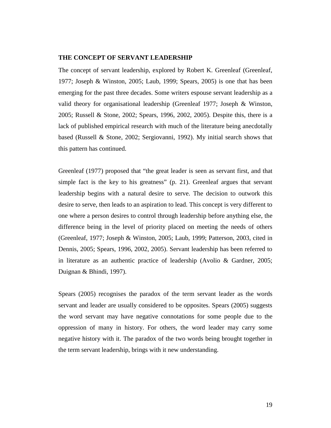#### **THE CONCEPT OF SERVANT LEADERSHIP**

The concept of servant leadership, explored by Robert K. Greenleaf (Greenleaf, 1977; Joseph & Winston, 2005; Laub, 1999; Spears, 2005) is one that has been emerging for the past three decades. Some writers espouse servant leadership as a valid theory for organisational leadership (Greenleaf 1977; Joseph & Winston, 2005; Russell & Stone, 2002; Spears, 1996, 2002, 2005). Despite this, there is a lack of published empirical research with much of the literature being anecdotally based (Russell & Stone, 2002; Sergiovanni, 1992). My initial search shows that this pattern has continued.

Greenleaf (1977) proposed that "the great leader is seen as servant first, and that simple fact is the key to his greatness" (p. 21). Greenleaf argues that servant leadership begins with a natural desire to serve. The decision to outwork this desire to serve, then leads to an aspiration to lead. This concept is very different to one where a person desires to control through leadership before anything else, the difference being in the level of priority placed on meeting the needs of others (Greenleaf, 1977; Joseph & Winston, 2005; Laub, 1999; Patterson, 2003, cited in Dennis, 2005; Spears, 1996, 2002, 2005). Servant leadership has been referred to in literature as an authentic practice of leadership (Avolio & Gardner, 2005; Duignan & Bhindi, 1997).

Spears (2005) recognises the paradox of the term servant leader as the words servant and leader are usually considered to be opposites. Spears (2005) suggests the word servant may have negative connotations for some people due to the oppression of many in history. For others, the word leader may carry some negative history with it. The paradox of the two words being brought together in the term servant leadership, brings with it new understanding.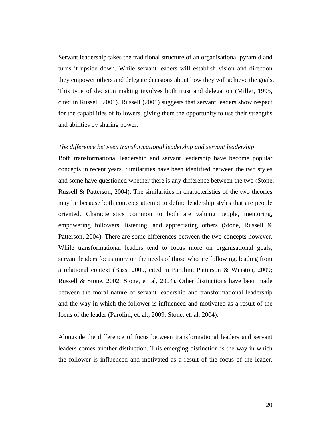Servant leadership takes the traditional structure of an organisational pyramid and turns it upside down. While servant leaders will establish vision and direction they empower others and delegate decisions about how they will achieve the goals. This type of decision making involves both trust and delegation (Miller, 1995, cited in Russell, 2001). Russell (2001) suggests that servant leaders show respect for the capabilities of followers, giving them the opportunity to use their strengths and abilities by sharing power.

#### *The difference between transformational leadership and servant leadership*

Both transformational leadership and servant leadership have become popular concepts in recent years. Similarities have been identified between the two styles and some have questioned whether there is any difference between the two (Stone, Russell & Patterson, 2004). The similarities in characteristics of the two theories may be because both concepts attempt to define leadership styles that are people oriented. Characteristics common to both are valuing people, mentoring, empowering followers, listening, and appreciating others (Stone, Russell & Patterson, 2004). There are some differences between the two concepts however. While transformational leaders tend to focus more on organisational goals, servant leaders focus more on the needs of those who are following, leading from a relational context (Bass, 2000, cited in Parolini, Patterson & Winston, 2009; Russell & Stone, 2002; Stone, et. al, 2004). Other distinctions have been made between the moral nature of servant leadership and transformational leadership and the way in which the follower is influenced and motivated as a result of the focus of the leader (Parolini, et. al., 2009; Stone, et. al. 2004).

Alongside the difference of focus between transformational leaders and servant leaders comes another distinction. This emerging distinction is the way in which the follower is influenced and motivated as a result of the focus of the leader.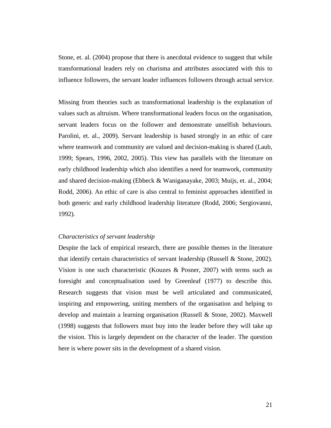Stone, et. al. (2004) propose that there is anecdotal evidence to suggest that while transformational leaders rely on charisma and attributes associated with this to influence followers, the servant leader influences followers through actual service.

Missing from theories such as transformational leadership is the explanation of values such as altruism. Where transformational leaders focus on the organisation, servant leaders focus on the follower and demonstrate unselfish behaviours. Parolini, et. al., 2009). Servant leadership is based strongly in an ethic of care where teamwork and community are valued and decision-making is shared (Laub, 1999; Spears, 1996, 2002, 2005). This view has parallels with the literature on early childhood leadership which also identifies a need for teamwork, community and shared decision-making (Ebbeck & Waniganayake, 2003; Muijs, et. al., 2004; Rodd, 2006). An ethic of care is also central to feminist approaches identified in both generic and early childhood leadership literature (Rodd, 2006; Sergiovanni, 1992).

#### *Characteristics of servant leadership*

Despite the lack of empirical research, there are possible themes in the literature that identify certain characteristics of servant leadership (Russell & Stone, 2002). Vision is one such characteristic (Kouzes & Posner, 2007) with terms such as foresight and conceptualisation used by Greenleaf (1977) to describe this. Research suggests that vision must be well articulated and communicated, inspiring and empowering, uniting members of the organisation and helping to develop and maintain a learning organisation (Russell & Stone, 2002). Maxwell (1998) suggests that followers must buy into the leader before they will take up the vision. This is largely dependent on the character of the leader. The question here is where power sits in the development of a shared vision.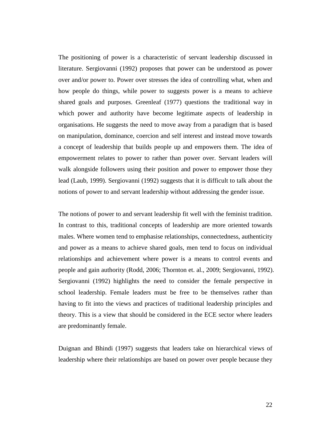The positioning of power is a characteristic of servant leadership discussed in literature. Sergiovanni (1992) proposes that power can be understood as power over and/or power to. Power over stresses the idea of controlling what, when and how people do things, while power to suggests power is a means to achieve shared goals and purposes. Greenleaf (1977) questions the traditional way in which power and authority have become legitimate aspects of leadership in organisations. He suggests the need to move away from a paradigm that is based on manipulation, dominance, coercion and self interest and instead move towards a concept of leadership that builds people up and empowers them. The idea of empowerment relates to power to rather than power over. Servant leaders will walk alongside followers using their position and power to empower those they lead (Laub, 1999). Sergiovanni (1992) suggests that it is difficult to talk about the notions of power to and servant leadership without addressing the gender issue.

The notions of power to and servant leadership fit well with the feminist tradition. In contrast to this, traditional concepts of leadership are more oriented towards males. Where women tend to emphasise relationships, connectedness, authenticity and power as a means to achieve shared goals, men tend to focus on individual relationships and achievement where power is a means to control events and people and gain authority (Rodd, 2006; Thornton et. al., 2009; Sergiovanni, 1992). Sergiovanni (1992) highlights the need to consider the female perspective in school leadership. Female leaders must be free to be themselves rather than having to fit into the views and practices of traditional leadership principles and theory. This is a view that should be considered in the ECE sector where leaders are predominantly female.

Duignan and Bhindi (1997) suggests that leaders take on hierarchical views of leadership where their relationships are based on power over people because they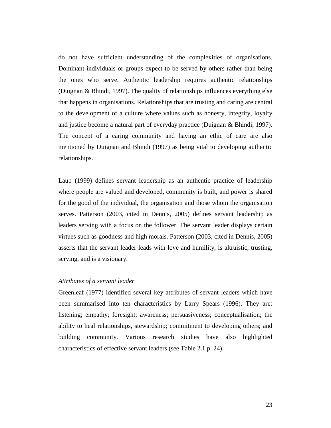do not have sufficient understanding of the complexities of organisations. Dominant individuals or groups expect to be served by others rather than being the ones who serve. Authentic leadership requires authentic relationships (Duignan & Bhindi, 1997). The quality of relationships influences everything else that happens in organisations. Relationships that are trusting and caring are central to the development of a culture where values such as honesty, integrity, loyalty and justice become a natural part of everyday practice (Duignan & Bhindi, 1997). The concept of a caring community and having an ethic of care are also mentioned by Duignan and Bhindi (1997) as being vital to developing authentic relationships.

Laub (1999) defines servant leadership as an authentic practice of leadership where people are valued and developed, community is built, and power is shared for the good of the individual, the organisation and those whom the organisation serves. Patterson (2003, cited in Dennis, 2005) defines servant leadership as leaders serving with a focus on the follower. The servant leader displays certain virtues such as goodness and high morals. Patterson (2003, cited in Dennis, 2005) asserts that the servant leader leads with love and humility, is altruistic, trusting, serving, and is a visionary.

#### *Attributes of a servant leader*

Greenleaf (1977) identified several key attributes of servant leaders which have been summarised into ten characteristics by Larry Spears (1996). They are: listening; empathy; foresight; awareness; persuasiveness; conceptualisation; the ability to heal relationships, stewardship; commitment to developing others; and building community. Various research studies have also highlighted characteristics of effective servant leaders (see Table 2.1 p. 24).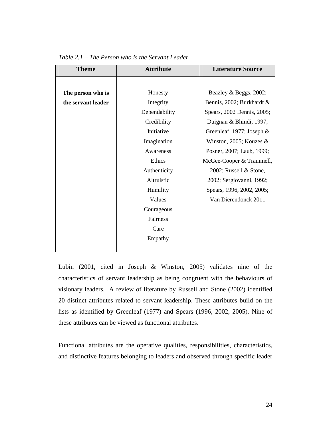| <b>Theme</b>       | <b>Attribute</b> | <b>Literature Source</b>    |
|--------------------|------------------|-----------------------------|
|                    |                  |                             |
| The person who is  | Honesty          | Beazley & Beggs, 2002;      |
| the servant leader | Integrity        | Bennis, 2002; Burkhardt &   |
|                    | Dependability    | Spears, 2002 Dennis, 2005;  |
|                    | Credibility      | Duignan & Bhindi, 1997;     |
|                    | Initiative       | Greenleaf, 1977; Joseph $&$ |
|                    | Imagination      | Winston, 2005; Kouzes $&$   |
|                    | Awareness        | Posner, 2007; Laub, 1999;   |
|                    | Ethics           | McGee-Cooper & Trammell,    |
|                    | Authenticity     | 2002; Russell & Stone,      |
|                    | Altruistic       | 2002; Sergiovanni, 1992;    |
|                    | Humility         | Spears, 1996, 2002, 2005;   |
|                    | Values           | Van Dierendonck 2011        |
|                    | Courageous       |                             |
|                    | Fairness         |                             |
|                    | Care             |                             |
|                    | Empathy          |                             |
|                    |                  |                             |

*Table 2.1 – The Person who is the Servant Leader* 

Lubin (2001, cited in Joseph & Winston, 2005) validates nine of the characteristics of servant leadership as being congruent with the behaviours of visionary leaders. A review of literature by Russell and Stone (2002) identified 20 distinct attributes related to servant leadership. These attributes build on the lists as identified by Greenleaf (1977) and Spears (1996, 2002, 2005). Nine of these attributes can be viewed as functional attributes.

Functional attributes are the operative qualities, responsibilities, characteristics, and distinctive features belonging to leaders and observed through specific leader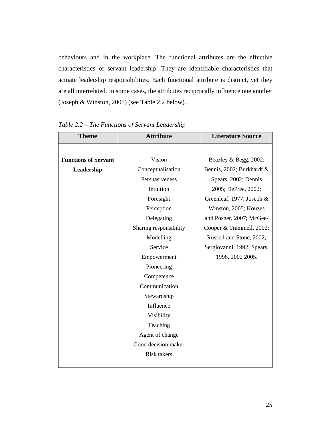behaviours and in the workplace. The functional attributes are the effective characteristics of servant leadership. They are identifiable characteristics that actuate leadership responsibilities. Each functional attribute is distinct, yet they are all interrelated. In some cases, the attributes reciprocally influence one another (Joseph & Winston, 2005) (see Table 2.2 below).

| <b>Theme</b>                | <b>Attribute</b>       | <b>Literature Source</b>   |
|-----------------------------|------------------------|----------------------------|
|                             |                        |                            |
| <b>Functions of Servant</b> | Vision                 | Beazley & Begg, 2002;      |
| Leadership                  | Conceptualisation      | Bennis, 2002; Burkhardt &  |
|                             | Persuasiveness         | Spears, 2002; Dennis       |
|                             | Intuition              | 2005; DePree, 2002;        |
|                             | Foresight              | Greenleaf, 1977; Joseph &  |
|                             | Perception             | Winston, 2005; Kouzes      |
|                             | Delegating             | and Posner, 2007; McGee-   |
|                             | Sharing responsibility | Cooper & Trammell, 2002;   |
|                             | Modelling              | Russell and Stone, 2002;   |
|                             | Service                | Sergiovanni, 1992; Spears, |
|                             | Empowerment            | 1996, 2002 2005.           |
|                             | Pioneering             |                            |
|                             | Competence             |                            |
|                             | Communication          |                            |
|                             | Stewardship            |                            |
|                             | Influence              |                            |
|                             | Visibility             |                            |
|                             | Teaching               |                            |
|                             | Agent of change        |                            |
|                             | Good decision maker    |                            |
|                             | <b>Risk takers</b>     |                            |
|                             |                        |                            |

*Table 2.2 – The Functions of Servant Leadership*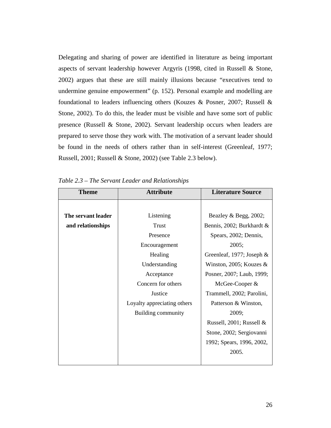Delegating and sharing of power are identified in literature as being important aspects of servant leadership however Argyris (1998, cited in Russell & Stone, 2002) argues that these are still mainly illusions because "executives tend to undermine genuine empowerment" (p. 152). Personal example and modelling are foundational to leaders influencing others (Kouzes & Posner, 2007; Russell & Stone, 2002). To do this, the leader must be visible and have some sort of public presence (Russell & Stone, 2002). Servant leadership occurs when leaders are prepared to serve those they work with. The motivation of a servant leader should be found in the needs of others rather than in self-interest (Greenleaf, 1977; Russell, 2001; Russell & Stone, 2002) (see Table 2.3 below).

| <b>Theme</b>       | <b>Attribute</b>            | <b>Literature Source</b>   |
|--------------------|-----------------------------|----------------------------|
|                    |                             |                            |
| The servant leader | Listening                   | Beazley & Begg, 2002;      |
| and relationships  | Trust                       | Bennis, 2002; Burkhardt &  |
|                    | Presence                    | Spears, 2002; Dennis,      |
|                    | Encouragement               | 2005;                      |
|                    | Healing                     | Greenleaf, 1977; Joseph &  |
|                    | Understanding               | Winston, 2005; Kouzes $\&$ |
|                    | Acceptance                  | Posner, 2007; Laub, 1999;  |
|                    | Concern for others          | McGee-Cooper &             |
|                    | Justice                     | Trammell, 2002; Parolini,  |
|                    | Loyalty appreciating others | Patterson & Winston,       |
|                    | Building community          | 2009;                      |
|                    |                             | Russell, 2001; Russell &   |
|                    |                             | Stone, 2002; Sergiovanni   |
|                    |                             | 1992; Spears, 1996, 2002,  |
|                    |                             | 2005.                      |
|                    |                             |                            |

*Table 2.3 – The Servant Leader and Relationships*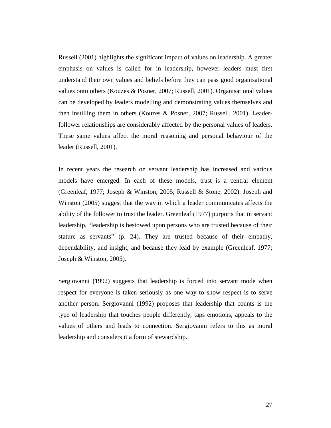Russell (2001) highlights the significant impact of values on leadership. A greater emphasis on values is called for in leadership, however leaders must first understand their own values and beliefs before they can pass good organisational values onto others (Kouzes & Posner, 2007; Russell, 2001). Organisational values can be developed by leaders modelling and demonstrating values themselves and then instilling them in others (Kouzes & Posner, 2007; Russell, 2001). Leaderfollower relationships are considerably affected by the personal values of leaders. These same values affect the moral reasoning and personal behaviour of the leader (Russell, 2001).

In recent years the research on servant leadership has increased and various models have emerged. In each of these models, trust is a central element (Greenleaf, 1977; Joseph & Winston, 2005; Russell & Stone, 2002). Joseph and Winston (2005) suggest that the way in which a leader communicates affects the ability of the follower to trust the leader. Greenleaf (1977) purports that in servant leadership, "leadership is bestowed upon persons who are trusted because of their stature as servants" (p. 24). They are trusted because of their empathy, dependability, and insight, and because they lead by example (Greenleaf, 1977; Joseph & Winston, 2005).

Sergiovanni (1992) suggests that leadership is forced into servant mode when respect for everyone is taken seriously as one way to show respect is to serve another person. Sergiovanni (1992) proposes that leadership that counts is the type of leadership that touches people differently, taps emotions, appeals to the values of others and leads to connection. Sergiovanni refers to this as moral leadership and considers it a form of stewardship.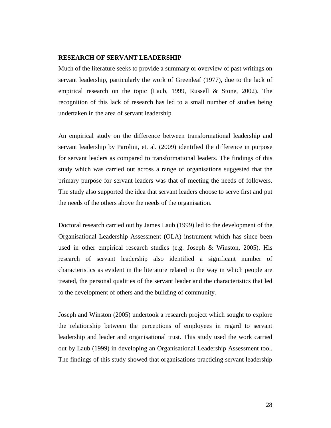### **RESEARCH OF SERVANT LEADERSHIP**

Much of the literature seeks to provide a summary or overview of past writings on servant leadership, particularly the work of Greenleaf (1977), due to the lack of empirical research on the topic (Laub, 1999, Russell & Stone, 2002). The recognition of this lack of research has led to a small number of studies being undertaken in the area of servant leadership.

An empirical study on the difference between transformational leadership and servant leadership by Parolini, et. al. (2009) identified the difference in purpose for servant leaders as compared to transformational leaders. The findings of this study which was carried out across a range of organisations suggested that the primary purpose for servant leaders was that of meeting the needs of followers. The study also supported the idea that servant leaders choose to serve first and put the needs of the others above the needs of the organisation.

Doctoral research carried out by James Laub (1999) led to the development of the Organisational Leadership Assessment (OLA) instrument which has since been used in other empirical research studies (e.g. Joseph & Winston, 2005). His research of servant leadership also identified a significant number of characteristics as evident in the literature related to the way in which people are treated, the personal qualities of the servant leader and the characteristics that led to the development of others and the building of community.

Joseph and Winston (2005) undertook a research project which sought to explore the relationship between the perceptions of employees in regard to servant leadership and leader and organisational trust. This study used the work carried out by Laub (1999) in developing an Organisational Leadership Assessment tool. The findings of this study showed that organisations practicing servant leadership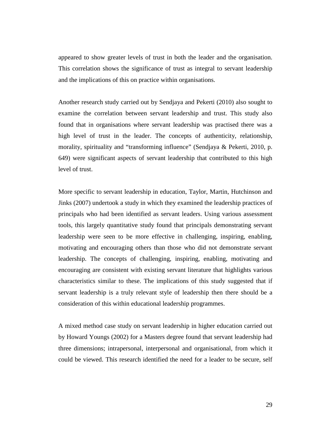appeared to show greater levels of trust in both the leader and the organisation. This correlation shows the significance of trust as integral to servant leadership and the implications of this on practice within organisations.

Another research study carried out by Sendjaya and Pekerti (2010) also sought to examine the correlation between servant leadership and trust. This study also found that in organisations where servant leadership was practised there was a high level of trust in the leader. The concepts of authenticity, relationship, morality, spirituality and "transforming influence" (Sendjaya & Pekerti, 2010, p. 649) were significant aspects of servant leadership that contributed to this high level of trust.

More specific to servant leadership in education, Taylor, Martin, Hutchinson and Jinks (2007) undertook a study in which they examined the leadership practices of principals who had been identified as servant leaders. Using various assessment tools, this largely quantitative study found that principals demonstrating servant leadership were seen to be more effective in challenging, inspiring, enabling, motivating and encouraging others than those who did not demonstrate servant leadership. The concepts of challenging, inspiring, enabling, motivating and encouraging are consistent with existing servant literature that highlights various characteristics similar to these. The implications of this study suggested that if servant leadership is a truly relevant style of leadership then there should be a consideration of this within educational leadership programmes.

A mixed method case study on servant leadership in higher education carried out by Howard Youngs (2002) for a Masters degree found that servant leadership had three dimensions; intrapersonal, interpersonal and organisational, from which it could be viewed. This research identified the need for a leader to be secure, self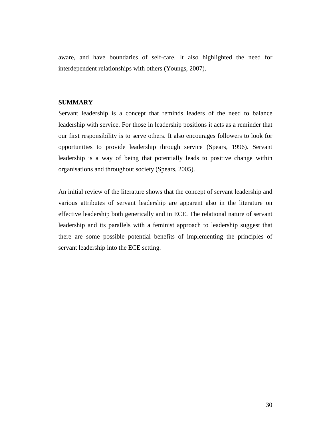aware, and have boundaries of self-care. It also highlighted the need for interdependent relationships with others (Youngs, 2007).

### **SUMMARY**

Servant leadership is a concept that reminds leaders of the need to balance leadership with service. For those in leadership positions it acts as a reminder that our first responsibility is to serve others. It also encourages followers to look for opportunities to provide leadership through service (Spears, 1996). Servant leadership is a way of being that potentially leads to positive change within organisations and throughout society (Spears, 2005).

An initial review of the literature shows that the concept of servant leadership and various attributes of servant leadership are apparent also in the literature on effective leadership both generically and in ECE. The relational nature of servant leadership and its parallels with a feminist approach to leadership suggest that there are some possible potential benefits of implementing the principles of servant leadership into the ECE setting.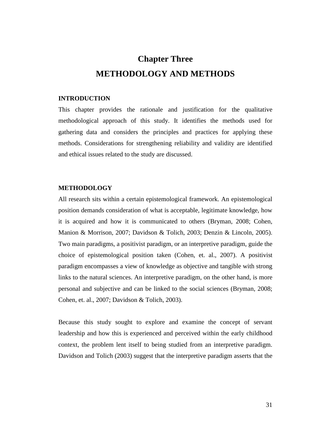# **Chapter Three METHODOLOGY AND METHODS**

### **INTRODUCTION**

This chapter provides the rationale and justification for the qualitative methodological approach of this study. It identifies the methods used for gathering data and considers the principles and practices for applying these methods. Considerations for strengthening reliability and validity are identified and ethical issues related to the study are discussed.

## **METHODOLOGY**

All research sits within a certain epistemological framework. An epistemological position demands consideration of what is acceptable, legitimate knowledge, how it is acquired and how it is communicated to others (Bryman, 2008; Cohen, Manion & Morrison, 2007; Davidson & Tolich, 2003; Denzin & Lincoln, 2005). Two main paradigms, a positivist paradigm, or an interpretive paradigm, guide the choice of epistemological position taken (Cohen, et. al., 2007). A positivist paradigm encompasses a view of knowledge as objective and tangible with strong links to the natural sciences. An interpretive paradigm, on the other hand, is more personal and subjective and can be linked to the social sciences (Bryman, 2008; Cohen, et. al., 2007; Davidson & Tolich, 2003).

Because this study sought to explore and examine the concept of servant leadership and how this is experienced and perceived within the early childhood context, the problem lent itself to being studied from an interpretive paradigm. Davidson and Tolich (2003) suggest that the interpretive paradigm asserts that the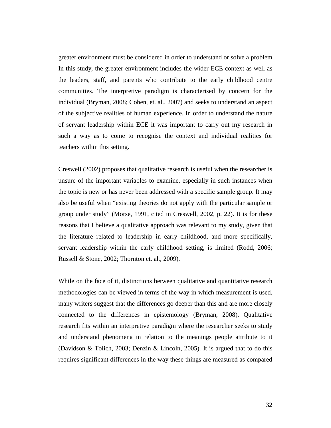greater environment must be considered in order to understand or solve a problem. In this study, the greater environment includes the wider ECE context as well as the leaders, staff, and parents who contribute to the early childhood centre communities. The interpretive paradigm is characterised by concern for the individual (Bryman, 2008; Cohen, et. al., 2007) and seeks to understand an aspect of the subjective realities of human experience. In order to understand the nature of servant leadership within ECE it was important to carry out my research in such a way as to come to recognise the context and individual realities for teachers within this setting.

Creswell (2002) proposes that qualitative research is useful when the researcher is unsure of the important variables to examine, especially in such instances when the topic is new or has never been addressed with a specific sample group. It may also be useful when "existing theories do not apply with the particular sample or group under study" (Morse, 1991, cited in Creswell, 2002, p. 22). It is for these reasons that I believe a qualitative approach was relevant to my study, given that the literature related to leadership in early childhood, and more specifically, servant leadership within the early childhood setting, is limited (Rodd, 2006; Russell & Stone, 2002; Thornton et. al., 2009).

While on the face of it, distinctions between qualitative and quantitative research methodologies can be viewed in terms of the way in which measurement is used, many writers suggest that the differences go deeper than this and are more closely connected to the differences in epistemology (Bryman, 2008). Qualitative research fits within an interpretive paradigm where the researcher seeks to study and understand phenomena in relation to the meanings people attribute to it (Davidson & Tolich, 2003; Denzin & Lincoln, 2005). It is argued that to do this requires significant differences in the way these things are measured as compared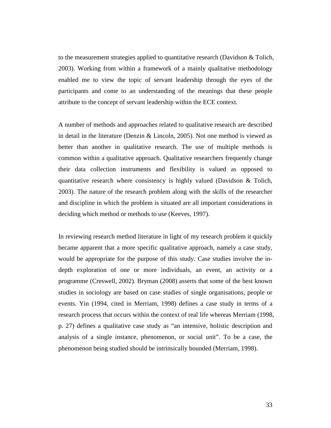to the measurement strategies applied to quantitative research (Davidson & Tolich, 2003). Working from within a framework of a mainly qualitative methodology enabled me to view the topic of servant leadership through the eyes of the participants and come to an understanding of the meanings that these people attribute to the concept of servant leadership within the ECE context.

A number of methods and approaches related to qualitative research are described in detail in the literature (Denzin & Lincoln, 2005). Not one method is viewed as better than another in qualitative research. The use of multiple methods is common within a qualitative approach. Qualitative researchers frequently change their data collection instruments and flexibility is valued as opposed to quantitative research where consistency is highly valued (Davidson & Tolich, 2003). The nature of the research problem along with the skills of the researcher and discipline in which the problem is situated are all important considerations in deciding which method or methods to use (Keeves, 1997).

In reviewing research method literature in light of my research problem it quickly became apparent that a more specific qualitative approach, namely a case study, would be appropriate for the purpose of this study. Case studies involve the indepth exploration of one or more individuals, an event, an activity or a programme (Creswell, 2002). Bryman (2008) asserts that some of the best known studies in sociology are based on case studies of single organisations, people or events. Yin (1994, cited in Merriam, 1998) defines a case study in terms of a research process that occurs within the context of real life whereas Merriam (1998, p. 27) defines a qualitative case study as "an intensive, holistic description and analysis of a single instance, phenomenon, or social unit". To be a case, the phenomenon being studied should be intrinsically bounded (Merriam, 1998).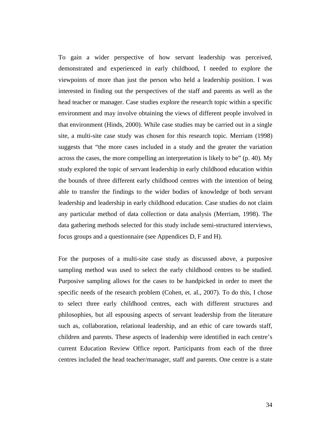To gain a wider perspective of how servant leadership was perceived, demonstrated and experienced in early childhood, I needed to explore the viewpoints of more than just the person who held a leadership position. I was interested in finding out the perspectives of the staff and parents as well as the head teacher or manager. Case studies explore the research topic within a specific environment and may involve obtaining the views of different people involved in that environment (Hinds, 2000). While case studies may be carried out in a single site, a multi-site case study was chosen for this research topic. Merriam (1998) suggests that "the more cases included in a study and the greater the variation across the cases, the more compelling an interpretation is likely to be" (p. 40). My study explored the topic of servant leadership in early childhood education within the bounds of three different early childhood centres with the intention of being able to transfer the findings to the wider bodies of knowledge of both servant leadership and leadership in early childhood education. Case studies do not claim any particular method of data collection or data analysis (Merriam, 1998). The data gathering methods selected for this study include semi-structured interviews, focus groups and a questionnaire (see Appendices D, F and H).

For the purposes of a multi-site case study as discussed above, a purposive sampling method was used to select the early childhood centres to be studied. Purposive sampling allows for the cases to be handpicked in order to meet the specific needs of the research problem (Cohen, et. al., 2007). To do this, I chose to select three early childhood centres, each with different structures and philosophies, but all espousing aspects of servant leadership from the literature such as, collaboration, relational leadership, and an ethic of care towards staff, children and parents. These aspects of leadership were identified in each centre's current Education Review Office report. Participants from each of the three centres included the head teacher/manager, staff and parents. One centre is a state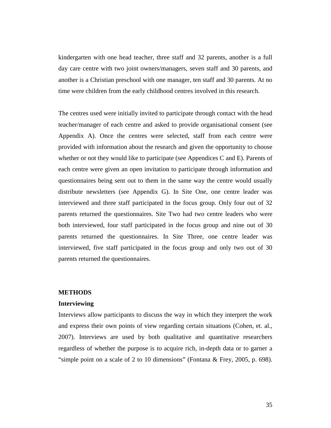kindergarten with one head teacher, three staff and 32 parents, another is a full day care centre with two joint owners/managers, seven staff and 30 parents, and another is a Christian preschool with one manager, ten staff and 30 parents. At no time were children from the early childhood centres involved in this research.

The centres used were initially invited to participate through contact with the head teacher/manager of each centre and asked to provide organisational consent (see Appendix A). Once the centres were selected, staff from each centre were provided with information about the research and given the opportunity to choose whether or not they would like to participate (see Appendices C and E). Parents of each centre were given an open invitation to participate through information and questionnaires being sent out to them in the same way the centre would usually distribute newsletters (see Appendix G). In Site One, one centre leader was interviewed and three staff participated in the focus group. Only four out of 32 parents returned the questionnaires. Site Two had two centre leaders who were both interviewed, four staff participated in the focus group and nine out of 30 parents returned the questionnaires. In Site Three, one centre leader was interviewed, five staff participated in the focus group and only two out of 30 parents returned the questionnaires.

## **METHODS**

### **Interviewing**

Interviews allow participants to discuss the way in which they interpret the work and express their own points of view regarding certain situations (Cohen, et. al., 2007). Interviews are used by both qualitative and quantitative researchers regardless of whether the purpose is to acquire rich, in-depth data or to garner a "simple point on a scale of 2 to 10 dimensions" (Fontana & Frey, 2005, p. 698).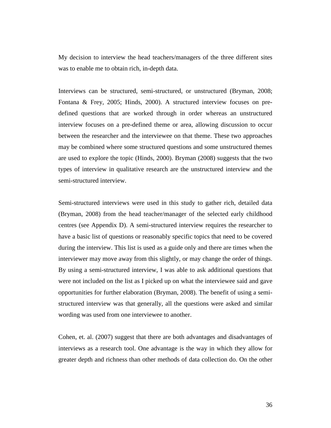My decision to interview the head teachers/managers of the three different sites was to enable me to obtain rich, in-depth data.

Interviews can be structured, semi-structured, or unstructured (Bryman, 2008; Fontana & Frey, 2005; Hinds, 2000). A structured interview focuses on predefined questions that are worked through in order whereas an unstructured interview focuses on a pre-defined theme or area, allowing discussion to occur between the researcher and the interviewee on that theme. These two approaches may be combined where some structured questions and some unstructured themes are used to explore the topic (Hinds, 2000). Bryman (2008) suggests that the two types of interview in qualitative research are the unstructured interview and the semi-structured interview.

Semi-structured interviews were used in this study to gather rich, detailed data (Bryman, 2008) from the head teacher/manager of the selected early childhood centres (see Appendix D). A semi-structured interview requires the researcher to have a basic list of questions or reasonably specific topics that need to be covered during the interview. This list is used as a guide only and there are times when the interviewer may move away from this slightly, or may change the order of things. By using a semi-structured interview, I was able to ask additional questions that were not included on the list as I picked up on what the interviewee said and gave opportunities for further elaboration (Bryman, 2008). The benefit of using a semistructured interview was that generally, all the questions were asked and similar wording was used from one interviewee to another.

Cohen, et. al. (2007) suggest that there are both advantages and disadvantages of interviews as a research tool. One advantage is the way in which they allow for greater depth and richness than other methods of data collection do. On the other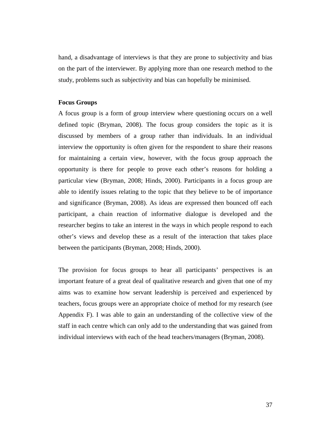hand, a disadvantage of interviews is that they are prone to subjectivity and bias on the part of the interviewer. By applying more than one research method to the study, problems such as subjectivity and bias can hopefully be minimised.

### **Focus Groups**

A focus group is a form of group interview where questioning occurs on a well defined topic (Bryman, 2008). The focus group considers the topic as it is discussed by members of a group rather than individuals. In an individual interview the opportunity is often given for the respondent to share their reasons for maintaining a certain view, however, with the focus group approach the opportunity is there for people to prove each other's reasons for holding a particular view (Bryman, 2008; Hinds, 2000). Participants in a focus group are able to identify issues relating to the topic that they believe to be of importance and significance (Bryman, 2008). As ideas are expressed then bounced off each participant, a chain reaction of informative dialogue is developed and the researcher begins to take an interest in the ways in which people respond to each other's views and develop these as a result of the interaction that takes place between the participants (Bryman, 2008; Hinds, 2000).

The provision for focus groups to hear all participants' perspectives is an important feature of a great deal of qualitative research and given that one of my aims was to examine how servant leadership is perceived and experienced by teachers, focus groups were an appropriate choice of method for my research (see Appendix F). I was able to gain an understanding of the collective view of the staff in each centre which can only add to the understanding that was gained from individual interviews with each of the head teachers/managers (Bryman, 2008).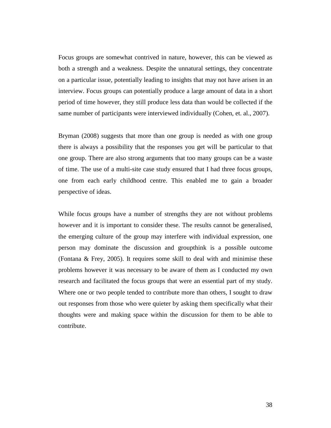Focus groups are somewhat contrived in nature, however, this can be viewed as both a strength and a weakness. Despite the unnatural settings, they concentrate on a particular issue, potentially leading to insights that may not have arisen in an interview. Focus groups can potentially produce a large amount of data in a short period of time however, they still produce less data than would be collected if the same number of participants were interviewed individually (Cohen, et. al., 2007).

Bryman (2008) suggests that more than one group is needed as with one group there is always a possibility that the responses you get will be particular to that one group. There are also strong arguments that too many groups can be a waste of time. The use of a multi-site case study ensured that I had three focus groups, one from each early childhood centre. This enabled me to gain a broader perspective of ideas.

While focus groups have a number of strengths they are not without problems however and it is important to consider these. The results cannot be generalised, the emerging culture of the group may interfere with individual expression, one person may dominate the discussion and groupthink is a possible outcome (Fontana & Frey, 2005). It requires some skill to deal with and minimise these problems however it was necessary to be aware of them as I conducted my own research and facilitated the focus groups that were an essential part of my study. Where one or two people tended to contribute more than others, I sought to draw out responses from those who were quieter by asking them specifically what their thoughts were and making space within the discussion for them to be able to contribute.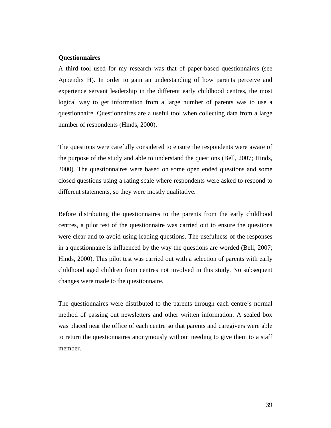## **Questionnaires**

A third tool used for my research was that of paper-based questionnaires (see Appendix H). In order to gain an understanding of how parents perceive and experience servant leadership in the different early childhood centres, the most logical way to get information from a large number of parents was to use a questionnaire. Questionnaires are a useful tool when collecting data from a large number of respondents (Hinds, 2000).

The questions were carefully considered to ensure the respondents were aware of the purpose of the study and able to understand the questions (Bell, 2007; Hinds, 2000). The questionnaires were based on some open ended questions and some closed questions using a rating scale where respondents were asked to respond to different statements, so they were mostly qualitative.

Before distributing the questionnaires to the parents from the early childhood centres, a pilot test of the questionnaire was carried out to ensure the questions were clear and to avoid using leading questions. The usefulness of the responses in a questionnaire is influenced by the way the questions are worded (Bell, 2007; Hinds, 2000). This pilot test was carried out with a selection of parents with early childhood aged children from centres not involved in this study. No subsequent changes were made to the questionnaire.

The questionnaires were distributed to the parents through each centre's normal method of passing out newsletters and other written information. A sealed box was placed near the office of each centre so that parents and caregivers were able to return the questionnaires anonymously without needing to give them to a staff member.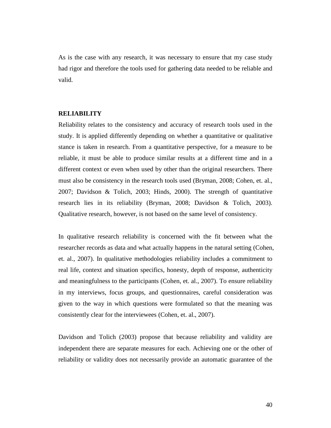As is the case with any research, it was necessary to ensure that my case study had rigor and therefore the tools used for gathering data needed to be reliable and valid.

# **RELIABILITY**

Reliability relates to the consistency and accuracy of research tools used in the study. It is applied differently depending on whether a quantitative or qualitative stance is taken in research. From a quantitative perspective, for a measure to be reliable, it must be able to produce similar results at a different time and in a different context or even when used by other than the original researchers. There must also be consistency in the research tools used (Bryman, 2008; Cohen, et. al., 2007; Davidson & Tolich, 2003; Hinds, 2000). The strength of quantitative research lies in its reliability (Bryman, 2008; Davidson & Tolich, 2003). Qualitative research, however, is not based on the same level of consistency.

In qualitative research reliability is concerned with the fit between what the researcher records as data and what actually happens in the natural setting (Cohen, et. al., 2007). In qualitative methodologies reliability includes a commitment to real life, context and situation specifics, honesty, depth of response, authenticity and meaningfulness to the participants (Cohen, et. al., 2007). To ensure reliability in my interviews, focus groups, and questionnaires, careful consideration was given to the way in which questions were formulated so that the meaning was consistently clear for the interviewees (Cohen, et. al., 2007).

Davidson and Tolich (2003) propose that because reliability and validity are independent there are separate measures for each. Achieving one or the other of reliability or validity does not necessarily provide an automatic guarantee of the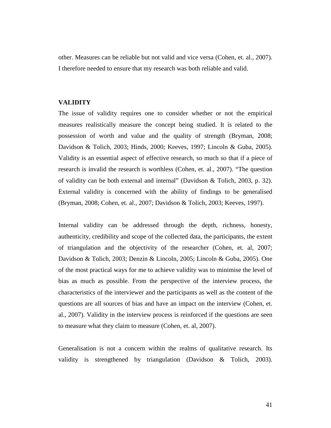other. Measures can be reliable but not valid and vice versa (Cohen, et. al., 2007). I therefore needed to ensure that my research was both reliable and valid.

### **VALIDITY**

The issue of validity requires one to consider whether or not the empirical measures realistically measure the concept being studied. It is related to the possession of worth and value and the quality of strength (Bryman, 2008; Davidson & Tolich, 2003; Hinds, 2000; Keeves, 1997; Lincoln & Guba, 2005). Validity is an essential aspect of effective research, so much so that if a piece of research is invalid the research is worthless (Cohen, et. al., 2007). "The question of validity can be both external and internal" (Davidson & Tolich, 2003, p. 32). External validity is concerned with the ability of findings to be generalised (Bryman, 2008; Cohen, et. al., 2007; Davidson & Tolich, 2003; Keeves, 1997).

Internal validity can be addressed through the depth, richness, honesty, authenticity, credibility and scope of the collected data, the participants, the extent of triangulation and the objectivity of the researcher (Cohen, et. al, 2007; Davidson & Tolich, 2003; Denzin & Lincoln, 2005; Lincoln & Guba, 2005). One of the most practical ways for me to achieve validity was to minimise the level of bias as much as possible. From the perspective of the interview process, the characteristics of the interviewer and the participants as well as the content of the questions are all sources of bias and have an impact on the interview (Cohen, et. al., 2007). Validity in the interview process is reinforced if the questions are seen to measure what they claim to measure (Cohen, et. al, 2007).

Generalisation is not a concern within the realms of qualitative research. Its validity is strengthened by triangulation (Davidson & Tolich, 2003).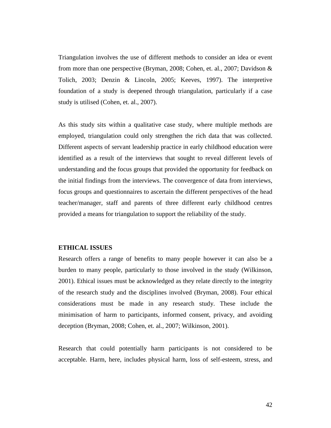Triangulation involves the use of different methods to consider an idea or event from more than one perspective (Bryman, 2008; Cohen, et. al., 2007; Davidson & Tolich, 2003; Denzin & Lincoln, 2005; Keeves, 1997). The interpretive foundation of a study is deepened through triangulation, particularly if a case study is utilised (Cohen, et. al., 2007).

As this study sits within a qualitative case study, where multiple methods are employed, triangulation could only strengthen the rich data that was collected. Different aspects of servant leadership practice in early childhood education were identified as a result of the interviews that sought to reveal different levels of understanding and the focus groups that provided the opportunity for feedback on the initial findings from the interviews. The convergence of data from interviews, focus groups and questionnaires to ascertain the different perspectives of the head teacher/manager, staff and parents of three different early childhood centres provided a means for triangulation to support the reliability of the study.

### **ETHICAL ISSUES**

Research offers a range of benefits to many people however it can also be a burden to many people, particularly to those involved in the study (Wilkinson, 2001). Ethical issues must be acknowledged as they relate directly to the integrity of the research study and the disciplines involved (Bryman, 2008). Four ethical considerations must be made in any research study. These include the minimisation of harm to participants, informed consent, privacy, and avoiding deception (Bryman, 2008; Cohen, et. al., 2007; Wilkinson, 2001).

Research that could potentially harm participants is not considered to be acceptable. Harm, here, includes physical harm, loss of self-esteem, stress, and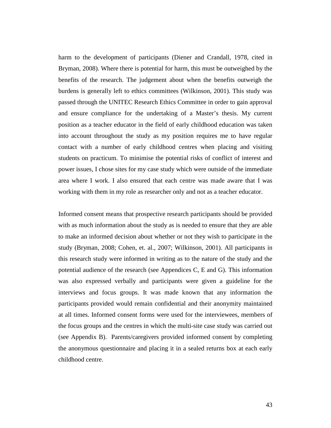harm to the development of participants (Diener and Crandall, 1978, cited in Bryman, 2008). Where there is potential for harm, this must be outweighed by the benefits of the research. The judgement about when the benefits outweigh the burdens is generally left to ethics committees (Wilkinson, 2001). This study was passed through the UNITEC Research Ethics Committee in order to gain approval and ensure compliance for the undertaking of a Master's thesis. My current position as a teacher educator in the field of early childhood education was taken into account throughout the study as my position requires me to have regular contact with a number of early childhood centres when placing and visiting students on practicum. To minimise the potential risks of conflict of interest and power issues, I chose sites for my case study which were outside of the immediate area where I work. I also ensured that each centre was made aware that I was working with them in my role as researcher only and not as a teacher educator.

Informed consent means that prospective research participants should be provided with as much information about the study as is needed to ensure that they are able to make an informed decision about whether or not they wish to participate in the study (Bryman, 2008; Cohen, et. al., 2007; Wilkinson, 2001). All participants in this research study were informed in writing as to the nature of the study and the potential audience of the research (see Appendices C, E and G). This information was also expressed verbally and participants were given a guideline for the interviews and focus groups. It was made known that any information the participants provided would remain confidential and their anonymity maintained at all times. Informed consent forms were used for the interviewees, members of the focus groups and the centres in which the multi-site case study was carried out (see Appendix B). Parents/caregivers provided informed consent by completing the anonymous questionnaire and placing it in a sealed returns box at each early childhood centre.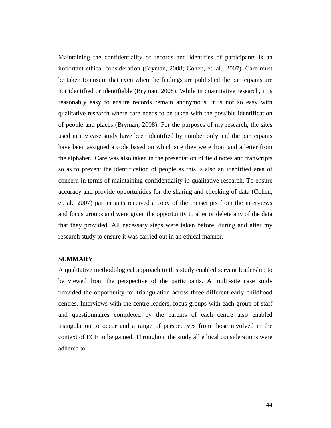Maintaining the confidentiality of records and identities of participants is an important ethical consideration (Bryman, 2008; Cohen, et. al., 2007). Care must be taken to ensure that even when the findings are published the participants are not identified or identifiable (Bryman, 2008). While in quantitative research, it is reasonably easy to ensure records remain anonymous, it is not so easy with qualitative research where care needs to be taken with the possible identification of people and places (Bryman, 2008). For the purposes of my research, the sites used in my case study have been identified by number only and the participants have been assigned a code based on which site they were from and a letter from the alphabet. Care was also taken in the presentation of field notes and transcripts so as to prevent the identification of people as this is also an identified area of concern in terms of maintaining confidentiality in qualitative research. To ensure accuracy and provide opportunities for the sharing and checking of data (Cohen, et. al., 2007) participants received a copy of the transcripts from the interviews and focus groups and were given the opportunity to alter or delete any of the data that they provided. All necessary steps were taken before, during and after my research study to ensure it was carried out in an ethical manner.

# **SUMMARY**

A qualitative methodological approach to this study enabled servant leadership to be viewed from the perspective of the participants. A multi-site case study provided the opportunity for triangulation across three different early childhood centres. Interviews with the centre leaders, focus groups with each group of staff and questionnaires completed by the parents of each centre also enabled triangulation to occur and a range of perspectives from those involved in the context of ECE to be gained. Throughout the study all ethical considerations were adhered to.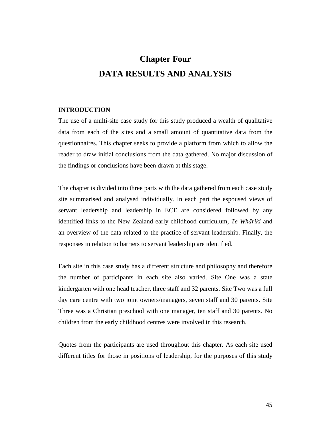# **Chapter Four DATA RESULTS AND ANALYSIS**

# **INTRODUCTION**

The use of a multi-site case study for this study produced a wealth of qualitative data from each of the sites and a small amount of quantitative data from the questionnaires. This chapter seeks to provide a platform from which to allow the reader to draw initial conclusions from the data gathered. No major discussion of the findings or conclusions have been drawn at this stage.

The chapter is divided into three parts with the data gathered from each case study site summarised and analysed individually. In each part the espoused views of servant leadership and leadership in ECE are considered followed by any identified links to the New Zealand early childhood curriculum, *Te Whāriki* and an overview of the data related to the practice of servant leadership. Finally, the responses in relation to barriers to servant leadership are identified.

Each site in this case study has a different structure and philosophy and therefore the number of participants in each site also varied. Site One was a state kindergarten with one head teacher, three staff and 32 parents. Site Two was a full day care centre with two joint owners/managers, seven staff and 30 parents. Site Three was a Christian preschool with one manager, ten staff and 30 parents. No children from the early childhood centres were involved in this research.

Quotes from the participants are used throughout this chapter. As each site used different titles for those in positions of leadership, for the purposes of this study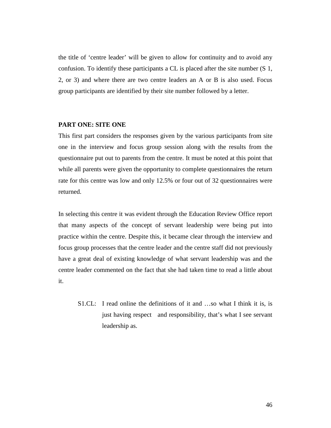the title of 'centre leader' will be given to allow for continuity and to avoid any confusion. To identify these participants a CL is placed after the site number (S 1, 2, or 3) and where there are two centre leaders an A or B is also used. Focus group participants are identified by their site number followed by a letter.

# **PART ONE: SITE ONE**

This first part considers the responses given by the various participants from site one in the interview and focus group session along with the results from the questionnaire put out to parents from the centre. It must be noted at this point that while all parents were given the opportunity to complete questionnaires the return rate for this centre was low and only 12.5% or four out of 32 questionnaires were returned.

In selecting this centre it was evident through the Education Review Office report that many aspects of the concept of servant leadership were being put into practice within the centre. Despite this, it became clear through the interview and focus group processes that the centre leader and the centre staff did not previously have a great deal of existing knowledge of what servant leadership was and the centre leader commented on the fact that she had taken time to read a little about it.

S1.CL: I read online the definitions of it and …so what I think it is, is just having respect and responsibility, that's what I see servant leadership as.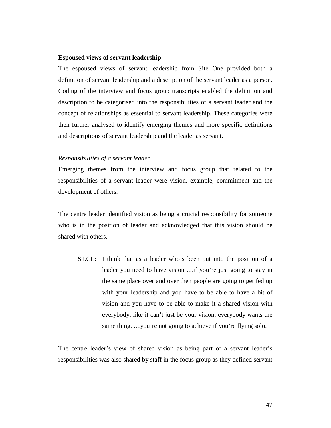### **Espoused views of servant leadership**

The espoused views of servant leadership from Site One provided both a definition of servant leadership and a description of the servant leader as a person. Coding of the interview and focus group transcripts enabled the definition and description to be categorised into the responsibilities of a servant leader and the concept of relationships as essential to servant leadership. These categories were then further analysed to identify emerging themes and more specific definitions and descriptions of servant leadership and the leader as servant.

#### *Responsibilities of a servant leader*

Emerging themes from the interview and focus group that related to the responsibilities of a servant leader were vision, example, commitment and the development of others.

The centre leader identified vision as being a crucial responsibility for someone who is in the position of leader and acknowledged that this vision should be shared with others.

S1.CL: I think that as a leader who's been put into the position of a leader you need to have vision …if you're just going to stay in the same place over and over then people are going to get fed up with your leadership and you have to be able to have a bit of vision and you have to be able to make it a shared vision with everybody, like it can't just be your vision, everybody wants the same thing. ...you're not going to achieve if you're flying solo.

The centre leader's view of shared vision as being part of a servant leader's responsibilities was also shared by staff in the focus group as they defined servant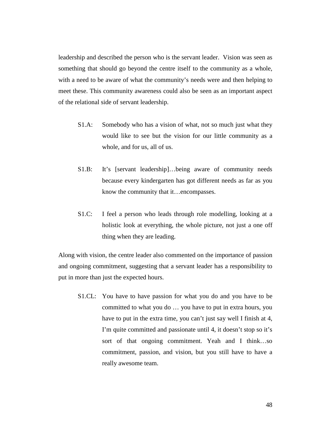leadership and described the person who is the servant leader. Vision was seen as something that should go beyond the centre itself to the community as a whole, with a need to be aware of what the community's needs were and then helping to meet these. This community awareness could also be seen as an important aspect of the relational side of servant leadership.

- S1.A: Somebody who has a vision of what, not so much just what they would like to see but the vision for our little community as a whole, and for us, all of us.
- S1.B: It's [servant leadership]…being aware of community needs because every kindergarten has got different needs as far as you know the community that it…encompasses.
- S1.C: I feel a person who leads through role modelling, looking at a holistic look at everything, the whole picture, not just a one off thing when they are leading.

Along with vision, the centre leader also commented on the importance of passion and ongoing commitment, suggesting that a servant leader has a responsibility to put in more than just the expected hours.

S1.CL: You have to have passion for what you do and you have to be committed to what you do … you have to put in extra hours, you have to put in the extra time, you can't just say well I finish at 4, I'm quite committed and passionate until 4, it doesn't stop so it's sort of that ongoing commitment. Yeah and I think…so commitment, passion, and vision, but you still have to have a really awesome team.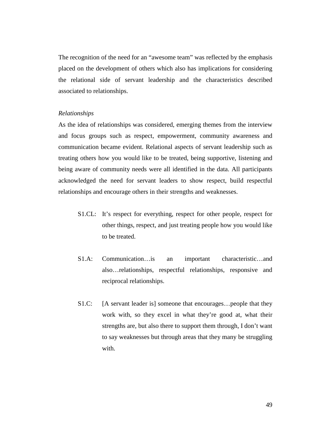The recognition of the need for an "awesome team" was reflected by the emphasis placed on the development of others which also has implications for considering the relational side of servant leadership and the characteristics described associated to relationships.

## *Relationships*

As the idea of relationships was considered, emerging themes from the interview and focus groups such as respect, empowerment, community awareness and communication became evident. Relational aspects of servant leadership such as treating others how you would like to be treated, being supportive, listening and being aware of community needs were all identified in the data. All participants acknowledged the need for servant leaders to show respect, build respectful relationships and encourage others in their strengths and weaknesses.

- S1.CL: It's respect for everything, respect for other people, respect for other things, respect, and just treating people how you would like to be treated.
- S1.A: Communication…is an important characteristic…and also…relationships, respectful relationships, responsive and reciprocal relationships.
- S1.C: [A servant leader is] someone that encourages...people that they work with, so they excel in what they're good at, what their strengths are, but also there to support them through, I don't want to say weaknesses but through areas that they many be struggling with.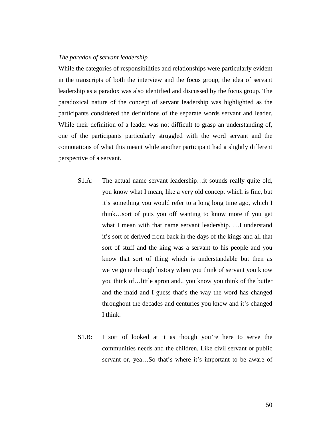# *The paradox of servant leadership*

While the categories of responsibilities and relationships were particularly evident in the transcripts of both the interview and the focus group, the idea of servant leadership as a paradox was also identified and discussed by the focus group. The paradoxical nature of the concept of servant leadership was highlighted as the participants considered the definitions of the separate words servant and leader. While their definition of a leader was not difficult to grasp an understanding of, one of the participants particularly struggled with the word servant and the connotations of what this meant while another participant had a slightly different perspective of a servant.

- S1.A: The actual name servant leadership…it sounds really quite old, you know what I mean, like a very old concept which is fine, but it's something you would refer to a long long time ago, which I think…sort of puts you off wanting to know more if you get what I mean with that name servant leadership. …I understand it's sort of derived from back in the days of the kings and all that sort of stuff and the king was a servant to his people and you know that sort of thing which is understandable but then as we've gone through history when you think of servant you know you think of…little apron and.. you know you think of the butler and the maid and I guess that's the way the word has changed throughout the decades and centuries you know and it's changed I think.
- S1.B: I sort of looked at it as though you're here to serve the communities needs and the children. Like civil servant or public servant or, yea…So that's where it's important to be aware of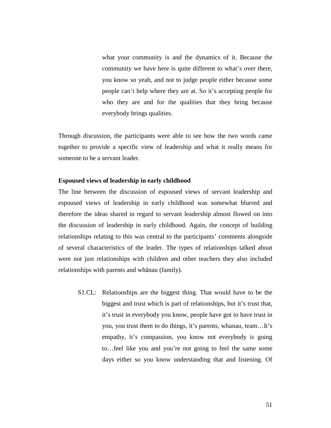what your community is and the dynamics of it. Because the community we have here is quite different to what's over there, you know so yeah, and not to judge people either because some people can't help where they are at. So it's accepting people for who they are and for the qualities that they bring because everybody brings qualities.

Through discussion, the participants were able to see how the two words came together to provide a specific view of leadership and what it really means for someone to be a servant leader.

### **Espoused views of leadership in early childhood**

The line between the discussion of espoused views of servant leadership and espoused views of leadership in early childhood was somewhat blurred and therefore the ideas shared in regard to servant leadership almost flowed on into the discussion of leadership in early childhood. Again, the concept of building relationships relating to this was central to the participants' comments alongside of several characteristics of the leader. The types of relationships talked about were not just relationships with children and other teachers they also included relationships with parents and whānau (family).

S1.CL: Relationships are the biggest thing. That would have to be the biggest and trust which is part of relationships, but it's trust that, it's trust in everybody you know, people have got to have trust in you, you trust them to do things, it's parents, whanau, team…It's empathy, it's compassion, you know not everybody is going to…feel like you and you're not going to feel the same some days either so you know understanding that and listening. Of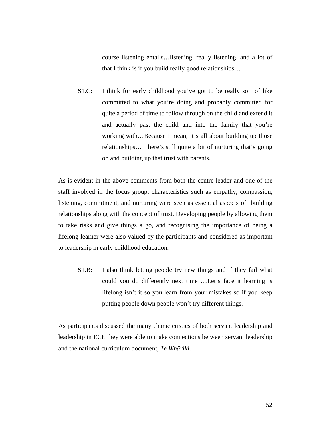course listening entails…listening, really listening, and a lot of that I think is if you build really good relationships…

S1.C: I think for early childhood you've got to be really sort of like committed to what you're doing and probably committed for quite a period of time to follow through on the child and extend it and actually past the child and into the family that you're working with…Because I mean, it's all about building up those relationships… There's still quite a bit of nurturing that's going on and building up that trust with parents.

As is evident in the above comments from both the centre leader and one of the staff involved in the focus group, characteristics such as empathy, compassion, listening, commitment, and nurturing were seen as essential aspects of building relationships along with the concept of trust. Developing people by allowing them to take risks and give things a go, and recognising the importance of being a lifelong learner were also valued by the participants and considered as important to leadership in early childhood education.

S1.B: I also think letting people try new things and if they fail what could you do differently next time …Let's face it learning is lifelong isn't it so you learn from your mistakes so if you keep putting people down people won't try different things.

As participants discussed the many characteristics of both servant leadership and leadership in ECE they were able to make connections between servant leadership and the national curriculum document, *Te Whāriki*.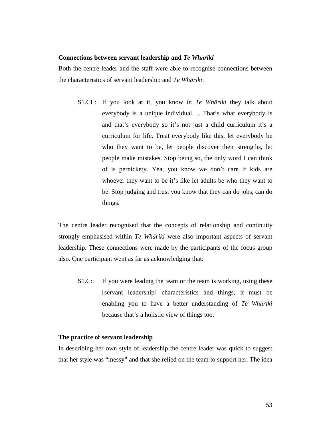### **Connections between servant leadership and** *Te Whāriki*

Both the centre leader and the staff were able to recognise connections between the characteristics of servant leadership and *Te Whāriki*.

S1.CL: If you look at it, you know in *Te Whāriki* they talk about everybody is a unique individual. …That's what everybody is and that's everybody so it's not just a child curriculum it's a curriculum for life. Treat everybody like this, let everybody be who they want to be, let people discover their strengths, let people make mistakes. Stop being so, the only word I can think of is pernickety. Yea, you know we don't care if kids are whoever they want to be it's like let adults be who they want to be. Stop judging and trust you know that they can do jobs, can do things.

The centre leader recognised that the concepts of relationship and continuity strongly emphasised within *Te Whāriki* were also important aspects of servant leadership. These connections were made by the participants of the focus group also. One participant went as far as acknowledging that:

S1.C: If you were leading the team or the team is working, using these [servant leadership] characteristics and things, it must be enabling you to have a better understanding of *Te Whāriki* because that's a holistic view of things too.

# **The practice of servant leadership**

In describing her own style of leadership the centre leader was quick to suggest that her style was "messy" and that she relied on the team to support her. The idea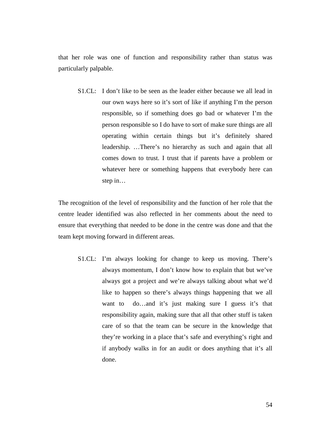that her role was one of function and responsibility rather than status was particularly palpable.

S1.CL: I don't like to be seen as the leader either because we all lead in our own ways here so it's sort of like if anything I'm the person responsible, so if something does go bad or whatever I'm the person responsible so I do have to sort of make sure things are all operating within certain things but it's definitely shared leadership. …There's no hierarchy as such and again that all comes down to trust. I trust that if parents have a problem or whatever here or something happens that everybody here can step in…

The recognition of the level of responsibility and the function of her role that the centre leader identified was also reflected in her comments about the need to ensure that everything that needed to be done in the centre was done and that the team kept moving forward in different areas.

S1.CL: I'm always looking for change to keep us moving. There's always momentum, I don't know how to explain that but we've always got a project and we're always talking about what we'd like to happen so there's always things happening that we all want to do…and it's just making sure I guess it's that responsibility again, making sure that all that other stuff is taken care of so that the team can be secure in the knowledge that they're working in a place that's safe and everything's right and if anybody walks in for an audit or does anything that it's all done.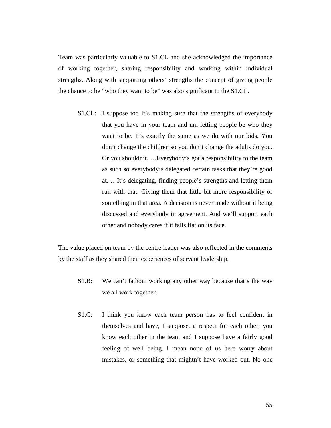Team was particularly valuable to S1.CL and she acknowledged the importance of working together, sharing responsibility and working within individual strengths. Along with supporting others' strengths the concept of giving people the chance to be "who they want to be" was also significant to the S1.CL.

S1.CL: I suppose too it's making sure that the strengths of everybody that you have in your team and um letting people be who they want to be. It's exactly the same as we do with our kids. You don't change the children so you don't change the adults do you. Or you shouldn't. …Everybody's got a responsibility to the team as such so everybody's delegated certain tasks that they're good at. …It's delegating, finding people's strengths and letting them run with that. Giving them that little bit more responsibility or something in that area. A decision is never made without it being discussed and everybody in agreement. And we'll support each other and nobody cares if it falls flat on its face.

The value placed on team by the centre leader was also reflected in the comments by the staff as they shared their experiences of servant leadership.

- S1.B: We can't fathom working any other way because that's the way we all work together.
- S1.C: I think you know each team person has to feel confident in themselves and have, I suppose, a respect for each other, you know each other in the team and I suppose have a fairly good feeling of well being. I mean none of us here worry about mistakes, or something that mightn't have worked out. No one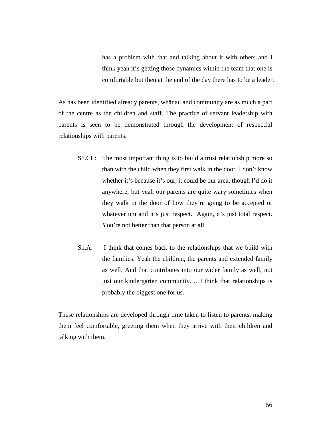has a problem with that and talking about it with others and I think yeah it's getting those dynamics within the team that one is comfortable but then at the end of the day there has to be a leader.

As has been identified already parents, whānau and community are as much a part of the centre as the children and staff. The practice of servant leadership with parents is seen to be demonstrated through the development of respectful relationships with parents.

- S1.CL: The most important thing is to build a trust relationship more so than with the child when they first walk in the door. I don't know whether it's because it's our, it could be our area, though I'd do it anywhere, but yeah our parents are quite wary sometimes when they walk in the door of how they're going to be accepted or whatever um and it's just respect. Again, it's just total respect. You're not better than that person at all.
- S1.A: I think that comes back to the relationships that we build with the families. Yeah the children, the parents and extended family as well. And that contributes into our wider family as well, not just our kindergarten community. …I think that relationships is probably the biggest one for us.

These relationships are developed through time taken to listen to parents, making them feel comfortable, greeting them when they arrive with their children and talking with them.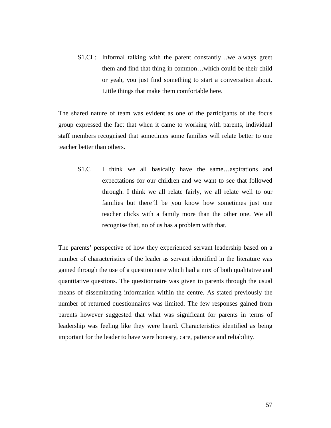S1.CL: Informal talking with the parent constantly…we always greet them and find that thing in common…which could be their child or yeah, you just find something to start a conversation about. Little things that make them comfortable here.

The shared nature of team was evident as one of the participants of the focus group expressed the fact that when it came to working with parents, individual staff members recognised that sometimes some families will relate better to one teacher better than others.

S1.C I think we all basically have the same…aspirations and expectations for our children and we want to see that followed through. I think we all relate fairly, we all relate well to our families but there'll be you know how sometimes just one teacher clicks with a family more than the other one. We all recognise that, no of us has a problem with that.

The parents' perspective of how they experienced servant leadership based on a number of characteristics of the leader as servant identified in the literature was gained through the use of a questionnaire which had a mix of both qualitative and quantitative questions. The questionnaire was given to parents through the usual means of disseminating information within the centre. As stated previously the number of returned questionnaires was limited. The few responses gained from parents however suggested that what was significant for parents in terms of leadership was feeling like they were heard. Characteristics identified as being important for the leader to have were honesty, care, patience and reliability.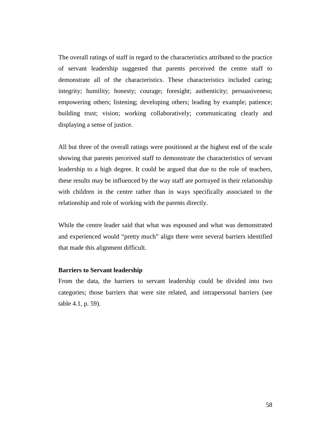The overall ratings of staff in regard to the characteristics attributed to the practice of servant leadership suggested that parents perceived the centre staff to demonstrate all of the characteristics. These characteristics included caring; integrity; humility; honesty; courage; foresight; authenticity; persuasiveness; empowering others; listening; developing others; leading by example; patience; building trust; vision; working collaboratively; communicating clearly and displaying a sense of justice.

All but three of the overall ratings were positioned at the highest end of the scale showing that parents perceived staff to demonstrate the characteristics of servant leadership to a high degree. It could be argued that due to the role of teachers, these results may be influenced by the way staff are portrayed in their relationship with children in the centre rather than in ways specifically associated to the relationship and role of working with the parents directly.

While the centre leader said that what was espoused and what was demonstrated and experienced would "pretty much" align there were several barriers identified that made this alignment difficult.

## **Barriers to Servant leadership**

From the data, the barriers to servant leadership could be divided into two categories; those barriers that were site related, and intrapersonal barriers (see table 4.1, p. 59).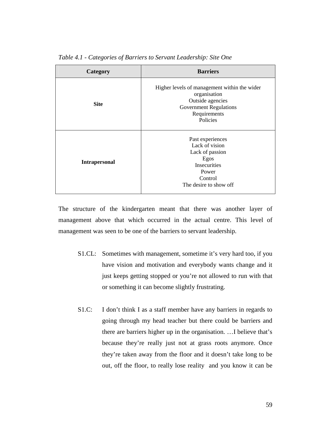| Category             | <b>Barriers</b>                                                                                                                               |
|----------------------|-----------------------------------------------------------------------------------------------------------------------------------------------|
| <b>Site</b>          | Higher levels of management within the wider<br>organisation<br>Outside agencies<br><b>Government Regulations</b><br>Requirements<br>Policies |
| <b>Intrapersonal</b> | Past experiences<br>Lack of vision<br>Lack of passion<br>Egos<br>Insecurities<br>Power<br>Control<br>The desire to show off                   |

*Table 4.1 - Categories of Barriers to Servant Leadership: Site One* 

The structure of the kindergarten meant that there was another layer of management above that which occurred in the actual centre. This level of management was seen to be one of the barriers to servant leadership.

- S1.CL: Sometimes with management, sometime it's very hard too, if you have vision and motivation and everybody wants change and it just keeps getting stopped or you're not allowed to run with that or something it can become slightly frustrating.
- S1.C: I don't think I as a staff member have any barriers in regards to going through my head teacher but there could be barriers and there are barriers higher up in the organisation. …I believe that's because they're really just not at grass roots anymore. Once they're taken away from the floor and it doesn't take long to be out, off the floor, to really lose reality and you know it can be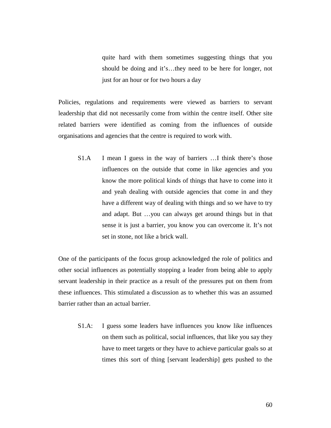quite hard with them sometimes suggesting things that you should be doing and it's…they need to be here for longer, not just for an hour or for two hours a day

Policies, regulations and requirements were viewed as barriers to servant leadership that did not necessarily come from within the centre itself. Other site related barriers were identified as coming from the influences of outside organisations and agencies that the centre is required to work with.

S1.A I mean I guess in the way of barriers …I think there's those influences on the outside that come in like agencies and you know the more political kinds of things that have to come into it and yeah dealing with outside agencies that come in and they have a different way of dealing with things and so we have to try and adapt. But …you can always get around things but in that sense it is just a barrier, you know you can overcome it. It's not set in stone, not like a brick wall.

One of the participants of the focus group acknowledged the role of politics and other social influences as potentially stopping a leader from being able to apply servant leadership in their practice as a result of the pressures put on them from these influences. This stimulated a discussion as to whether this was an assumed barrier rather than an actual barrier.

S1.A: I guess some leaders have influences you know like influences on them such as political, social influences, that like you say they have to meet targets or they have to achieve particular goals so at times this sort of thing [servant leadership] gets pushed to the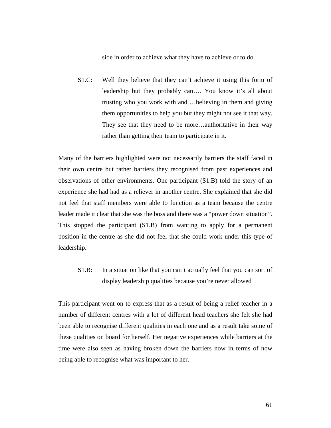side in order to achieve what they have to achieve or to do.

S1.C: Well they believe that they can't achieve it using this form of leadership but they probably can…. You know it's all about trusting who you work with and …believing in them and giving them opportunities to help you but they might not see it that way. They see that they need to be more…authoritative in their way rather than getting their team to participate in it.

Many of the barriers highlighted were not necessarily barriers the staff faced in their own centre but rather barriers they recognised from past experiences and observations of other environments. One participant (S1.B) told the story of an experience she had had as a reliever in another centre. She explained that she did not feel that staff members were able to function as a team because the centre leader made it clear that she was the boss and there was a "power down situation". This stopped the participant (S1.B) from wanting to apply for a permanent position in the centre as she did not feel that she could work under this type of leadership.

S1.B: In a situation like that you can't actually feel that you can sort of display leadership qualities because you're never allowed

This participant went on to express that as a result of being a relief teacher in a number of different centres with a lot of different head teachers she felt she had been able to recognise different qualities in each one and as a result take some of these qualities on board for herself. Her negative experiences while barriers at the time were also seen as having broken down the barriers now in terms of now being able to recognise what was important to her.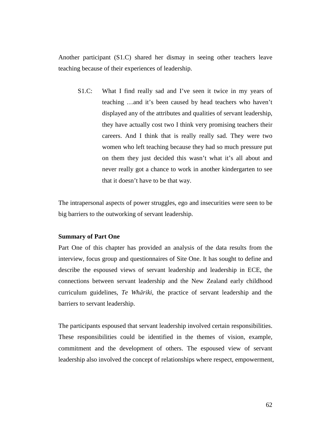Another participant (S1.C) shared her dismay in seeing other teachers leave teaching because of their experiences of leadership.

S1.C: What I find really sad and I've seen it twice in my years of teaching …and it's been caused by head teachers who haven't displayed any of the attributes and qualities of servant leadership, they have actually cost two I think very promising teachers their careers. And I think that is really really sad. They were two women who left teaching because they had so much pressure put on them they just decided this wasn't what it's all about and never really got a chance to work in another kindergarten to see that it doesn't have to be that way.

The intrapersonal aspects of power struggles, ego and insecurities were seen to be big barriers to the outworking of servant leadership.

### **Summary of Part One**

Part One of this chapter has provided an analysis of the data results from the interview, focus group and questionnaires of Site One. It has sought to define and describe the espoused views of servant leadership and leadership in ECE, the connections between servant leadership and the New Zealand early childhood curriculum guidelines, *Te Whāriki*, the practice of servant leadership and the barriers to servant leadership.

The participants espoused that servant leadership involved certain responsibilities. These responsibilities could be identified in the themes of vision, example, commitment and the development of others. The espoused view of servant leadership also involved the concept of relationships where respect, empowerment,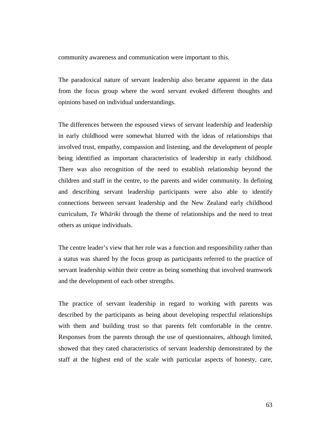community awareness and communication were important to this.

The paradoxical nature of servant leadership also became apparent in the data from the focus group where the word servant evoked different thoughts and opinions based on individual understandings.

The differences between the espoused views of servant leadership and leadership in early childhood were somewhat blurred with the ideas of relationships that involved trust, empathy, compassion and listening, and the development of people being identified as important characteristics of leadership in early childhood. There was also recognition of the need to establish relationship beyond the children and staff in the centre, to the parents and wider community. In defining and describing servant leadership participants were also able to identify connections between servant leadership and the New Zealand early childhood curriculum, *Te Whāriki* through the theme of relationships and the need to treat others as unique individuals.

The centre leader's view that her role was a function and responsibility rather than a status was shared by the focus group as participants referred to the practice of servant leadership within their centre as being something that involved teamwork and the development of each other strengths.

The practice of servant leadership in regard to working with parents was described by the participants as being about developing respectful relationships with them and building trust so that parents felt comfortable in the centre. Responses from the parents through the use of questionnaires, although limited, showed that they rated characteristics of servant leadership demonstrated by the staff at the highest end of the scale with particular aspects of honesty, care,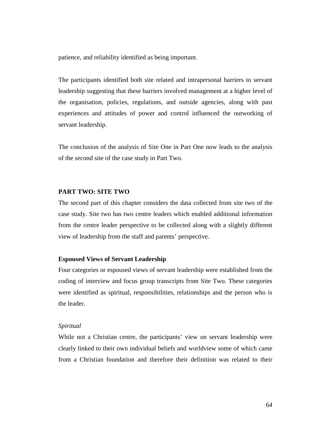patience, and reliability identified as being important.

The participants identified both site related and intrapersonal barriers to servant leadership suggesting that these barriers involved management at a higher level of the organisation, policies, regulations, and outside agencies, along with past experiences and attitudes of power and control influenced the outworking of servant leadership.

The conclusion of the analysis of Site One in Part One now leads to the analysis of the second site of the case study in Part Two.

### **PART TWO: SITE TWO**

The second part of this chapter considers the data collected from site two of the case study. Site two has two centre leaders which enabled additional information from the centre leader perspective to be collected along with a slightly different view of leadership from the staff and parents' perspective.

# **Espoused Views of Servant Leadership**

Four categories or espoused views of servant leadership were established from the coding of interview and focus group transcripts from Site Two. These categories were identified as spiritual, responsibilities, relationships and the person who is the leader.

#### *Spiritual*

While not a Christian centre, the participants' view on servant leadership were clearly linked to their own individual beliefs and worldview some of which came from a Christian foundation and therefore their definition was related to their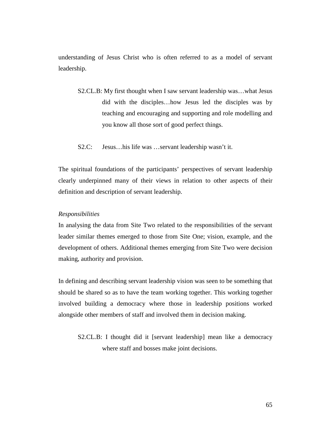understanding of Jesus Christ who is often referred to as a model of servant leadership.

- S2.CL.B: My first thought when I saw servant leadership was…what Jesus did with the disciples…how Jesus led the disciples was by teaching and encouraging and supporting and role modelling and you know all those sort of good perfect things.
- S2.C: Jesus…his life was …servant leadership wasn't it.

The spiritual foundations of the participants' perspectives of servant leadership clearly underpinned many of their views in relation to other aspects of their definition and description of servant leadership.

#### *Responsibilities*

In analysing the data from Site Two related to the responsibilities of the servant leader similar themes emerged to those from Site One; vision, example, and the development of others. Additional themes emerging from Site Two were decision making, authority and provision.

In defining and describing servant leadership vision was seen to be something that should be shared so as to have the team working together. This working together involved building a democracy where those in leadership positions worked alongside other members of staff and involved them in decision making.

S2.CL.B: I thought did it [servant leadership] mean like a democracy where staff and bosses make joint decisions.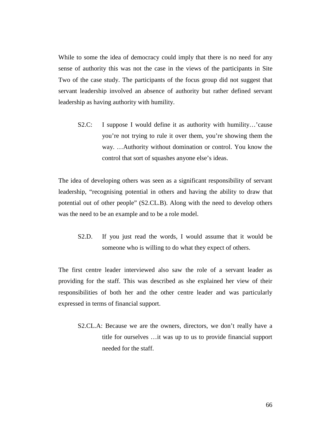While to some the idea of democracy could imply that there is no need for any sense of authority this was not the case in the views of the participants in Site Two of the case study. The participants of the focus group did not suggest that servant leadership involved an absence of authority but rather defined servant leadership as having authority with humility.

S2.C: I suppose I would define it as authority with humility…'cause you're not trying to rule it over them, you're showing them the way. …Authority without domination or control. You know the control that sort of squashes anyone else's ideas.

The idea of developing others was seen as a significant responsibility of servant leadership, "recognising potential in others and having the ability to draw that potential out of other people" (S2.CL.B). Along with the need to develop others was the need to be an example and to be a role model.

S2.D. If you just read the words, I would assume that it would be someone who is willing to do what they expect of others.

The first centre leader interviewed also saw the role of a servant leader as providing for the staff. This was described as she explained her view of their responsibilities of both her and the other centre leader and was particularly expressed in terms of financial support.

S2.CL.A: Because we are the owners, directors, we don't really have a title for ourselves …it was up to us to provide financial support needed for the staff.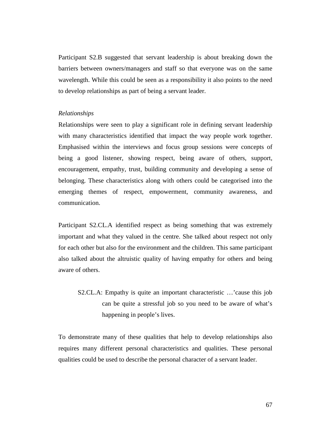Participant S2.B suggested that servant leadership is about breaking down the barriers between owners/managers and staff so that everyone was on the same wavelength. While this could be seen as a responsibility it also points to the need to develop relationships as part of being a servant leader.

#### *Relationships*

Relationships were seen to play a significant role in defining servant leadership with many characteristics identified that impact the way people work together. Emphasised within the interviews and focus group sessions were concepts of being a good listener, showing respect, being aware of others, support, encouragement, empathy, trust, building community and developing a sense of belonging. These characteristics along with others could be categorised into the emerging themes of respect, empowerment, community awareness, and communication.

Participant S2.CL.A identified respect as being something that was extremely important and what they valued in the centre. She talked about respect not only for each other but also for the environment and the children. This same participant also talked about the altruistic quality of having empathy for others and being aware of others.

S2.CL.A: Empathy is quite an important characteristic …'cause this job can be quite a stressful job so you need to be aware of what's happening in people's lives.

To demonstrate many of these qualities that help to develop relationships also requires many different personal characteristics and qualities. These personal qualities could be used to describe the personal character of a servant leader.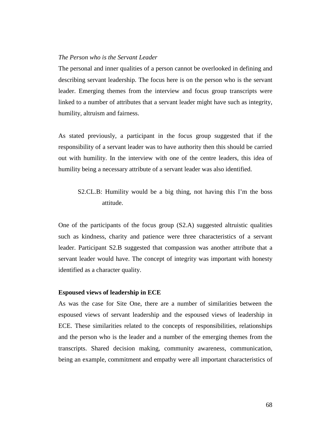# *The Person who is the Servant Leader*

The personal and inner qualities of a person cannot be overlooked in defining and describing servant leadership. The focus here is on the person who is the servant leader. Emerging themes from the interview and focus group transcripts were linked to a number of attributes that a servant leader might have such as integrity, humility, altruism and fairness.

As stated previously, a participant in the focus group suggested that if the responsibility of a servant leader was to have authority then this should be carried out with humility. In the interview with one of the centre leaders, this idea of humility being a necessary attribute of a servant leader was also identified.

S2.CL.B: Humility would be a big thing, not having this I'm the boss attitude.

One of the participants of the focus group (S2.A) suggested altruistic qualities such as kindness, charity and patience were three characteristics of a servant leader. Participant S2.B suggested that compassion was another attribute that a servant leader would have. The concept of integrity was important with honesty identified as a character quality.

### **Espoused views of leadership in ECE**

As was the case for Site One, there are a number of similarities between the espoused views of servant leadership and the espoused views of leadership in ECE. These similarities related to the concepts of responsibilities, relationships and the person who is the leader and a number of the emerging themes from the transcripts. Shared decision making, community awareness, communication, being an example, commitment and empathy were all important characteristics of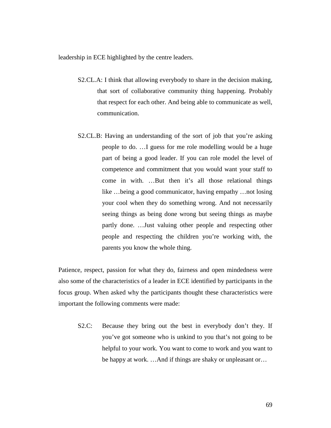leadership in ECE highlighted by the centre leaders.

- S2.CL.A: I think that allowing everybody to share in the decision making, that sort of collaborative community thing happening. Probably that respect for each other. And being able to communicate as well, communication.
- S2.CL.B: Having an understanding of the sort of job that you're asking people to do. …I guess for me role modelling would be a huge part of being a good leader. If you can role model the level of competence and commitment that you would want your staff to come in with. …But then it's all those relational things like …being a good communicator, having empathy …not losing your cool when they do something wrong. And not necessarily seeing things as being done wrong but seeing things as maybe partly done. …Just valuing other people and respecting other people and respecting the children you're working with, the parents you know the whole thing.

Patience, respect, passion for what they do, fairness and open mindedness were also some of the characteristics of a leader in ECE identified by participants in the focus group. When asked why the participants thought these characteristics were important the following comments were made:

S2.C: Because they bring out the best in everybody don't they. If you've got someone who is unkind to you that's not going to be helpful to your work. You want to come to work and you want to be happy at work. …And if things are shaky or unpleasant or…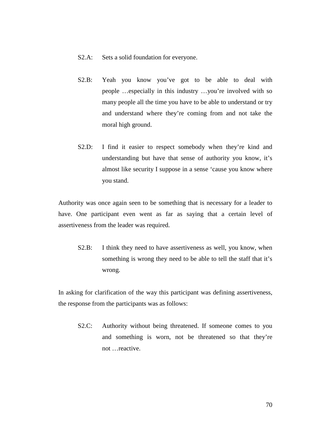### S2.A: Sets a solid foundation for everyone.

- S2.B: Yeah you know you've got to be able to deal with people …especially in this industry …you're involved with so many people all the time you have to be able to understand or try and understand where they're coming from and not take the moral high ground.
- S2.D: I find it easier to respect somebody when they're kind and understanding but have that sense of authority you know, it's almost like security I suppose in a sense 'cause you know where you stand.

Authority was once again seen to be something that is necessary for a leader to have. One participant even went as far as saying that a certain level of assertiveness from the leader was required.

S2.B: I think they need to have assertiveness as well, you know, when something is wrong they need to be able to tell the staff that it's wrong.

In asking for clarification of the way this participant was defining assertiveness, the response from the participants was as follows:

S2.C: Authority without being threatened. If someone comes to you and something is worn, not be threatened so that they're not …reactive.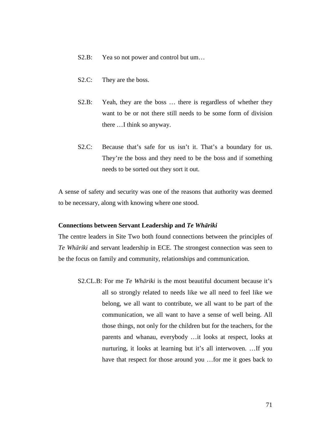- S2.B: Yea so not power and control but um...
- S2.C: They are the boss.
- S2.B: Yeah, they are the boss ... there is regardless of whether they want to be or not there still needs to be some form of division there …I think so anyway.
- S2.C: Because that's safe for us isn't it. That's a boundary for us. They're the boss and they need to be the boss and if something needs to be sorted out they sort it out.

A sense of safety and security was one of the reasons that authority was deemed to be necessary, along with knowing where one stood.

# **Connections between Servant Leadership and** *Te Whāriki*

The centre leaders in Site Two both found connections between the principles of *Te Whāriki* and servant leadership in ECE. The strongest connection was seen to be the focus on family and community, relationships and communication.

S2.CL.B: For me *Te Whāriki* is the most beautiful document because it's all so strongly related to needs like we all need to feel like we belong, we all want to contribute, we all want to be part of the communication, we all want to have a sense of well being. All those things, not only for the children but for the teachers, for the parents and whanau, everybody …it looks at respect, looks at nurturing, it looks at learning but it's all interwoven. …If you have that respect for those around you …for me it goes back to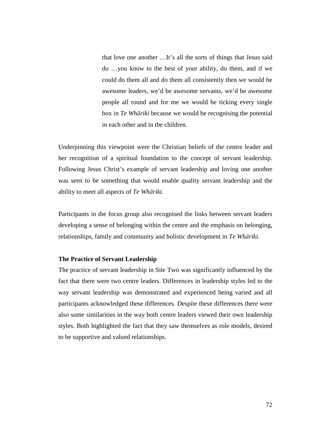that love one another …It's all the sorts of things that Jesus said do …you know to the best of your ability, do them, and if we could do them all and do them all consistently then we would be awesome leaders, we'd be awesome servants, we'd be awesome people all round and for me we would be ticking every single box in *Te Whāriki* because we would be recognising the potential in each other and in the children.

Underpinning this viewpoint were the Christian beliefs of the centre leader and her recognition of a spiritual foundation to the concept of servant leadership. Following Jesus Christ's example of servant leadership and loving one another was seen to be something that would enable quality servant leadership and the ability to meet all aspects of *Te Whāriki.*

Participants in the focus group also recognised the links between servant leaders developing a sense of belonging within the centre and the emphasis on belonging, relationships, family and community and holistic development in *Te Whāriki.*

# **The Practice of Servant Leadership**

The practice of servant leadership in Site Two was significantly influenced by the fact that there were two centre leaders. Differences in leadership styles led to the way servant leadership was demonstrated and experienced being varied and all participants acknowledged these differences. Despite these differences there were also some similarities in the way both centre leaders viewed their own leadership styles. Both highlighted the fact that they saw themselves as role models, desired to be supportive and valued relationships.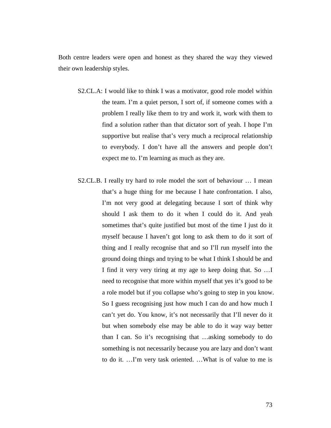Both centre leaders were open and honest as they shared the way they viewed their own leadership styles.

- S2.CL.A: I would like to think I was a motivator, good role model within the team. I'm a quiet person, I sort of, if someone comes with a problem I really like them to try and work it, work with them to find a solution rather than that dictator sort of yeah. I hope I'm supportive but realise that's very much a reciprocal relationship to everybody. I don't have all the answers and people don't expect me to. I'm learning as much as they are.
- S2.CL.B. I really try hard to role model the sort of behaviour … I mean that's a huge thing for me because I hate confrontation. I also, I'm not very good at delegating because I sort of think why should I ask them to do it when I could do it. And yeah sometimes that's quite justified but most of the time I just do it myself because I haven't got long to ask them to do it sort of thing and I really recognise that and so I'll run myself into the ground doing things and trying to be what I think I should be and I find it very very tiring at my age to keep doing that. So …I need to recognise that more within myself that yes it's good to be a role model but if you collapse who's going to step in you know. So I guess recognising just how much I can do and how much I can't yet do. You know, it's not necessarily that I'll never do it but when somebody else may be able to do it way way better than I can. So it's recognising that …asking somebody to do something is not necessarily because you are lazy and don't want to do it. …I'm very task oriented. …What is of value to me is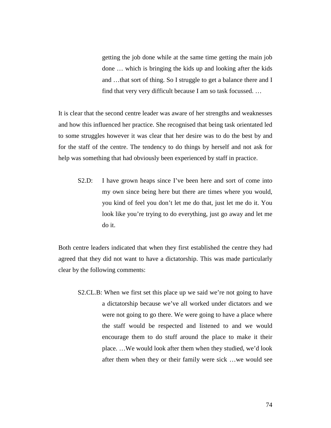getting the job done while at the same time getting the main job done … which is bringing the kids up and looking after the kids and …that sort of thing. So I struggle to get a balance there and I find that very very difficult because I am so task focussed. …

It is clear that the second centre leader was aware of her strengths and weaknesses and how this influenced her practice. She recognised that being task orientated led to some struggles however it was clear that her desire was to do the best by and for the staff of the centre. The tendency to do things by herself and not ask for help was something that had obviously been experienced by staff in practice.

S2.D: I have grown heaps since I've been here and sort of come into my own since being here but there are times where you would, you kind of feel you don't let me do that, just let me do it. You look like you're trying to do everything, just go away and let me do it.

Both centre leaders indicated that when they first established the centre they had agreed that they did not want to have a dictatorship. This was made particularly clear by the following comments:

S2.CL.B: When we first set this place up we said we're not going to have a dictatorship because we've all worked under dictators and we were not going to go there. We were going to have a place where the staff would be respected and listened to and we would encourage them to do stuff around the place to make it their place. …We would look after them when they studied, we'd look after them when they or their family were sick …we would see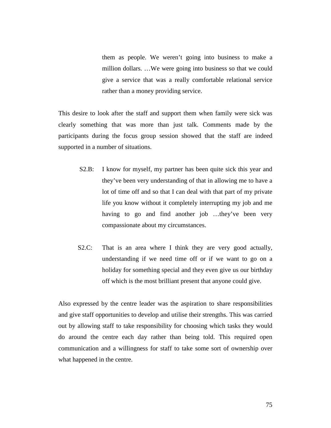them as people. We weren't going into business to make a million dollars. …We were going into business so that we could give a service that was a really comfortable relational service rather than a money providing service.

This desire to look after the staff and support them when family were sick was clearly something that was more than just talk. Comments made by the participants during the focus group session showed that the staff are indeed supported in a number of situations.

- S2.B: I know for myself, my partner has been quite sick this year and they've been very understanding of that in allowing me to have a lot of time off and so that I can deal with that part of my private life you know without it completely interrupting my job and me having to go and find another job …they've been very compassionate about my circumstances.
- S2.C: That is an area where I think they are very good actually, understanding if we need time off or if we want to go on a holiday for something special and they even give us our birthday off which is the most brilliant present that anyone could give.

Also expressed by the centre leader was the aspiration to share responsibilities and give staff opportunities to develop and utilise their strengths. This was carried out by allowing staff to take responsibility for choosing which tasks they would do around the centre each day rather than being told. This required open communication and a willingness for staff to take some sort of ownership over what happened in the centre.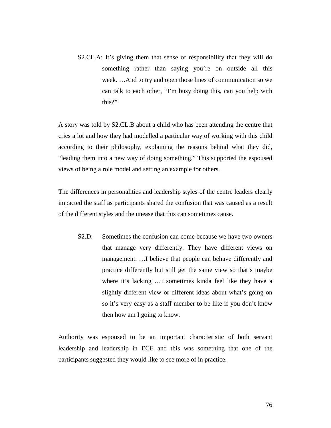S2.CL.A: It's giving them that sense of responsibility that they will do something rather than saying you're on outside all this week. …And to try and open those lines of communication so we can talk to each other, "I'm busy doing this, can you help with this?"

A story was told by S2.CL.B about a child who has been attending the centre that cries a lot and how they had modelled a particular way of working with this child according to their philosophy, explaining the reasons behind what they did, "leading them into a new way of doing something." This supported the espoused views of being a role model and setting an example for others.

The differences in personalities and leadership styles of the centre leaders clearly impacted the staff as participants shared the confusion that was caused as a result of the different styles and the unease that this can sometimes cause.

S2.D: Sometimes the confusion can come because we have two owners that manage very differently. They have different views on management. …I believe that people can behave differently and practice differently but still get the same view so that's maybe where it's lacking …I sometimes kinda feel like they have a slightly different view or different ideas about what's going on so it's very easy as a staff member to be like if you don't know then how am I going to know.

Authority was espoused to be an important characteristic of both servant leadership and leadership in ECE and this was something that one of the participants suggested they would like to see more of in practice.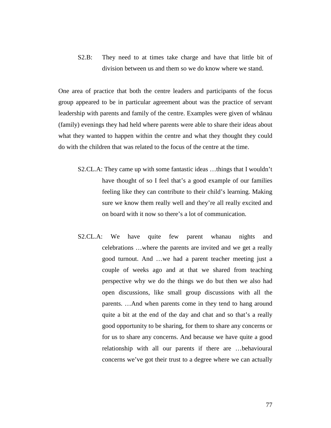S2.B: They need to at times take charge and have that little bit of division between us and them so we do know where we stand.

One area of practice that both the centre leaders and participants of the focus group appeared to be in particular agreement about was the practice of servant leadership with parents and family of the centre. Examples were given of whānau (family) evenings they had held where parents were able to share their ideas about what they wanted to happen within the centre and what they thought they could do with the children that was related to the focus of the centre at the time.

- S2.CL.A: They came up with some fantastic ideas …things that I wouldn't have thought of so I feel that's a good example of our families feeling like they can contribute to their child's learning. Making sure we know them really well and they're all really excited and on board with it now so there's a lot of communication.
- S2.CL.A: We have quite few parent whanau nights and celebrations …where the parents are invited and we get a really good turnout. And …we had a parent teacher meeting just a couple of weeks ago and at that we shared from teaching perspective why we do the things we do but then we also had open discussions, like small group discussions with all the parents. …And when parents come in they tend to hang around quite a bit at the end of the day and chat and so that's a really good opportunity to be sharing, for them to share any concerns or for us to share any concerns. And because we have quite a good relationship with all our parents if there are …behavioural concerns we've got their trust to a degree where we can actually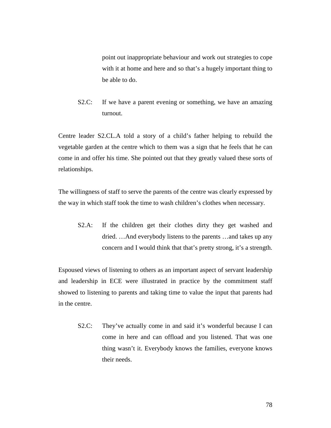point out inappropriate behaviour and work out strategies to cope with it at home and here and so that's a hugely important thing to be able to do.

S2.C: If we have a parent evening or something, we have an amazing turnout.

Centre leader S2.CL.A told a story of a child's father helping to rebuild the vegetable garden at the centre which to them was a sign that he feels that he can come in and offer his time. She pointed out that they greatly valued these sorts of relationships.

The willingness of staff to serve the parents of the centre was clearly expressed by the way in which staff took the time to wash children's clothes when necessary.

S2.A: If the children get their clothes dirty they get washed and dried. …And everybody listens to the parents …and takes up any concern and I would think that that's pretty strong, it's a strength.

Espoused views of listening to others as an important aspect of servant leadership and leadership in ECE were illustrated in practice by the commitment staff showed to listening to parents and taking time to value the input that parents had in the centre.

S2.C: They've actually come in and said it's wonderful because I can come in here and can offload and you listened. That was one thing wasn't it. Everybody knows the families, everyone knows their needs.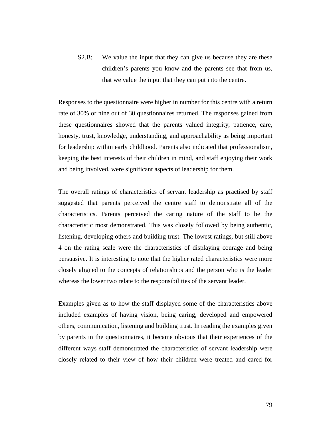S2.B: We value the input that they can give us because they are these children's parents you know and the parents see that from us, that we value the input that they can put into the centre.

Responses to the questionnaire were higher in number for this centre with a return rate of 30% or nine out of 30 questionnaires returned. The responses gained from these questionnaires showed that the parents valued integrity, patience, care, honesty, trust, knowledge, understanding, and approachability as being important for leadership within early childhood. Parents also indicated that professionalism, keeping the best interests of their children in mind, and staff enjoying their work and being involved, were significant aspects of leadership for them.

The overall ratings of characteristics of servant leadership as practised by staff suggested that parents perceived the centre staff to demonstrate all of the characteristics. Parents perceived the caring nature of the staff to be the characteristic most demonstrated. This was closely followed by being authentic, listening, developing others and building trust. The lowest ratings, but still above 4 on the rating scale were the characteristics of displaying courage and being persuasive. It is interesting to note that the higher rated characteristics were more closely aligned to the concepts of relationships and the person who is the leader whereas the lower two relate to the responsibilities of the servant leader.

Examples given as to how the staff displayed some of the characteristics above included examples of having vision, being caring, developed and empowered others, communication, listening and building trust. In reading the examples given by parents in the questionnaires, it became obvious that their experiences of the different ways staff demonstrated the characteristics of servant leadership were closely related to their view of how their children were treated and cared for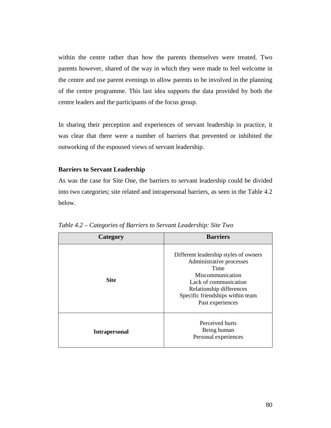within the centre rather than how the parents themselves were treated. Two parents however, shared of the way in which they were made to feel welcome in the centre and use parent evenings to allow parents to be involved in the planning of the centre programme. This last idea supports the data provided by both the centre leaders and the participants of the focus group.

In sharing their perception and experiences of servant leadership in practice, it was clear that there were a number of barriers that prevented or inhibited the outworking of the espoused views of servant leadership.

# **Barriers to Servant Leadership**

As was the case for Site One, the barriers to servant leadership could be divided into two categories; site related and intrapersonal barriers, as seen in the Table 4.2 below.

| Category             | <b>Barriers</b>                                                                                                                                                                                            |
|----------------------|------------------------------------------------------------------------------------------------------------------------------------------------------------------------------------------------------------|
| <b>Site</b>          | Different leadership styles of owners<br>Administrative processes<br>Time<br>Miscommunication<br>Lack of communication<br>Relationship differences<br>Specific friendships within team<br>Past experiences |
| <b>Intrapersonal</b> | Perceived hurts<br>Being human<br>Personal experiences                                                                                                                                                     |

*Table 4.2 – Categories of Barriers to Servant Leadership: Site Two*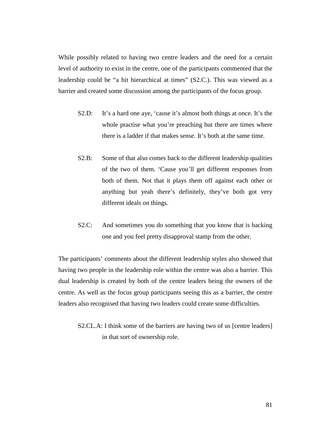While possibly related to having two centre leaders and the need for a certain level of authority to exist in the centre, one of the participants commented that the leadership could be "a bit hierarchical at times" (S2.C.). This was viewed as a barrier and created some discussion among the participants of the focus group.

- S2.D: It's a hard one aye, 'cause it's almost both things at once. It's the whole practise what you're preaching but there are times where there is a ladder if that makes sense. It's both at the same time.
- S2.B: Some of that also comes back to the different leadership qualities of the two of them. 'Cause you'll get different responses from both of them. Not that it plays them off against each other or anything but yeah there's definitely, they've both got very different ideals on things.
- S2.C: And sometimes you do something that you know that is backing one and you feel pretty disapproval stamp from the other.

The participants' comments about the different leadership styles also showed that having two people in the leadership role within the centre was also a barrier. This dual leadership is created by both of the centre leaders being the owners of the centre. As well as the focus group participants seeing this as a barrier, the centre leaders also recognised that having two leaders could create some difficulties.

S2.CL.A: I think some of the barriers are having two of us [centre leaders] in that sort of ownership role.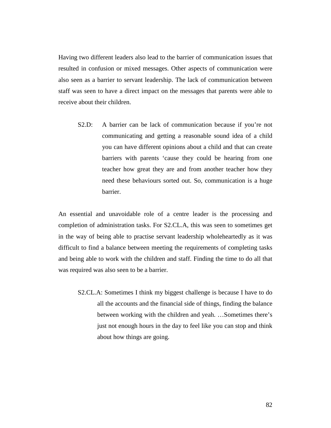Having two different leaders also lead to the barrier of communication issues that resulted in confusion or mixed messages. Other aspects of communication were also seen as a barrier to servant leadership. The lack of communication between staff was seen to have a direct impact on the messages that parents were able to receive about their children.

S2.D: A barrier can be lack of communication because if you're not communicating and getting a reasonable sound idea of a child you can have different opinions about a child and that can create barriers with parents 'cause they could be hearing from one teacher how great they are and from another teacher how they need these behaviours sorted out. So, communication is a huge barrier.

An essential and unavoidable role of a centre leader is the processing and completion of administration tasks. For S2.CL.A, this was seen to sometimes get in the way of being able to practise servant leadership wholeheartedly as it was difficult to find a balance between meeting the requirements of completing tasks and being able to work with the children and staff. Finding the time to do all that was required was also seen to be a barrier.

S2.CL.A: Sometimes I think my biggest challenge is because I have to do all the accounts and the financial side of things, finding the balance between working with the children and yeah. …Sometimes there's just not enough hours in the day to feel like you can stop and think about how things are going.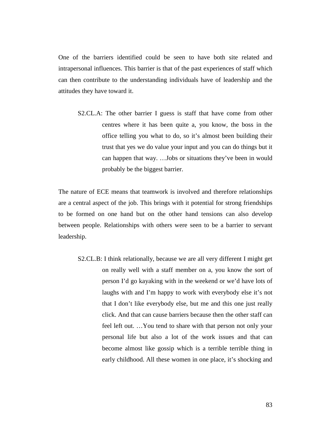One of the barriers identified could be seen to have both site related and intrapersonal influences. This barrier is that of the past experiences of staff which can then contribute to the understanding individuals have of leadership and the attitudes they have toward it.

S2.CL.A: The other barrier I guess is staff that have come from other centres where it has been quite a, you know, the boss in the office telling you what to do, so it's almost been building their trust that yes we do value your input and you can do things but it can happen that way. …Jobs or situations they've been in would probably be the biggest barrier.

The nature of ECE means that teamwork is involved and therefore relationships are a central aspect of the job. This brings with it potential for strong friendships to be formed on one hand but on the other hand tensions can also develop between people. Relationships with others were seen to be a barrier to servant leadership.

S2.CL.B: I think relationally, because we are all very different I might get on really well with a staff member on a, you know the sort of person I'd go kayaking with in the weekend or we'd have lots of laughs with and I'm happy to work with everybody else it's not that I don't like everybody else, but me and this one just really click. And that can cause barriers because then the other staff can feel left out. …You tend to share with that person not only your personal life but also a lot of the work issues and that can become almost like gossip which is a terrible terrible thing in early childhood. All these women in one place, it's shocking and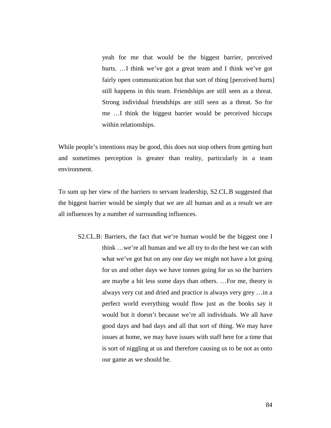yeah for me that would be the biggest barrier, perceived hurts. ...I think we've got a great team and I think we've got fairly open communication but that sort of thing [perceived hurts] still happens in this team. Friendships are still seen as a threat. Strong individual friendships are still seen as a threat. So for me …I think the biggest barrier would be perceived hiccups within relationships.

While people's intentions may be good, this does not stop others from getting hurt and sometimes perception is greater than reality, particularly in a team environment.

To sum up her view of the barriers to servant leadership, S2.CL.B suggested that the biggest barrier would be simply that we are all human and as a result we are all influences by a number of surrounding influences.

S2.CL.B: Barriers, the fact that we're human would be the biggest one I think …we're all human and we all try to do the best we can with what we've got but on any one day we might not have a lot going for us and other days we have tonnes going for us so the barriers are maybe a bit less some days than others. …For me, theory is always very cut and dried and practice is always very grey …in a perfect world everything would flow just as the books say it would but it doesn't because we're all individuals. We all have good days and bad days and all that sort of thing. We may have issues at home, we may have issues with staff here for a time that is sort of niggling at us and therefore causing us to be not as onto our game as we should be.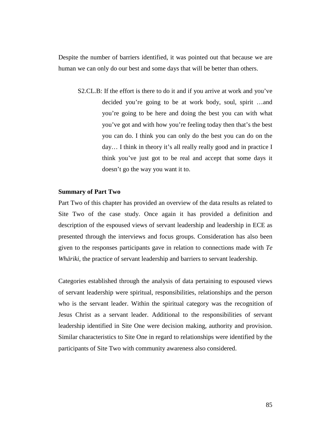Despite the number of barriers identified, it was pointed out that because we are human we can only do our best and some days that will be better than others.

S2.CL.B: If the effort is there to do it and if you arrive at work and you've decided you're going to be at work body, soul, spirit …and you're going to be here and doing the best you can with what you've got and with how you're feeling today then that's the best you can do. I think you can only do the best you can do on the day… I think in theory it's all really really good and in practice I think you've just got to be real and accept that some days it doesn't go the way you want it to.

## **Summary of Part Two**

Part Two of this chapter has provided an overview of the data results as related to Site Two of the case study. Once again it has provided a definition and description of the espoused views of servant leadership and leadership in ECE as presented through the interviews and focus groups. Consideration has also been given to the responses participants gave in relation to connections made with *Te Whāriki*, the practice of servant leadership and barriers to servant leadership.

Categories established through the analysis of data pertaining to espoused views of servant leadership were spiritual, responsibilities, relationships and the person who is the servant leader. Within the spiritual category was the recognition of Jesus Christ as a servant leader. Additional to the responsibilities of servant leadership identified in Site One were decision making, authority and provision. Similar characteristics to Site One in regard to relationships were identified by the participants of Site Two with community awareness also considered.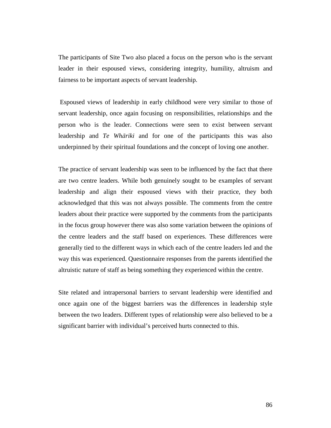The participants of Site Two also placed a focus on the person who is the servant leader in their espoused views, considering integrity, humility, altruism and fairness to be important aspects of servant leadership.

 Espoused views of leadership in early childhood were very similar to those of servant leadership, once again focusing on responsibilities, relationships and the person who is the leader. Connections were seen to exist between servant leadership and *Te Whāriki* and for one of the participants this was also underpinned by their spiritual foundations and the concept of loving one another.

The practice of servant leadership was seen to be influenced by the fact that there are two centre leaders. While both genuinely sought to be examples of servant leadership and align their espoused views with their practice, they both acknowledged that this was not always possible. The comments from the centre leaders about their practice were supported by the comments from the participants in the focus group however there was also some variation between the opinions of the centre leaders and the staff based on experiences. These differences were generally tied to the different ways in which each of the centre leaders led and the way this was experienced. Questionnaire responses from the parents identified the altruistic nature of staff as being something they experienced within the centre.

Site related and intrapersonal barriers to servant leadership were identified and once again one of the biggest barriers was the differences in leadership style between the two leaders. Different types of relationship were also believed to be a significant barrier with individual's perceived hurts connected to this.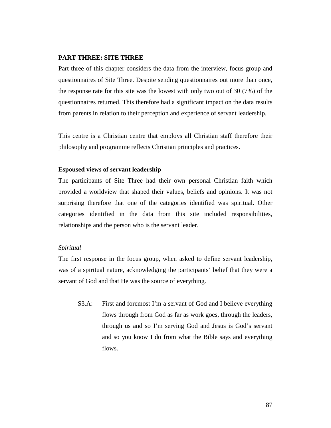# **PART THREE: SITE THREE**

Part three of this chapter considers the data from the interview, focus group and questionnaires of Site Three. Despite sending questionnaires out more than once, the response rate for this site was the lowest with only two out of 30 (7%) of the questionnaires returned. This therefore had a significant impact on the data results from parents in relation to their perception and experience of servant leadership.

This centre is a Christian centre that employs all Christian staff therefore their philosophy and programme reflects Christian principles and practices.

# **Espoused views of servant leadership**

The participants of Site Three had their own personal Christian faith which provided a worldview that shaped their values, beliefs and opinions. It was not surprising therefore that one of the categories identified was spiritual. Other categories identified in the data from this site included responsibilities, relationships and the person who is the servant leader.

#### *Spiritual*

The first response in the focus group, when asked to define servant leadership, was of a spiritual nature, acknowledging the participants' belief that they were a servant of God and that He was the source of everything.

S3.A: First and foremost I'm a servant of God and I believe everything flows through from God as far as work goes, through the leaders, through us and so I'm serving God and Jesus is God's servant and so you know I do from what the Bible says and everything flows.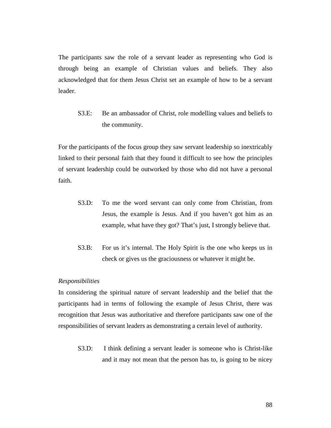The participants saw the role of a servant leader as representing who God is through being an example of Christian values and beliefs. They also acknowledged that for them Jesus Christ set an example of how to be a servant leader.

S3.E: Be an ambassador of Christ, role modelling values and beliefs to the community.

For the participants of the focus group they saw servant leadership so inextricably linked to their personal faith that they found it difficult to see how the principles of servant leadership could be outworked by those who did not have a personal faith.

- S3.D: To me the word servant can only come from Christian, from Jesus, the example is Jesus. And if you haven't got him as an example, what have they got? That's just, I strongly believe that.
- S3.B: For us it's internal. The Holy Spirit is the one who keeps us in check or gives us the graciousness or whatever it might be.

#### *Responsibilities*

In considering the spiritual nature of servant leadership and the belief that the participants had in terms of following the example of Jesus Christ, there was recognition that Jesus was authoritative and therefore participants saw one of the responsibilities of servant leaders as demonstrating a certain level of authority.

S3.D: I think defining a servant leader is someone who is Christ-like and it may not mean that the person has to, is going to be nicey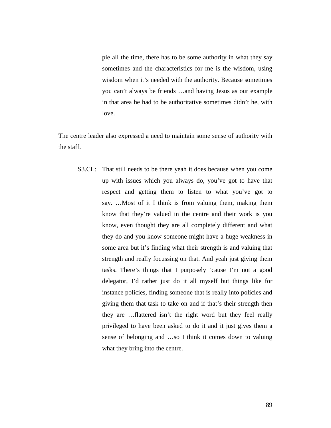pie all the time, there has to be some authority in what they say sometimes and the characteristics for me is the wisdom, using wisdom when it's needed with the authority. Because sometimes you can't always be friends …and having Jesus as our example in that area he had to be authoritative sometimes didn't he, with love.

The centre leader also expressed a need to maintain some sense of authority with the staff.

S3.CL: That still needs to be there yeah it does because when you come up with issues which you always do, you've got to have that respect and getting them to listen to what you've got to say. …Most of it I think is from valuing them, making them know that they're valued in the centre and their work is you know, even thought they are all completely different and what they do and you know someone might have a huge weakness in some area but it's finding what their strength is and valuing that strength and really focussing on that. And yeah just giving them tasks. There's things that I purposely 'cause I'm not a good delegator, I'd rather just do it all myself but things like for instance policies, finding someone that is really into policies and giving them that task to take on and if that's their strength then they are …flattered isn't the right word but they feel really privileged to have been asked to do it and it just gives them a sense of belonging and …so I think it comes down to valuing what they bring into the centre.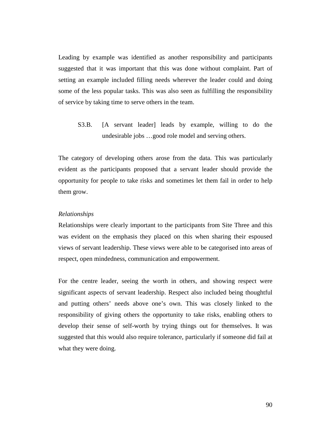Leading by example was identified as another responsibility and participants suggested that it was important that this was done without complaint. Part of setting an example included filling needs wherever the leader could and doing some of the less popular tasks. This was also seen as fulfilling the responsibility of service by taking time to serve others in the team.

S3.B. [A servant leader] leads by example, willing to do the undesirable jobs …good role model and serving others.

The category of developing others arose from the data. This was particularly evident as the participants proposed that a servant leader should provide the opportunity for people to take risks and sometimes let them fail in order to help them grow.

#### *Relationships*

Relationships were clearly important to the participants from Site Three and this was evident on the emphasis they placed on this when sharing their espoused views of servant leadership. These views were able to be categorised into areas of respect, open mindedness, communication and empowerment.

For the centre leader, seeing the worth in others, and showing respect were significant aspects of servant leadership. Respect also included being thoughtful and putting others' needs above one's own. This was closely linked to the responsibility of giving others the opportunity to take risks, enabling others to develop their sense of self-worth by trying things out for themselves. It was suggested that this would also require tolerance, particularly if someone did fail at what they were doing.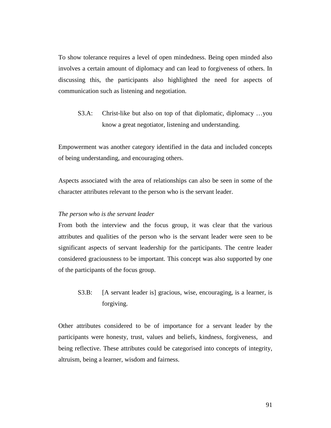To show tolerance requires a level of open mindedness. Being open minded also involves a certain amount of diplomacy and can lead to forgiveness of others. In discussing this, the participants also highlighted the need for aspects of communication such as listening and negotiation.

S3.A: Christ-like but also on top of that diplomatic, diplomacy …you know a great negotiator, listening and understanding.

Empowerment was another category identified in the data and included concepts of being understanding, and encouraging others.

Aspects associated with the area of relationships can also be seen in some of the character attributes relevant to the person who is the servant leader.

# *The person who is the servant leader*

From both the interview and the focus group, it was clear that the various attributes and qualities of the person who is the servant leader were seen to be significant aspects of servant leadership for the participants. The centre leader considered graciousness to be important. This concept was also supported by one of the participants of the focus group.

S3.B: [A servant leader is] gracious, wise, encouraging, is a learner, is forgiving.

Other attributes considered to be of importance for a servant leader by the participants were honesty, trust, values and beliefs, kindness, forgiveness, and being reflective. These attributes could be categorised into concepts of integrity, altruism, being a learner, wisdom and fairness.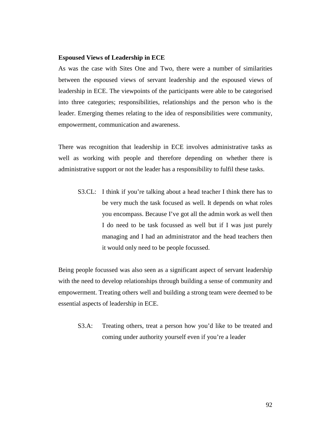# **Espoused Views of Leadership in ECE**

As was the case with Sites One and Two, there were a number of similarities between the espoused views of servant leadership and the espoused views of leadership in ECE. The viewpoints of the participants were able to be categorised into three categories; responsibilities, relationships and the person who is the leader. Emerging themes relating to the idea of responsibilities were community, empowerment, communication and awareness.

There was recognition that leadership in ECE involves administrative tasks as well as working with people and therefore depending on whether there is administrative support or not the leader has a responsibility to fulfil these tasks.

S3.CL: I think if you're talking about a head teacher I think there has to be very much the task focused as well. It depends on what roles you encompass. Because I've got all the admin work as well then I do need to be task focussed as well but if I was just purely managing and I had an administrator and the head teachers then it would only need to be people focussed.

Being people focussed was also seen as a significant aspect of servant leadership with the need to develop relationships through building a sense of community and empowerment. Treating others well and building a strong team were deemed to be essential aspects of leadership in ECE.

S3.A: Treating others, treat a person how you'd like to be treated and coming under authority yourself even if you're a leader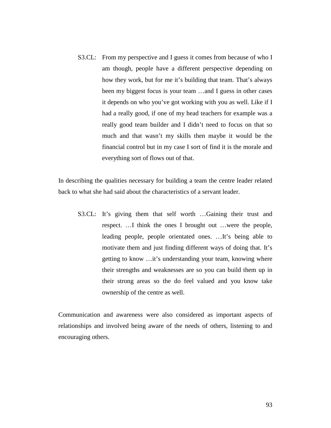S3.CL: From my perspective and I guess it comes from because of who I am though, people have a different perspective depending on how they work, but for me it's building that team. That's always been my biggest focus is your team …and I guess in other cases it depends on who you've got working with you as well. Like if I had a really good, if one of my head teachers for example was a really good team builder and I didn't need to focus on that so much and that wasn't my skills then maybe it would be the financial control but in my case I sort of find it is the morale and everything sort of flows out of that.

In describing the qualities necessary for building a team the centre leader related back to what she had said about the characteristics of a servant leader.

S3.CL: It's giving them that self worth …Gaining their trust and respect. …I think the ones I brought out …were the people, leading people, people orientated ones. …It's being able to motivate them and just finding different ways of doing that. It's getting to know …it's understanding your team, knowing where their strengths and weaknesses are so you can build them up in their strong areas so the do feel valued and you know take ownership of the centre as well.

Communication and awareness were also considered as important aspects of relationships and involved being aware of the needs of others, listening to and encouraging others.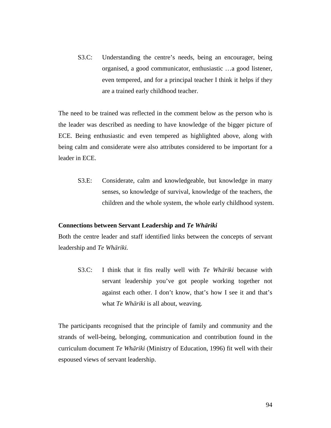S3.C: Understanding the centre's needs, being an encourager, being organised, a good communicator, enthusiastic …a good listener, even tempered, and for a principal teacher I think it helps if they are a trained early childhood teacher.

The need to be trained was reflected in the comment below as the person who is the leader was described as needing to have knowledge of the bigger picture of ECE. Being enthusiastic and even tempered as highlighted above, along with being calm and considerate were also attributes considered to be important for a leader in ECE.

S3.E: Considerate, calm and knowledgeable, but knowledge in many senses, so knowledge of survival, knowledge of the teachers, the children and the whole system, the whole early childhood system.

## **Connections between Servant Leadership and** *Te Whāriki*

Both the centre leader and staff identified links between the concepts of servant leadership and *Te Whāriki.* 

S3.C: I think that it fits really well with *Te Whāriki* because with servant leadership you've got people working together not against each other. I don't know, that's how I see it and that's what *Te Whāriki* is all about, weaving.

The participants recognised that the principle of family and community and the strands of well-being, belonging, communication and contribution found in the curriculum document *Te Whāriki* (Ministry of Education, 1996) fit well with their espoused views of servant leadership.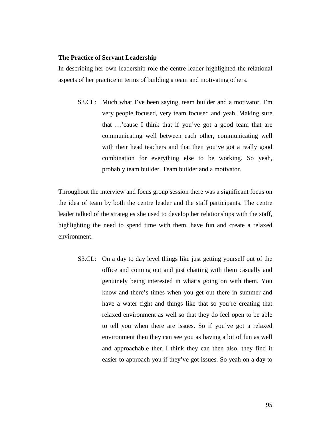# **The Practice of Servant Leadership**

In describing her own leadership role the centre leader highlighted the relational aspects of her practice in terms of building a team and motivating others.

S3.CL: Much what I've been saying, team builder and a motivator. I'm very people focused, very team focused and yeah. Making sure that …'cause I think that if you've got a good team that are communicating well between each other, communicating well with their head teachers and that then you've got a really good combination for everything else to be working. So yeah, probably team builder. Team builder and a motivator.

Throughout the interview and focus group session there was a significant focus on the idea of team by both the centre leader and the staff participants. The centre leader talked of the strategies she used to develop her relationships with the staff, highlighting the need to spend time with them, have fun and create a relaxed environment.

S3.CL: On a day to day level things like just getting yourself out of the office and coming out and just chatting with them casually and genuinely being interested in what's going on with them. You know and there's times when you get out there in summer and have a water fight and things like that so you're creating that relaxed environment as well so that they do feel open to be able to tell you when there are issues. So if you've got a relaxed environment then they can see you as having a bit of fun as well and approachable then I think they can then also, they find it easier to approach you if they've got issues. So yeah on a day to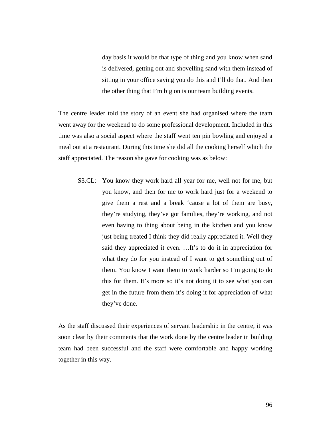day basis it would be that type of thing and you know when sand is delivered, getting out and shovelling sand with them instead of sitting in your office saying you do this and I'll do that. And then the other thing that I'm big on is our team building events.

The centre leader told the story of an event she had organised where the team went away for the weekend to do some professional development. Included in this time was also a social aspect where the staff went ten pin bowling and enjoyed a meal out at a restaurant. During this time she did all the cooking herself which the staff appreciated. The reason she gave for cooking was as below:

S3.CL: You know they work hard all year for me, well not for me, but you know, and then for me to work hard just for a weekend to give them a rest and a break 'cause a lot of them are busy, they're studying, they've got families, they're working, and not even having to thing about being in the kitchen and you know just being treated I think they did really appreciated it. Well they said they appreciated it even. …It's to do it in appreciation for what they do for you instead of I want to get something out of them. You know I want them to work harder so I'm going to do this for them. It's more so it's not doing it to see what you can get in the future from them it's doing it for appreciation of what they've done.

As the staff discussed their experiences of servant leadership in the centre, it was soon clear by their comments that the work done by the centre leader in building team had been successful and the staff were comfortable and happy working together in this way.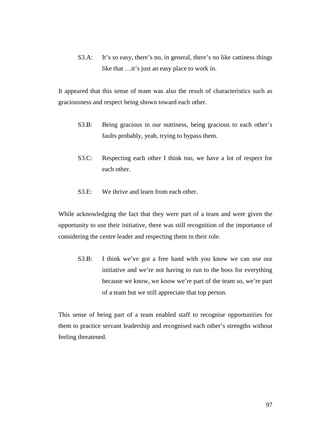S3.A: It's so easy, there's no, in general, there's no like cattiness things like that …it's just an easy place to work in.

It appeared that this sense of team was also the result of characteristics such as graciousness and respect being shown toward each other.

- S3.B: Being gracious in our nuttiness, being gracious to each other's faults probably, yeah, trying to bypass them.
- S3.C: Respecting each other I think too, we have a lot of respect for each other.
- S3.E: We thrive and learn from each other.

While acknowledging the fact that they were part of a team and were given the opportunity to use their initiative, there was still recognition of the importance of considering the centre leader and respecting them in their role.

S3.B: I think we've got a free hand with you know we can use our initiative and we're not having to run to the boss for everything because we know, we know we're part of the team so, we're part of a team but we still appreciate that top person.

This sense of being part of a team enabled staff to recognise opportunities for them to practice servant leadership and recognised each other's strengths without feeling threatened.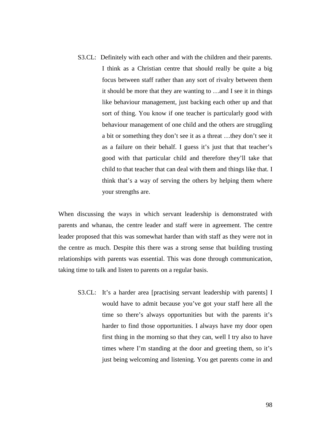S3.CL: Definitely with each other and with the children and their parents. I think as a Christian centre that should really be quite a big focus between staff rather than any sort of rivalry between them it should be more that they are wanting to …and I see it in things like behaviour management, just backing each other up and that sort of thing. You know if one teacher is particularly good with behaviour management of one child and the others are struggling a bit or something they don't see it as a threat …they don't see it as a failure on their behalf. I guess it's just that that teacher's good with that particular child and therefore they'll take that child to that teacher that can deal with them and things like that. I think that's a way of serving the others by helping them where your strengths are.

When discussing the ways in which servant leadership is demonstrated with parents and whanau, the centre leader and staff were in agreement. The centre leader proposed that this was somewhat harder than with staff as they were not in the centre as much. Despite this there was a strong sense that building trusting relationships with parents was essential. This was done through communication, taking time to talk and listen to parents on a regular basis.

S3.CL: It's a harder area [practising servant leadership with parents] I would have to admit because you've got your staff here all the time so there's always opportunities but with the parents it's harder to find those opportunities. I always have my door open first thing in the morning so that they can, well I try also to have times where I'm standing at the door and greeting them, so it's just being welcoming and listening. You get parents come in and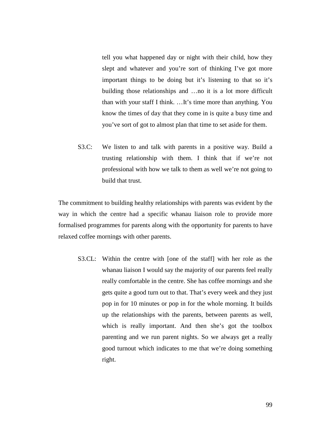tell you what happened day or night with their child, how they slept and whatever and you're sort of thinking I've got more important things to be doing but it's listening to that so it's building those relationships and …no it is a lot more difficult than with your staff I think. …It's time more than anything. You know the times of day that they come in is quite a busy time and you've sort of got to almost plan that time to set aside for them.

S3.C: We listen to and talk with parents in a positive way. Build a trusting relationship with them. I think that if we're not professional with how we talk to them as well we're not going to build that trust.

The commitment to building healthy relationships with parents was evident by the way in which the centre had a specific whanau liaison role to provide more formalised programmes for parents along with the opportunity for parents to have relaxed coffee mornings with other parents.

S3.CL: Within the centre with [one of the staff] with her role as the whanau liaison I would say the majority of our parents feel really really comfortable in the centre. She has coffee mornings and she gets quite a good turn out to that. That's every week and they just pop in for 10 minutes or pop in for the whole morning. It builds up the relationships with the parents, between parents as well, which is really important. And then she's got the toolbox parenting and we run parent nights. So we always get a really good turnout which indicates to me that we're doing something right.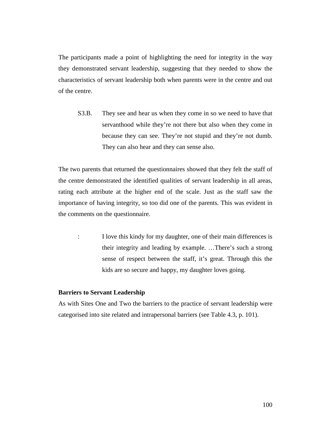The participants made a point of highlighting the need for integrity in the way they demonstrated servant leadership, suggesting that they needed to show the characteristics of servant leadership both when parents were in the centre and out of the centre.

S3.B. They see and hear us when they come in so we need to have that servanthood while they're not there but also when they come in because they can see. They're not stupid and they're not dumb. They can also hear and they can sense also.

The two parents that returned the questionnaires showed that they felt the staff of the centre demonstrated the identified qualities of servant leadership in all areas, rating each attribute at the higher end of the scale. Just as the staff saw the importance of having integrity, so too did one of the parents. This was evident in the comments on the questionnaire.

: I love this kindy for my daughter, one of their main differences is their integrity and leading by example. …There's such a strong sense of respect between the staff, it's great. Through this the kids are so secure and happy, my daughter loves going.

## **Barriers to Servant Leadership**

As with Sites One and Two the barriers to the practice of servant leadership were categorised into site related and intrapersonal barriers (see Table 4.3, p. 101).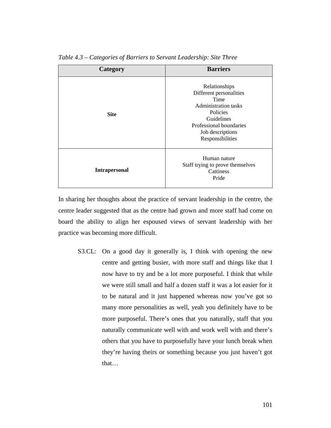| Category             | <b>Barriers</b>                                                                                                                                                       |  |  |
|----------------------|-----------------------------------------------------------------------------------------------------------------------------------------------------------------------|--|--|
| <b>Site</b>          | Relationships<br>Different personalities<br>Time<br>Administration tasks<br>Policies<br>Guidelines<br>Professional boundaries<br>Job descriptions<br>Responsibilities |  |  |
| <b>Intrapersonal</b> | Human nature<br>Staff trying to prove themselves<br>Cattiness<br>Pride                                                                                                |  |  |

*Table 4.3 – Categories of Barriers to Servant Leadership: Site Three* 

In sharing her thoughts about the practice of servant leadership in the centre, the centre leader suggested that as the centre had grown and more staff had come on board the ability to align her espoused views of servant leadership with her practice was becoming more difficult.

S3.CL: On a good day it generally is, I think with opening the new centre and getting busier, with more staff and things like that I now have to try and be a lot more purposeful. I think that while we were still small and half a dozen staff it was a lot easier for it to be natural and it just happened whereas now you've got so many more personalities as well, yeah you definitely have to be more purposeful. There's ones that you naturally, staff that you naturally communicate well with and work well with and there's others that you have to purposefully have your lunch break when they're having theirs or something because you just haven't got that…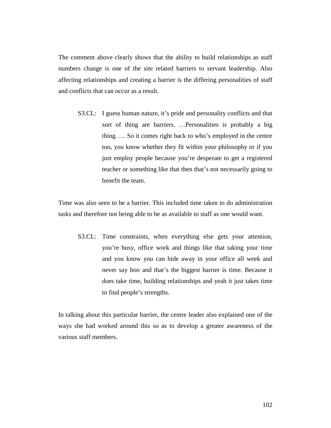The comment above clearly shows that the ability to build relationships as staff numbers change is one of the site related barriers to servant leadership. Also affecting relationships and creating a barrier is the differing personalities of staff and conflicts that can occur as a result.

S3.CL: I guess human nature, it's pride and personality conflicts and that sort of thing are barriers. …Personalities is probably a big thing. … So it comes right back to who's employed in the centre too, you know whether they fit within your philosophy or if you just employ people because you're desperate to get a registered teacher or something like that then that's not necessarily going to benefit the team.

Time was also seen to be a barrier. This included time taken to do administration tasks and therefore not being able to be as available to staff as one would want.

S3.CL: Time constraints, when everything else gets your attention, you're busy, office work and things like that taking your time and you know you can hide away in your office all week and never say boo and that's the biggest barrier is time. Because it does take time, building relationships and yeah it just takes time to find people's strengths.

In talking about this particular barrier, the centre leader also explained one of the ways she had worked around this so as to develop a greater awareness of the various staff members.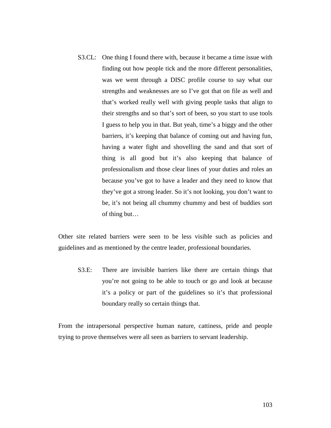S3.CL: One thing I found there with, because it became a time issue with finding out how people tick and the more different personalities, was we went through a DISC profile course to say what our strengths and weaknesses are so I've got that on file as well and that's worked really well with giving people tasks that align to their strengths and so that's sort of been, so you start to use tools I guess to help you in that. But yeah, time's a biggy and the other barriers, it's keeping that balance of coming out and having fun, having a water fight and shovelling the sand and that sort of thing is all good but it's also keeping that balance of professionalism and those clear lines of your duties and roles an because you've got to have a leader and they need to know that they've got a strong leader. So it's not looking, you don't want to be, it's not being all chummy chummy and best of buddies sort of thing but…

Other site related barriers were seen to be less visible such as policies and guidelines and as mentioned by the centre leader, professional boundaries.

S3.E: There are invisible barriers like there are certain things that you're not going to be able to touch or go and look at because it's a policy or part of the guidelines so it's that professional boundary really so certain things that.

From the intrapersonal perspective human nature, cattiness, pride and people trying to prove themselves were all seen as barriers to servant leadership.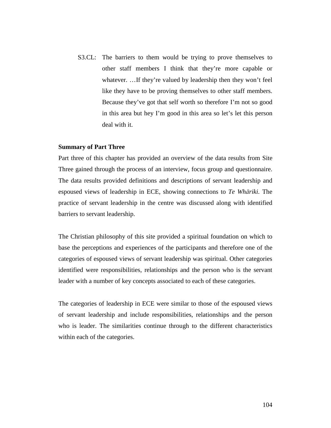S3.CL: The barriers to them would be trying to prove themselves to other staff members I think that they're more capable or whatever. ... If they're valued by leadership then they won't feel like they have to be proving themselves to other staff members. Because they've got that self worth so therefore I'm not so good in this area but hey I'm good in this area so let's let this person deal with it.

#### **Summary of Part Three**

Part three of this chapter has provided an overview of the data results from Site Three gained through the process of an interview, focus group and questionnaire. The data results provided definitions and descriptions of servant leadership and espoused views of leadership in ECE, showing connections to *Te Whāriki.* The practice of servant leadership in the centre was discussed along with identified barriers to servant leadership.

The Christian philosophy of this site provided a spiritual foundation on which to base the perceptions and experiences of the participants and therefore one of the categories of espoused views of servant leadership was spiritual. Other categories identified were responsibilities, relationships and the person who is the servant leader with a number of key concepts associated to each of these categories.

The categories of leadership in ECE were similar to those of the espoused views of servant leadership and include responsibilities, relationships and the person who is leader. The similarities continue through to the different characteristics within each of the categories.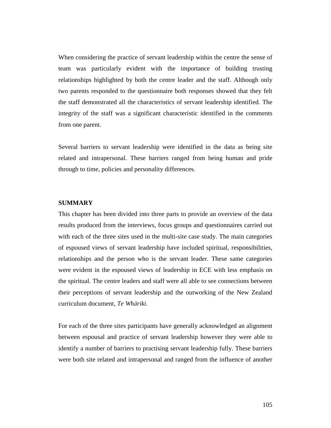When considering the practice of servant leadership within the centre the sense of team was particularly evident with the importance of building trusting relationships highlighted by both the centre leader and the staff. Although only two parents responded to the questionnaire both responses showed that they felt the staff demonstrated all the characteristics of servant leadership identified. The integrity of the staff was a significant characteristic identified in the comments from one parent.

Several barriers to servant leadership were identified in the data as being site related and intrapersonal. These barriers ranged from being human and pride through to time, policies and personality differences.

## **SUMMARY**

This chapter has been divided into three parts to provide an overview of the data results produced from the interviews, focus groups and questionnaires carried out with each of the three sites used in the multi-site case study. The main categories of espoused views of servant leadership have included spiritual, responsibilities, relationships and the person who is the servant leader. These same categories were evident in the espoused views of leadership in ECE with less emphasis on the spiritual. The centre leaders and staff were all able to see connections between their perceptions of servant leadership and the outworking of the New Zealand curriculum document, *Te Whāriki.*

For each of the three sites participants have generally acknowledged an alignment between espousal and practice of servant leadership however they were able to identify a number of barriers to practising servant leadership fully. These barriers were both site related and intrapersonal and ranged from the influence of another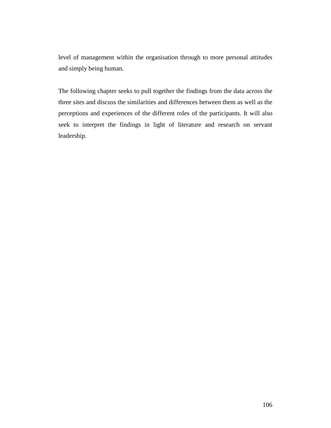level of management within the organisation through to more personal attitudes and simply being human.

The following chapter seeks to pull together the findings from the data across the three sites and discuss the similarities and differences between them as well as the perceptions and experiences of the different roles of the participants. It will also seek to interpret the findings in light of literature and research on servant leadership.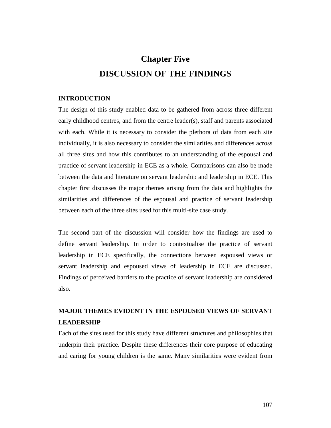# **Chapter Five DISCUSSION OF THE FINDINGS**

## **INTRODUCTION**

The design of this study enabled data to be gathered from across three different early childhood centres, and from the centre leader(s), staff and parents associated with each. While it is necessary to consider the plethora of data from each site individually, it is also necessary to consider the similarities and differences across all three sites and how this contributes to an understanding of the espousal and practice of servant leadership in ECE as a whole. Comparisons can also be made between the data and literature on servant leadership and leadership in ECE. This chapter first discusses the major themes arising from the data and highlights the similarities and differences of the espousal and practice of servant leadership between each of the three sites used for this multi-site case study.

The second part of the discussion will consider how the findings are used to define servant leadership. In order to contextualise the practice of servant leadership in ECE specifically, the connections between espoused views or servant leadership and espoused views of leadership in ECE are discussed. Findings of perceived barriers to the practice of servant leadership are considered also.

## **MAJOR THEMES EVIDENT IN THE ESPOUSED VIEWS OF SERVANT LEADERSHIP**

Each of the sites used for this study have different structures and philosophies that underpin their practice. Despite these differences their core purpose of educating and caring for young children is the same. Many similarities were evident from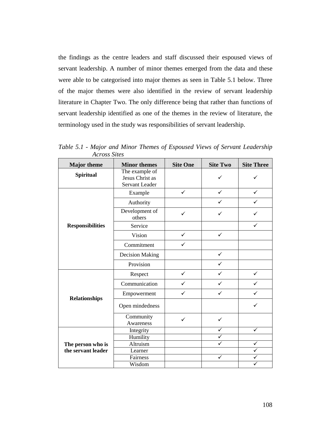the findings as the centre leaders and staff discussed their espoused views of servant leadership. A number of minor themes emerged from the data and these were able to be categorised into major themes as seen in Table 5.1 below. Three of the major themes were also identified in the review of servant leadership literature in Chapter Two. The only difference being that rather than functions of servant leadership identified as one of the themes in the review of literature, the terminology used in the study was responsibilities of servant leadership.

| <b>Major</b> theme      | <b>Minor themes</b>                                 | <b>Site One</b> | <b>Site Two</b> | <b>Site Three</b> |
|-------------------------|-----------------------------------------------------|-----------------|-----------------|-------------------|
| <b>Spiritual</b>        | The example of<br>Jesus Christ as<br>Servant Leader |                 | ✓               |                   |
| <b>Responsibilities</b> | Example                                             | $\checkmark$    | $\checkmark$    | $\checkmark$      |
|                         | Authority                                           |                 |                 |                   |
|                         | Development of<br>others                            | ✓               | $\checkmark$    | ✓                 |
|                         | Service                                             |                 |                 | ✓                 |
|                         | Vision                                              | $\checkmark$    | $\checkmark$    |                   |
|                         | Commitment                                          | ✓               |                 |                   |
|                         | <b>Decision Making</b>                              |                 | $\checkmark$    |                   |
|                         | Provision                                           |                 | $\checkmark$    |                   |
| <b>Relationships</b>    | Respect                                             | $\checkmark$    | $\checkmark$    |                   |
|                         | Communication                                       | ✓               | ✓               |                   |
|                         | Empowerment                                         | ✓               | $\checkmark$    |                   |
|                         | Open mindedness                                     |                 |                 |                   |
|                         | Community<br>Awareness                              | ✓               | $\checkmark$    |                   |
|                         | Integrity                                           |                 | ✓               | $\checkmark$      |
|                         | Humility                                            |                 | $\checkmark$    |                   |
| The person who is       | Altruism                                            |                 | ✓               |                   |
| the servant leader      | Learner                                             |                 |                 |                   |
|                         | Fairness                                            |                 | ✓               |                   |
|                         | Wisdom                                              |                 |                 |                   |

*Table 5.1 - Major and Minor Themes of Espoused Views of Servant Leadership Across Sites*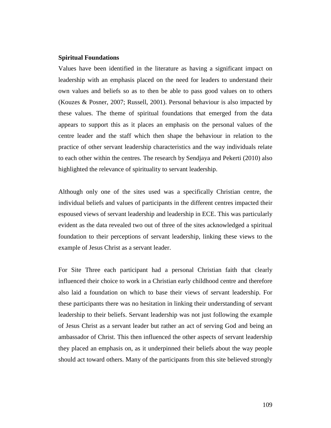## **Spiritual Foundations**

Values have been identified in the literature as having a significant impact on leadership with an emphasis placed on the need for leaders to understand their own values and beliefs so as to then be able to pass good values on to others (Kouzes & Posner, 2007; Russell, 2001). Personal behaviour is also impacted by these values. The theme of spiritual foundations that emerged from the data appears to support this as it places an emphasis on the personal values of the centre leader and the staff which then shape the behaviour in relation to the practice of other servant leadership characteristics and the way individuals relate to each other within the centres. The research by Sendjaya and Pekerti (2010) also highlighted the relevance of spirituality to servant leadership.

Although only one of the sites used was a specifically Christian centre, the individual beliefs and values of participants in the different centres impacted their espoused views of servant leadership and leadership in ECE. This was particularly evident as the data revealed two out of three of the sites acknowledged a spiritual foundation to their perceptions of servant leadership, linking these views to the example of Jesus Christ as a servant leader.

For Site Three each participant had a personal Christian faith that clearly influenced their choice to work in a Christian early childhood centre and therefore also laid a foundation on which to base their views of servant leadership. For these participants there was no hesitation in linking their understanding of servant leadership to their beliefs. Servant leadership was not just following the example of Jesus Christ as a servant leader but rather an act of serving God and being an ambassador of Christ. This then influenced the other aspects of servant leadership they placed an emphasis on, as it underpinned their beliefs about the way people should act toward others. Many of the participants from this site believed strongly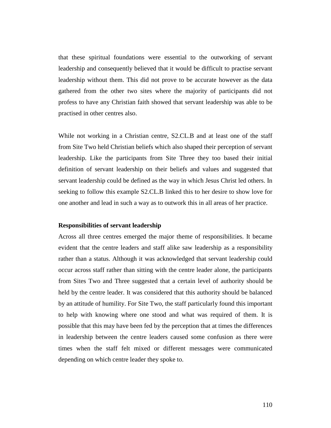that these spiritual foundations were essential to the outworking of servant leadership and consequently believed that it would be difficult to practise servant leadership without them. This did not prove to be accurate however as the data gathered from the other two sites where the majority of participants did not profess to have any Christian faith showed that servant leadership was able to be practised in other centres also.

While not working in a Christian centre, S2.CL.B and at least one of the staff from Site Two held Christian beliefs which also shaped their perception of servant leadership. Like the participants from Site Three they too based their initial definition of servant leadership on their beliefs and values and suggested that servant leadership could be defined as the way in which Jesus Christ led others. In seeking to follow this example S2.CL.B linked this to her desire to show love for one another and lead in such a way as to outwork this in all areas of her practice.

## **Responsibilities of servant leadership**

Across all three centres emerged the major theme of responsibilities. It became evident that the centre leaders and staff alike saw leadership as a responsibility rather than a status. Although it was acknowledged that servant leadership could occur across staff rather than sitting with the centre leader alone, the participants from Sites Two and Three suggested that a certain level of authority should be held by the centre leader. It was considered that this authority should be balanced by an attitude of humility. For Site Two, the staff particularly found this important to help with knowing where one stood and what was required of them. It is possible that this may have been fed by the perception that at times the differences in leadership between the centre leaders caused some confusion as there were times when the staff felt mixed or different messages were communicated depending on which centre leader they spoke to.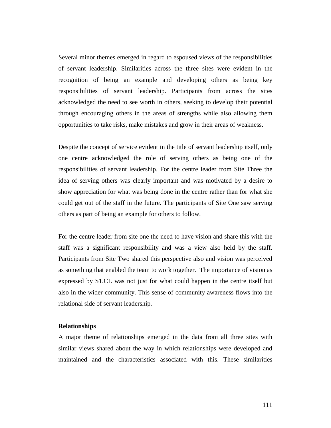Several minor themes emerged in regard to espoused views of the responsibilities of servant leadership. Similarities across the three sites were evident in the recognition of being an example and developing others as being key responsibilities of servant leadership. Participants from across the sites acknowledged the need to see worth in others, seeking to develop their potential through encouraging others in the areas of strengths while also allowing them opportunities to take risks, make mistakes and grow in their areas of weakness.

Despite the concept of service evident in the title of servant leadership itself, only one centre acknowledged the role of serving others as being one of the responsibilities of servant leadership. For the centre leader from Site Three the idea of serving others was clearly important and was motivated by a desire to show appreciation for what was being done in the centre rather than for what she could get out of the staff in the future. The participants of Site One saw serving others as part of being an example for others to follow.

For the centre leader from site one the need to have vision and share this with the staff was a significant responsibility and was a view also held by the staff. Participants from Site Two shared this perspective also and vision was perceived as something that enabled the team to work together. The importance of vision as expressed by S1.CL was not just for what could happen in the centre itself but also in the wider community. This sense of community awareness flows into the relational side of servant leadership.

#### **Relationships**

A major theme of relationships emerged in the data from all three sites with similar views shared about the way in which relationships were developed and maintained and the characteristics associated with this. These similarities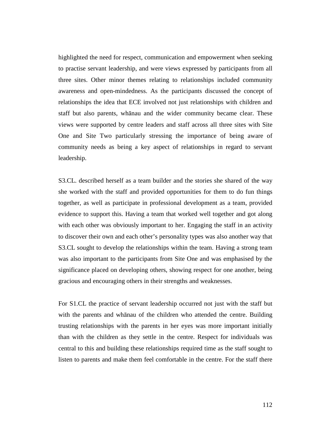highlighted the need for respect, communication and empowerment when seeking to practise servant leadership, and were views expressed by participants from all three sites. Other minor themes relating to relationships included community awareness and open-mindedness. As the participants discussed the concept of relationships the idea that ECE involved not just relationships with children and staff but also parents, whānau and the wider community became clear. These views were supported by centre leaders and staff across all three sites with Site One and Site Two particularly stressing the importance of being aware of community needs as being a key aspect of relationships in regard to servant leadership.

S3.CL. described herself as a team builder and the stories she shared of the way she worked with the staff and provided opportunities for them to do fun things together, as well as participate in professional development as a team, provided evidence to support this. Having a team that worked well together and got along with each other was obviously important to her. Engaging the staff in an activity to discover their own and each other's personality types was also another way that S3.CL sought to develop the relationships within the team. Having a strong team was also important to the participants from Site One and was emphasised by the significance placed on developing others, showing respect for one another, being gracious and encouraging others in their strengths and weaknesses.

For S1.CL the practice of servant leadership occurred not just with the staff but with the parents and whānau of the children who attended the centre. Building trusting relationships with the parents in her eyes was more important initially than with the children as they settle in the centre. Respect for individuals was central to this and building these relationships required time as the staff sought to listen to parents and make them feel comfortable in the centre. For the staff there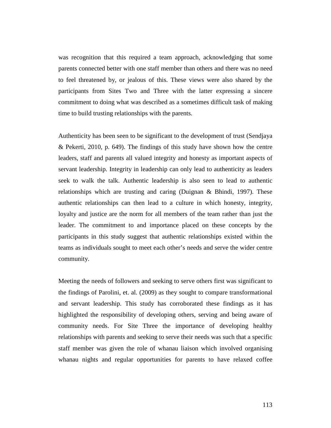was recognition that this required a team approach, acknowledging that some parents connected better with one staff member than others and there was no need to feel threatened by, or jealous of this. These views were also shared by the participants from Sites Two and Three with the latter expressing a sincere commitment to doing what was described as a sometimes difficult task of making time to build trusting relationships with the parents.

Authenticity has been seen to be significant to the development of trust (Sendjaya & Pekerti, 2010, p. 649). The findings of this study have shown how the centre leaders, staff and parents all valued integrity and honesty as important aspects of servant leadership. Integrity in leadership can only lead to authenticity as leaders seek to walk the talk. Authentic leadership is also seen to lead to authentic relationships which are trusting and caring (Duignan & Bhindi, 1997). These authentic relationships can then lead to a culture in which honesty, integrity, loyalty and justice are the norm for all members of the team rather than just the leader. The commitment to and importance placed on these concepts by the participants in this study suggest that authentic relationships existed within the teams as individuals sought to meet each other's needs and serve the wider centre community.

Meeting the needs of followers and seeking to serve others first was significant to the findings of Parolini, et. al. (2009) as they sought to compare transformational and servant leadership. This study has corroborated these findings as it has highlighted the responsibility of developing others, serving and being aware of community needs. For Site Three the importance of developing healthy relationships with parents and seeking to serve their needs was such that a specific staff member was given the role of whanau liaison which involved organising whanau nights and regular opportunities for parents to have relaxed coffee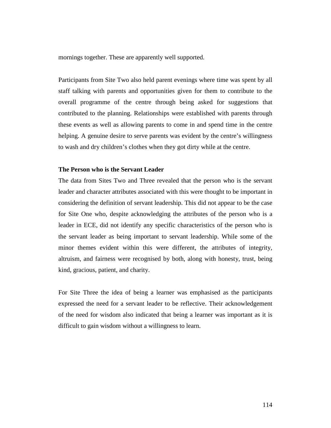mornings together. These are apparently well supported.

Participants from Site Two also held parent evenings where time was spent by all staff talking with parents and opportunities given for them to contribute to the overall programme of the centre through being asked for suggestions that contributed to the planning. Relationships were established with parents through these events as well as allowing parents to come in and spend time in the centre helping. A genuine desire to serve parents was evident by the centre's willingness to wash and dry children's clothes when they got dirty while at the centre.

## **The Person who is the Servant Leader**

The data from Sites Two and Three revealed that the person who is the servant leader and character attributes associated with this were thought to be important in considering the definition of servant leadership. This did not appear to be the case for Site One who, despite acknowledging the attributes of the person who is a leader in ECE, did not identify any specific characteristics of the person who is the servant leader as being important to servant leadership. While some of the minor themes evident within this were different, the attributes of integrity, altruism, and fairness were recognised by both, along with honesty, trust, being kind, gracious, patient, and charity.

For Site Three the idea of being a learner was emphasised as the participants expressed the need for a servant leader to be reflective. Their acknowledgement of the need for wisdom also indicated that being a learner was important as it is difficult to gain wisdom without a willingness to learn.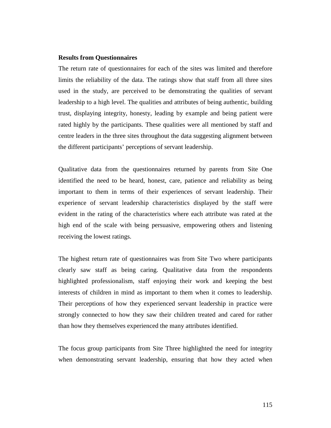## **Results from Questionnaires**

The return rate of questionnaires for each of the sites was limited and therefore limits the reliability of the data. The ratings show that staff from all three sites used in the study, are perceived to be demonstrating the qualities of servant leadership to a high level. The qualities and attributes of being authentic, building trust, displaying integrity, honesty, leading by example and being patient were rated highly by the participants. These qualities were all mentioned by staff and centre leaders in the three sites throughout the data suggesting alignment between the different participants' perceptions of servant leadership.

Qualitative data from the questionnaires returned by parents from Site One identified the need to be heard, honest, care, patience and reliability as being important to them in terms of their experiences of servant leadership. Their experience of servant leadership characteristics displayed by the staff were evident in the rating of the characteristics where each attribute was rated at the high end of the scale with being persuasive, empowering others and listening receiving the lowest ratings.

The highest return rate of questionnaires was from Site Two where participants clearly saw staff as being caring. Qualitative data from the respondents highlighted professionalism, staff enjoying their work and keeping the best interests of children in mind as important to them when it comes to leadership. Their perceptions of how they experienced servant leadership in practice were strongly connected to how they saw their children treated and cared for rather than how they themselves experienced the many attributes identified.

The focus group participants from Site Three highlighted the need for integrity when demonstrating servant leadership, ensuring that how they acted when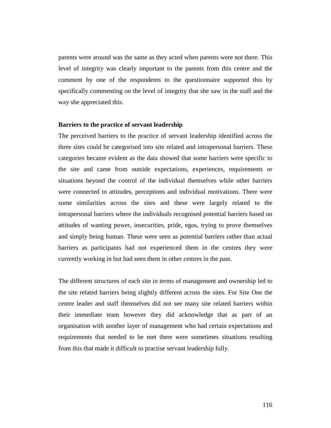parents were around was the same as they acted when parents were not there. This level of integrity was clearly important to the parents from this centre and the comment by one of the respondents to the questionnaire supported this by specifically commenting on the level of integrity that she saw in the staff and the way she appreciated this.

## **Barriers to the practice of servant leadership**

The perceived barriers to the practice of servant leadership identified across the three sites could be categorised into site related and intrapersonal barriers. These categories became evident as the data showed that some barriers were specific to the site and came from outside expectations, experiences, requirements or situations beyond the control of the individual themselves while other barriers were connected to attitudes, perceptions and individual motivations. There were some similarities across the sites and these were largely related to the intrapersonal barriers where the individuals recognised potential barriers based on attitudes of wanting power, insecurities, pride, egos, trying to prove themselves and simply being human. These were seen as potential barriers rather than actual barriers as participants had not experienced them in the centres they were currently working in but had seen them in other centres in the past.

The different structures of each site in terms of management and ownership led to the site related barriers being slightly different across the sites. For Site One the centre leader and staff themselves did not see many site related barriers within their immediate team however they did acknowledge that as part of an organisation with another layer of management who had certain expectations and requirements that needed to be met there were sometimes situations resulting from this that made it difficult to practise servant leadership fully.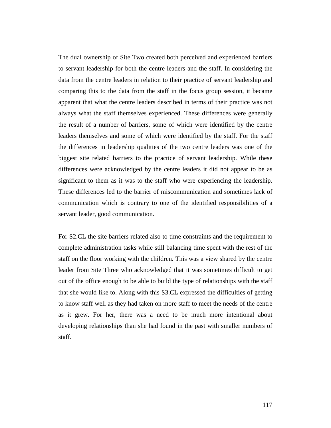The dual ownership of Site Two created both perceived and experienced barriers to servant leadership for both the centre leaders and the staff. In considering the data from the centre leaders in relation to their practice of servant leadership and comparing this to the data from the staff in the focus group session, it became apparent that what the centre leaders described in terms of their practice was not always what the staff themselves experienced. These differences were generally the result of a number of barriers, some of which were identified by the centre leaders themselves and some of which were identified by the staff. For the staff the differences in leadership qualities of the two centre leaders was one of the biggest site related barriers to the practice of servant leadership. While these differences were acknowledged by the centre leaders it did not appear to be as significant to them as it was to the staff who were experiencing the leadership. These differences led to the barrier of miscommunication and sometimes lack of communication which is contrary to one of the identified responsibilities of a servant leader, good communication.

For S2.CL the site barriers related also to time constraints and the requirement to complete administration tasks while still balancing time spent with the rest of the staff on the floor working with the children. This was a view shared by the centre leader from Site Three who acknowledged that it was sometimes difficult to get out of the office enough to be able to build the type of relationships with the staff that she would like to. Along with this S3.CL expressed the difficulties of getting to know staff well as they had taken on more staff to meet the needs of the centre as it grew. For her, there was a need to be much more intentional about developing relationships than she had found in the past with smaller numbers of staff.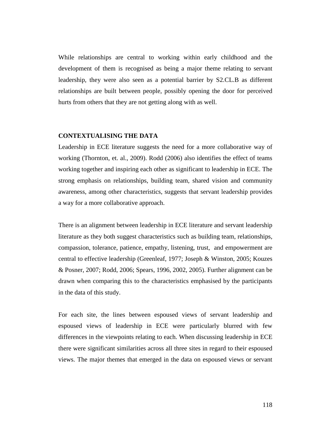While relationships are central to working within early childhood and the development of them is recognised as being a major theme relating to servant leadership, they were also seen as a potential barrier by S2.CL.B as different relationships are built between people, possibly opening the door for perceived hurts from others that they are not getting along with as well.

#### **CONTEXTUALISING THE DATA**

Leadership in ECE literature suggests the need for a more collaborative way of working (Thornton, et. al., 2009). Rodd (2006) also identifies the effect of teams working together and inspiring each other as significant to leadership in ECE. The strong emphasis on relationships, building team, shared vision and community awareness, among other characteristics, suggests that servant leadership provides a way for a more collaborative approach.

There is an alignment between leadership in ECE literature and servant leadership literature as they both suggest characteristics such as building team, relationships, compassion, tolerance, patience, empathy, listening, trust, and empowerment are central to effective leadership (Greenleaf, 1977; Joseph & Winston, 2005; Kouzes & Posner, 2007; Rodd, 2006; Spears, 1996, 2002, 2005). Further alignment can be drawn when comparing this to the characteristics emphasised by the participants in the data of this study.

For each site, the lines between espoused views of servant leadership and espoused views of leadership in ECE were particularly blurred with few differences in the viewpoints relating to each. When discussing leadership in ECE there were significant similarities across all three sites in regard to their espoused views. The major themes that emerged in the data on espoused views or servant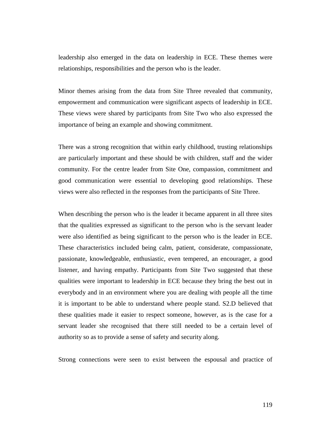leadership also emerged in the data on leadership in ECE. These themes were relationships, responsibilities and the person who is the leader.

Minor themes arising from the data from Site Three revealed that community, empowerment and communication were significant aspects of leadership in ECE. These views were shared by participants from Site Two who also expressed the importance of being an example and showing commitment.

There was a strong recognition that within early childhood, trusting relationships are particularly important and these should be with children, staff and the wider community. For the centre leader from Site One, compassion, commitment and good communication were essential to developing good relationships. These views were also reflected in the responses from the participants of Site Three.

When describing the person who is the leader it became apparent in all three sites that the qualities expressed as significant to the person who is the servant leader were also identified as being significant to the person who is the leader in ECE. These characteristics included being calm, patient, considerate, compassionate, passionate, knowledgeable, enthusiastic, even tempered, an encourager, a good listener, and having empathy. Participants from Site Two suggested that these qualities were important to leadership in ECE because they bring the best out in everybody and in an environment where you are dealing with people all the time it is important to be able to understand where people stand. S2.D believed that these qualities made it easier to respect someone, however, as is the case for a servant leader she recognised that there still needed to be a certain level of authority so as to provide a sense of safety and security along.

Strong connections were seen to exist between the espousal and practice of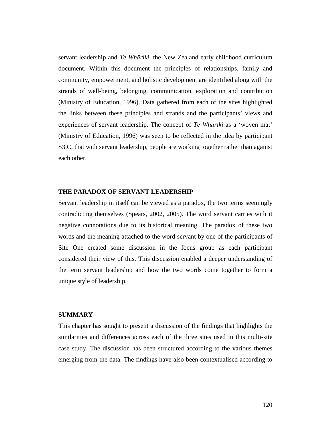servant leadership and *Te Whāriki*, the New Zealand early childhood curriculum document. Within this document the principles of relationships, family and community, empowerment, and holistic development are identified along with the strands of well-being, belonging, communication, exploration and contribution (Ministry of Education, 1996). Data gathered from each of the sites highlighted the links between these principles and strands and the participants' views and experiences of servant leadership. The concept of *Te Whāriki* as a 'woven mat' (Ministry of Education, 1996) was seen to be reflected in the idea by participant S3.C, that with servant leadership, people are working together rather than against each other.

#### **THE PARADOX OF SERVANT LEADERSHIP**

Servant leadership in itself can be viewed as a paradox, the two terms seemingly contradicting themselves (Spears, 2002, 2005). The word servant carries with it negative connotations due to its historical meaning. The paradox of these two words and the meaning attached to the word servant by one of the participants of Site One created some discussion in the focus group as each participant considered their view of this. This discussion enabled a deeper understanding of the term servant leadership and how the two words come together to form a unique style of leadership.

## **SUMMARY**

This chapter has sought to present a discussion of the findings that highlights the similarities and differences across each of the three sites used in this multi-site case study. The discussion has been structured according to the various themes emerging from the data. The findings have also been contextualised according to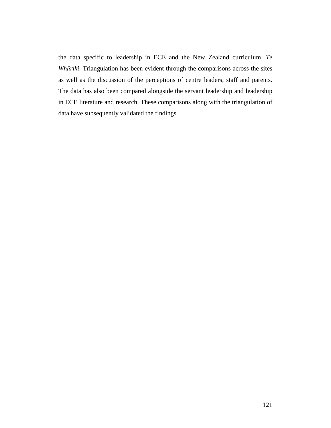the data specific to leadership in ECE and the New Zealand curriculum, *Te Whāriki*. Triangulation has been evident through the comparisons across the sites as well as the discussion of the perceptions of centre leaders, staff and parents. The data has also been compared alongside the servant leadership and leadership in ECE literature and research. These comparisons along with the triangulation of data have subsequently validated the findings.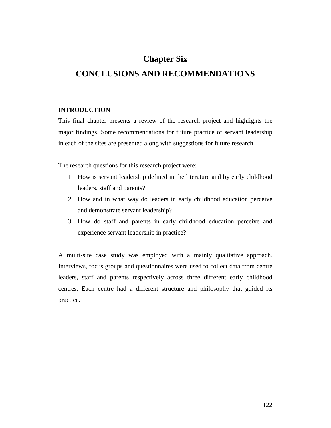# **Chapter Six CONCLUSIONS AND RECOMMENDATIONS**

## **INTRODUCTION**

This final chapter presents a review of the research project and highlights the major findings. Some recommendations for future practice of servant leadership in each of the sites are presented along with suggestions for future research.

The research questions for this research project were:

- 1. How is servant leadership defined in the literature and by early childhood leaders, staff and parents?
- 2. How and in what way do leaders in early childhood education perceive and demonstrate servant leadership?
- 3. How do staff and parents in early childhood education perceive and experience servant leadership in practice?

A multi-site case study was employed with a mainly qualitative approach. Interviews, focus groups and questionnaires were used to collect data from centre leaders, staff and parents respectively across three different early childhood centres. Each centre had a different structure and philosophy that guided its practice.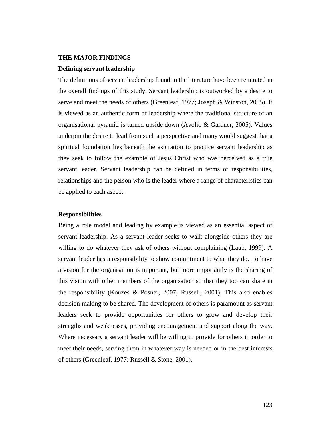#### **THE MAJOR FINDINGS**

## **Defining servant leadership**

The definitions of servant leadership found in the literature have been reiterated in the overall findings of this study. Servant leadership is outworked by a desire to serve and meet the needs of others (Greenleaf, 1977; Joseph & Winston, 2005). It is viewed as an authentic form of leadership where the traditional structure of an organisational pyramid is turned upside down (Avolio & Gardner, 2005). Values underpin the desire to lead from such a perspective and many would suggest that a spiritual foundation lies beneath the aspiration to practice servant leadership as they seek to follow the example of Jesus Christ who was perceived as a true servant leader. Servant leadership can be defined in terms of responsibilities, relationships and the person who is the leader where a range of characteristics can be applied to each aspect.

#### **Responsibilities**

Being a role model and leading by example is viewed as an essential aspect of servant leadership. As a servant leader seeks to walk alongside others they are willing to do whatever they ask of others without complaining (Laub, 1999). A servant leader has a responsibility to show commitment to what they do. To have a vision for the organisation is important, but more importantly is the sharing of this vision with other members of the organisation so that they too can share in the responsibility (Kouzes & Posner, 2007; Russell, 2001). This also enables decision making to be shared. The development of others is paramount as servant leaders seek to provide opportunities for others to grow and develop their strengths and weaknesses, providing encouragement and support along the way. Where necessary a servant leader will be willing to provide for others in order to meet their needs, serving them in whatever way is needed or in the best interests of others (Greenleaf, 1977; Russell & Stone, 2001).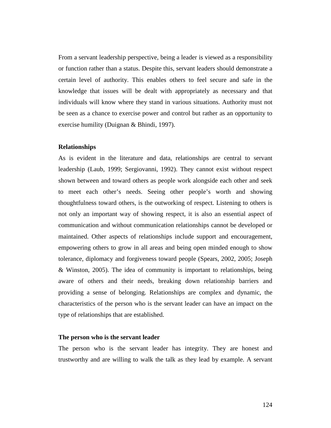From a servant leadership perspective, being a leader is viewed as a responsibility or function rather than a status. Despite this, servant leaders should demonstrate a certain level of authority. This enables others to feel secure and safe in the knowledge that issues will be dealt with appropriately as necessary and that individuals will know where they stand in various situations. Authority must not be seen as a chance to exercise power and control but rather as an opportunity to exercise humility (Duignan & Bhindi, 1997).

#### **Relationships**

As is evident in the literature and data, relationships are central to servant leadership (Laub, 1999; Sergiovanni, 1992). They cannot exist without respect shown between and toward others as people work alongside each other and seek to meet each other's needs. Seeing other people's worth and showing thoughtfulness toward others, is the outworking of respect. Listening to others is not only an important way of showing respect, it is also an essential aspect of communication and without communication relationships cannot be developed or maintained. Other aspects of relationships include support and encouragement, empowering others to grow in all areas and being open minded enough to show tolerance, diplomacy and forgiveness toward people (Spears, 2002, 2005; Joseph & Winston, 2005). The idea of community is important to relationships, being aware of others and their needs, breaking down relationship barriers and providing a sense of belonging. Relationships are complex and dynamic, the characteristics of the person who is the servant leader can have an impact on the type of relationships that are established.

## **The person who is the servant leader**

The person who is the servant leader has integrity. They are honest and trustworthy and are willing to walk the talk as they lead by example. A servant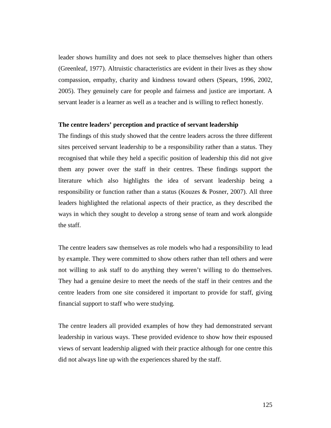leader shows humility and does not seek to place themselves higher than others (Greenleaf, 1977). Altruistic characteristics are evident in their lives as they show compassion, empathy, charity and kindness toward others (Spears, 1996, 2002, 2005). They genuinely care for people and fairness and justice are important. A servant leader is a learner as well as a teacher and is willing to reflect honestly.

## **The centre leaders' perception and practice of servant leadership**

The findings of this study showed that the centre leaders across the three different sites perceived servant leadership to be a responsibility rather than a status. They recognised that while they held a specific position of leadership this did not give them any power over the staff in their centres. These findings support the literature which also highlights the idea of servant leadership being a responsibility or function rather than a status (Kouzes & Posner, 2007). All three leaders highlighted the relational aspects of their practice, as they described the ways in which they sought to develop a strong sense of team and work alongside the staff.

The centre leaders saw themselves as role models who had a responsibility to lead by example. They were committed to show others rather than tell others and were not willing to ask staff to do anything they weren't willing to do themselves. They had a genuine desire to meet the needs of the staff in their centres and the centre leaders from one site considered it important to provide for staff, giving financial support to staff who were studying.

The centre leaders all provided examples of how they had demonstrated servant leadership in various ways. These provided evidence to show how their espoused views of servant leadership aligned with their practice although for one centre this did not always line up with the experiences shared by the staff.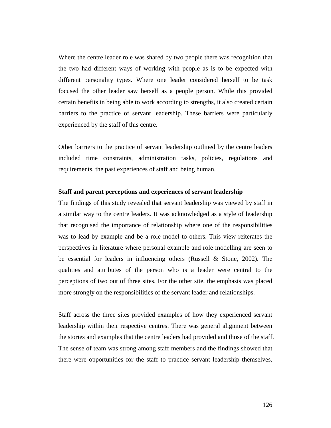Where the centre leader role was shared by two people there was recognition that the two had different ways of working with people as is to be expected with different personality types. Where one leader considered herself to be task focused the other leader saw herself as a people person. While this provided certain benefits in being able to work according to strengths, it also created certain barriers to the practice of servant leadership. These barriers were particularly experienced by the staff of this centre.

Other barriers to the practice of servant leadership outlined by the centre leaders included time constraints, administration tasks, policies, regulations and requirements, the past experiences of staff and being human.

## **Staff and parent perceptions and experiences of servant leadership**

The findings of this study revealed that servant leadership was viewed by staff in a similar way to the centre leaders. It was acknowledged as a style of leadership that recognised the importance of relationship where one of the responsibilities was to lead by example and be a role model to others. This view reiterates the perspectives in literature where personal example and role modelling are seen to be essential for leaders in influencing others (Russell & Stone, 2002). The qualities and attributes of the person who is a leader were central to the perceptions of two out of three sites. For the other site, the emphasis was placed more strongly on the responsibilities of the servant leader and relationships.

Staff across the three sites provided examples of how they experienced servant leadership within their respective centres. There was general alignment between the stories and examples that the centre leaders had provided and those of the staff. The sense of team was strong among staff members and the findings showed that there were opportunities for the staff to practice servant leadership themselves,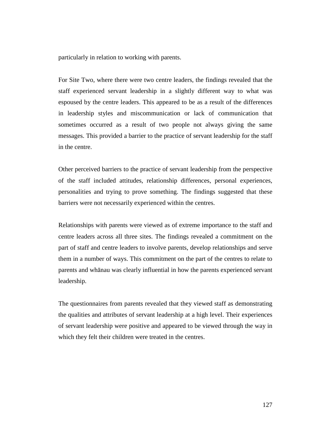particularly in relation to working with parents.

For Site Two, where there were two centre leaders, the findings revealed that the staff experienced servant leadership in a slightly different way to what was espoused by the centre leaders. This appeared to be as a result of the differences in leadership styles and miscommunication or lack of communication that sometimes occurred as a result of two people not always giving the same messages. This provided a barrier to the practice of servant leadership for the staff in the centre.

Other perceived barriers to the practice of servant leadership from the perspective of the staff included attitudes, relationship differences, personal experiences, personalities and trying to prove something. The findings suggested that these barriers were not necessarily experienced within the centres.

Relationships with parents were viewed as of extreme importance to the staff and centre leaders across all three sites. The findings revealed a commitment on the part of staff and centre leaders to involve parents, develop relationships and serve them in a number of ways. This commitment on the part of the centres to relate to parents and whānau was clearly influential in how the parents experienced servant leadership.

The questionnaires from parents revealed that they viewed staff as demonstrating the qualities and attributes of servant leadership at a high level. Their experiences of servant leadership were positive and appeared to be viewed through the way in which they felt their children were treated in the centres.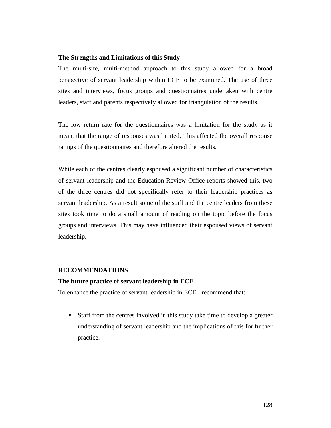## **The Strengths and Limitations of this Study**

The multi-site, multi-method approach to this study allowed for a broad perspective of servant leadership within ECE to be examined. The use of three sites and interviews, focus groups and questionnaires undertaken with centre leaders, staff and parents respectively allowed for triangulation of the results.

The low return rate for the questionnaires was a limitation for the study as it meant that the range of responses was limited. This affected the overall response ratings of the questionnaires and therefore altered the results.

While each of the centres clearly espoused a significant number of characteristics of servant leadership and the Education Review Office reports showed this, two of the three centres did not specifically refer to their leadership practices as servant leadership. As a result some of the staff and the centre leaders from these sites took time to do a small amount of reading on the topic before the focus groups and interviews. This may have influenced their espoused views of servant leadership.

## **RECOMMENDATIONS**

#### **The future practice of servant leadership in ECE**

To enhance the practice of servant leadership in ECE I recommend that:

• Staff from the centres involved in this study take time to develop a greater understanding of servant leadership and the implications of this for further practice.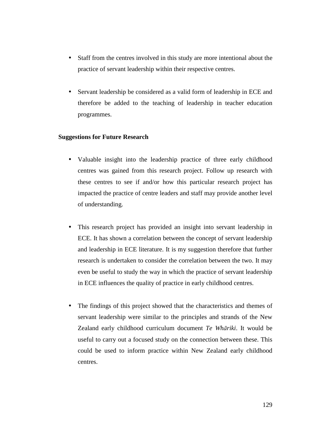- Staff from the centres involved in this study are more intentional about the practice of servant leadership within their respective centres.
- Servant leadership be considered as a valid form of leadership in ECE and therefore be added to the teaching of leadership in teacher education programmes.

## **Suggestions for Future Research**

- Valuable insight into the leadership practice of three early childhood centres was gained from this research project. Follow up research with these centres to see if and/or how this particular research project has impacted the practice of centre leaders and staff may provide another level of understanding.
- This research project has provided an insight into servant leadership in ECE. It has shown a correlation between the concept of servant leadership and leadership in ECE literature. It is my suggestion therefore that further research is undertaken to consider the correlation between the two. It may even be useful to study the way in which the practice of servant leadership in ECE influences the quality of practice in early childhood centres.
- The findings of this project showed that the characteristics and themes of servant leadership were similar to the principles and strands of the New Zealand early childhood curriculum document *Te Whāriki*. It would be useful to carry out a focused study on the connection between these. This could be used to inform practice within New Zealand early childhood centres.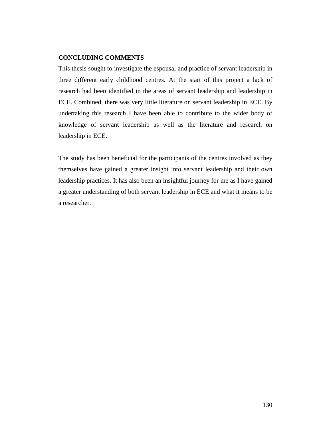## **CONCLUDING COMMENTS**

This thesis sought to investigate the espousal and practice of servant leadership in three different early childhood centres. At the start of this project a lack of research had been identified in the areas of servant leadership and leadership in ECE. Combined, there was very little literature on servant leadership in ECE. By undertaking this research I have been able to contribute to the wider body of knowledge of servant leadership as well as the literature and research on leadership in ECE.

The study has been beneficial for the participants of the centres involved as they themselves have gained a greater insight into servant leadership and their own leadership practices. It has also been an insightful journey for me as I have gained a greater understanding of both servant leadership in ECE and what it means to be a researcher.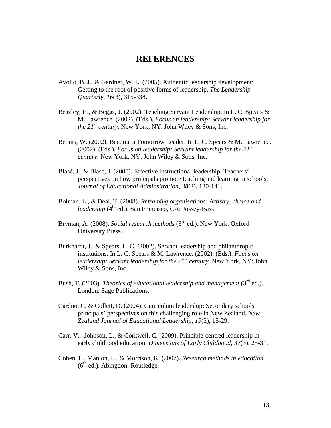## **REFERENCES**

- Avolio, B. J., & Gardner, W. L. (2005). Authentic leadership development: Getting to the root of positive forms of leadership. *The Leadership Quarterly, 16*(3), 315-338.
- Beazley, H., & Beggs, J. (2002). Teaching Servant Leadership. In L. C. Spears & M. Lawrence. (2002). (Eds.). *Focus on leadership: Servant leadership for the*  $21^{st}$  *century.* New York, NY: John Wiley & Sons, Inc.
- Bennis, W. (2002). Become a Tomorrow Leader. In L. C. Spears & M. Lawrence. (2002). (Eds.). *Focus on leadership: Servant leadership for the 21st century.* New York, NY: John Wiley & Sons, Inc.
- Blasé, J., & Blasé, J. (2000). Effective instructional leadership: Teachers' perspectives on how principals promote teaching and learning in schools. *Journal of Educational Adminsitration, 38*(2), 130-141.
- Bolman, L., & Deal, T. (2008). *Reframing organisations: Artistry, choice and leadership* (4<sup>th</sup> ed.). San Francisco, CA: Jossey-Bass
- Bryman, A. (2008). *Social research methods* (3<sup>rd</sup> ed.). New York: Oxford University Press.
- Burkhardt, J., & Spears, L. C. (2002). Servant leadership and philanthropic institutions. In L. C. Spears & M. Lawrence. (2002). (Eds.). *Focus on leadership: Servant leadership for the 21st century.* New York, NY: John Wiley & Sons, Inc.
- Bush, T. (2003). *Theories of educational leadership and management* (3<sup>rd</sup> ed.). London: Sage Publications.
- Cardno, C. & Collett, D. (2004). Curriculum leadership: Secondary schools principals' perspectives on this challenging role in New Zealand. *New Zealand Journal of Educational Leadership, 19*(2), 15-29.
- Carr, V., Johnson, L., & Corkwell, C. (2009). Principle-centred leadership in early childhood education. *Dimensions of Early Childhood, 37*(3), 25-31.
- Cohen, L., Manion, L., & Morrison, K. (2007). *Research methods in education*   $(6<sup>th</sup>$  ed.). Abingdon: Routledge.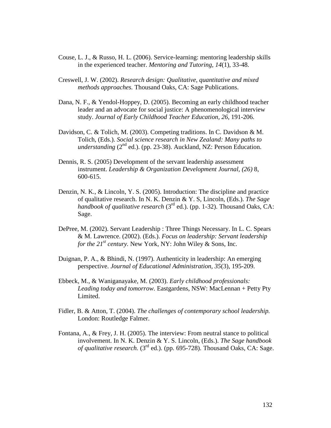- Couse, L. J., & Russo, H. L. (2006). Service-learning: mentoring leadership skills in the experienced teacher. *Mentoring and Tutoring, 14*(1), 33-48.
- Creswell, J. W. (2002). *Research design: Qualitative, quantitative and mixed methods approaches.* Thousand Oaks, CA: Sage Publications.
- Dana, N. F., & Yendol-Hoppey, D. (2005). Becoming an early childhood teacher leader and an advocate for social justice: A phenomenological interview study. *Journal of Early Childhood Teacher Education, 26*, 191-206.
- Davidson, C. & Tolich, M. (2003). Competing traditions. In C. Davidson & M. Tolich, (Eds.). *Social science research in New Zealand: Many paths to understanding* (2<sup>nd</sup> ed.). (pp. 23-38). Auckland, NZ: Person Education.
- Dennis, R. S. (2005) Development of the servant leadership assessment instrument. *Leadership & Organization Development Journal, (26)* 8, 600-615.
- Denzin, N. K., & Lincoln, Y. S. (2005). Introduction: The discipline and practice of qualitative research. In N. K. Denzin & Y. S, Lincoln, (Eds.). *The Sage handbook of qualitative research* (3<sup>rd</sup> ed.). (pp. 1-32). Thousand Oaks, CA: Sage.
- DePree, M. (2002). Servant Leadership : Three Things Necessary. In L. C. Spears & M. Lawrence. (2002). (Eds.). *Focus on leadership: Servant leadership for the*  $21^{st}$  *century.* New York, NY: John Wiley & Sons, Inc.
- Duignan, P. A., & Bhindi, N. (1997). Authenticity in leadership: An emerging perspective. *Journal of Educational Administration, 35*(3), 195-209.
- Ebbeck, M., & Waniganayake, M. (2003). *Early childhood professionals: Leading today and tomorrow.* Eastgardens, NSW: MacLennan + Petty Pty Limited.
- Fidler, B. & Atton, T. (2004). *The challenges of contemporary school leadership.*  London: Routledge Falmer.
- Fontana, A., & Frey, J. H. (2005). The interview: From neutral stance to political involvement. In N. K. Denzin & Y. S. Lincoln, (Eds.). *The Sage handbook of qualitative research.* (3rd ed.). (pp. 695-728). Thousand Oaks, CA: Sage.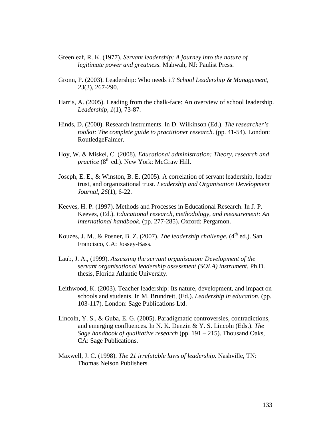- Greenleaf, R. K. (1977). *Servant leadership: A journey into the nature of legitimate power and greatness.* Mahwah, NJ: Paulist Press.
- Gronn, P. (2003). Leadership: Who needs it? *School Leadership & Management, 23*(3), 267-290.
- Harris, A. (2005). Leading from the chalk-face: An overview of school leadership. *Leadership, 1*(1), 73-87.
- Hinds, D. (2000). Research instruments. In D. Wilkinson (Ed.). *The researcher's toolkit: The complete guide to practitioner research*. (pp. 41-54). London: RoutledgeFalmer.
- Hoy, W. & Miskel, C. (2008). *Educational administration: Theory, research and practice* (8<sup>th</sup> ed.). New York: McGraw Hill.
- Joseph, E. E., & Winston, B. E. (2005). A correlation of servant leadership, leader trust, and organizational trust. *Leadership and Organisation Development Journal, 26*(1), 6-22.
- Keeves, H. P. (1997). Methods and Processes in Educational Research. In J. P. Keeves, (Ed.). *Educational research, methodology, and measurement: An international handbook.* (pp. 277-285). Oxford: Pergamon.
- Kouzes, J. M., & Posner, B. Z. (2007). *The leadership challenge*.  $(4^{th}$  ed.). San Francisco, CA: Jossey-Bass.
- Laub, J. A., (1999). *Assessing the servant organisation: Development of the servant organisational leadership assessment (SOLA) instrument.* Ph.D. thesis, Florida Atlantic University.
- Leithwood, K. (2003). Teacher leadership: Its nature, development, and impact on schools and students. In M. Brundrett, (Ed.). *Leadership in education.* (pp. 103-117). London: Sage Publications Ltd.
- Lincoln, Y. S., & Guba, E. G. (2005). Paradigmatic controversies, contradictions, and emerging confluences. In N. K. Denzin & Y. S. Lincoln (Eds.). *The Sage handbook of qualitative research* (pp. 191 – 215). Thousand Oaks, CA: Sage Publications.
- Maxwell, J. C. (1998). *The 21 irrefutable laws of leadership.* Nashville, TN: Thomas Nelson Publishers.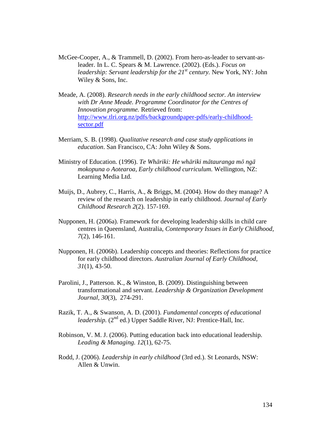- McGee-Cooper, A., & Trammell, D. (2002). From hero-as-leader to servant-asleader. In L. C. Spears & M. Lawrence. (2002). (Eds.). *Focus on leadership: Servant leadership for the 21st century.* New York, NY: John Wiley & Sons, Inc.
- Meade, A. (2008). *Research needs in the early childhood sector. An interview with Dr Anne Meade. Programme Coordinator for the Centres of Innovation programme.* Retrieved from: http://www.tlri.org.nz/pdfs/backgroundpaper-pdfs/early-childhoodsector.pdf
- Merriam, S. B. (1998). *Qualitative research and case study applications in education*. San Francisco, CA: John Wiley & Sons.
- Ministry of Education. (1996). *Te Whāriki: He whāriki mātauranga mō ngā mokopuna o Aotearoa, Early childhood curriculum.* Wellington, NZ: Learning Media Ltd.
- Muijs, D., Aubrey, C., Harris, A., & Briggs, M. (2004). How do they manage? A review of the research on leadership in early childhood. *Journal of Early Childhood Research 2*(2). 157-169.
- Nupponen, H. (2006a). Framework for developing leadership skills in child care centres in Queensland, Australia, *Contemporary Issues in Early Childhood, 7*(2), 146-161.
- Nupponen, H. (2006b). Leadership concepts and theories: Reflections for practice for early childhood directors. *Australian Journal of Early Childhood, 31*(1), 43-50.
- Parolini, J., Patterson. K., & Winston, B. (2009). Distinguishing between transformational and servant. *Leadership & Organization Development Journal, 30*(3), 274-291.
- Razik, T. A., & Swanson, A. D. (2001). *Fundamental concepts of educational leadership.* (2<sup>nd</sup> ed.) Upper Saddle River, NJ: Prentice-Hall, Inc.
- Robinson, V. M. J. (2006). Putting education back into educational leadership. *Leading & Managing. 12*(1), 62-75.
- Rodd, J. (2006). *Leadership in early childhood* (3rd ed.). St Leonards, NSW: Allen & Unwin.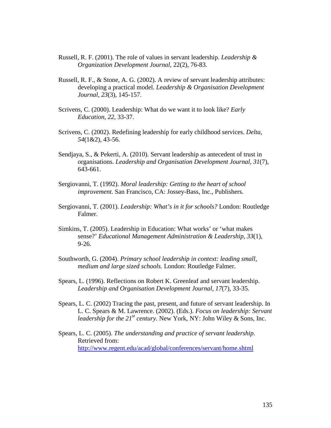- Russell, R. F. (2001). The role of values in servant leadership. *Leadership & Organization Development Journal,* 22(2), 76-83.
- Russell, R. F., & Stone, A. G. (2002). A review of servant leadership attributes: developing a practical model. *Leadership & Organisation Development Journal, 23*(3), 145-157.
- Scrivens, C. (2000). Leadership: What do we want it to look like? *Early Education, 22,* 33-37.
- Scrivens, C. (2002). Redefining leadership for early childhood services. *Delta, 54*(1&2), 43-56.
- Sendjaya, S., & Pekerti, A. (2010). Servant leadership as antecedent of trust in organisations. *Leadership and Organisation Development Journal, 31*(7), 643-661.
- Sergiovanni, T. (1992). *Moral leadership: Getting to the heart of school improvement.* San Francisco, CA: Jossey-Bass, Inc., Publishers.
- Sergiovanni, T. (2001). *Leadership: What's in it for schools?* London: Routledge Falmer.
- Simkins, T. (2005). Leadership in Education: What works' or 'what makes sense?' *Educational Management Administration & Leadership, 33*(1), 9-26.
- Southworth, G. (2004). *Primary school leadership in context: leading small, medium and large sized schools.* London: Routledge Falmer.
- Spears, L. (1996). Reflections on Robert K. Greenleaf and servant leadership. *Leadership and Organisation Development Journal, 17*(7), 33-35.
- Spears, L. C. (2002) Tracing the past, present, and future of servant leadership. In L. C. Spears & M. Lawrence. (2002). (Eds.). *Focus on leadership: Servant leadership for the 21<sup>st</sup> century.* New York, NY: John Wiley & Sons, Inc.
- Spears, L. C. (2005). *The understanding and practice of servant leadership.* Retrieved from: http://www.regent.edu/acad/global/conferences/servant/home.shtml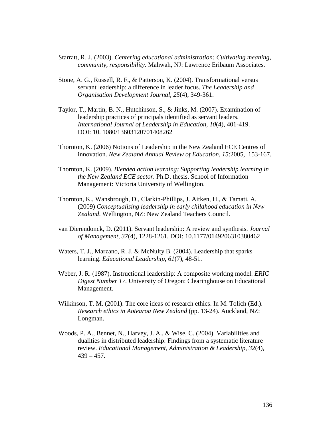- Starratt, R. J. (2003). *Centering educational administration: Cultivating meaning, community, responsibility.* Mahwah, NJ: Lawrence Eribaum Associates.
- Stone, A. G., Russell, R. F., & Patterson, K. (2004). Transformational versus servant leadership: a difference in leader focus. *The Leadership and Organisation Development Journal, 25*(4), 349-361.
- Taylor, T., Martin, B. N., Hutchinson, S., & Jinks, M. (2007). Examination of leadership practices of principals identified as servant leaders. *International Journal of Leadership in Education, 10*(4), 401-419. DOI: 10. 1080/13603120701408262
- Thornton, K. (2006) Notions of Leadership in the New Zealand ECE Centres of innovation. *New Zealand Annual Review of Education, 15*:2005, 153-167.
- Thornton, K. (2009). *Blended action learning: Supporting leadership learning in the New Zealand ECE sector.* Ph.D. thesis. School of Information Management: Victoria University of Wellington.
- Thornton, K., Wansbrough, D., Clarkin-Phillips, J. Aitken, H., & Tamati, A, (2009) *Conceptualising leadership in early childhood education in New Zealand*. Wellington, NZ: New Zealand Teachers Council.
- van Dierendonck, D. (2011). Servant leadership: A review and synthesis. *Journal of Management, 37*(4), 1228-1261. DOI: 10.1177/0149206310380462
- Waters, T. J., Marzano, R. J. & McNulty B. (2004). Leadership that sparks learning. *Educational Leadership, 61*(7), 48-51.
- Weber, J. R. (1987). Instructional leadership: A composite working model. *ERIC Digest Number 17.* University of Oregon: Clearinghouse on Educational Management.
- Wilkinson, T. M. (2001). The core ideas of research ethics. In M. Tolich (Ed.). *Research ethics in Aotearoa New Zealand* (pp. 13-24). Auckland, NZ: Longman.
- Woods, P. A., Bennet, N., Harvey, J. A., & Wise, C. (2004). Variabilities and dualities in distributed leadership: Findings from a systematic literature review. *Educational Management, Administration & Leadership, 32*(4),  $439 - 457$ .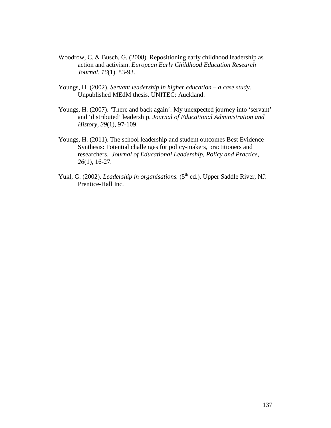- Woodrow, C. & Busch, G. (2008). Repositioning early childhood leadership as action and activism. *European Early Childhood Education Research Journal, 16*(1). 83-93.
- Youngs, H. (2002). *Servant leadership in higher education a case study.*  Unpublished MEdM thesis. UNITEC: Auckland.
- Youngs, H. (2007). 'There and back again': My unexpected journey into 'servant' and 'distributed' leadership. *Journal of Educational Administration and History, 39*(1), 97-109.
- Youngs, H. (2011). The school leadership and student outcomes Best Evidence Synthesis: Potential challenges for policy-makers, practitioners and researchers. *Journal of Educational Leadership, Policy and Practice, 26*(1), 16-27.
- Yukl, G. (2002). *Leadership in organisations.* (5<sup>th</sup> ed.). Upper Saddle River, NJ: Prentice-Hall Inc.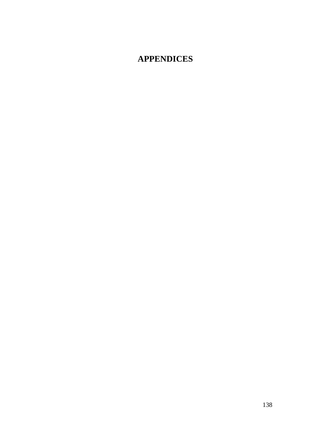# **APPENDICES**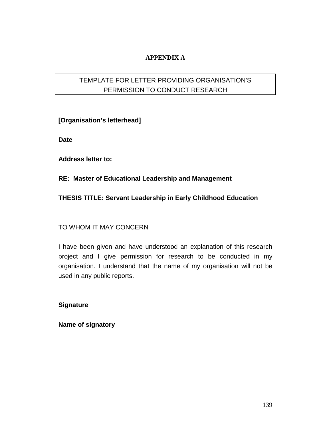## **APPENDIX A**

## TEMPLATE FOR LETTER PROVIDING ORGANISATION'S PERMISSION TO CONDUCT RESEARCH

**[Organisation's letterhead]** 

**Date** 

**Address letter to:** 

**RE: Master of Educational Leadership and Management** 

## **THESIS TITLE: Servant Leadership in Early Childhood Education**

## TO WHOM IT MAY CONCERN

I have been given and have understood an explanation of this research project and I give permission for research to be conducted in my organisation. I understand that the name of my organisation will not be used in any public reports.

**Signature** 

**Name of signatory**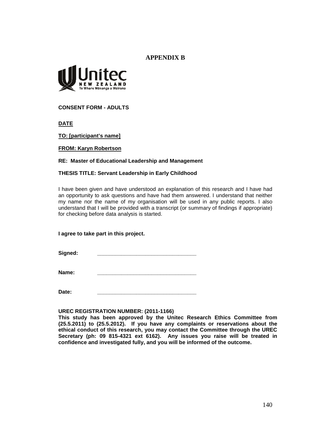## **APPENDIX B**



**CONSENT FORM - ADULTS**

**DATE** 

**TO: [participant's name]** 

**FROM: Karyn Robertson** 

### **RE: Master of Educational Leadership and Management**

### **THESIS TITLE: Servant Leadership in Early Childhood**

I have been given and have understood an explanation of this research and I have had an opportunity to ask questions and have had them answered. I understand that neither my name nor the name of my organisation will be used in any public reports. I also understand that I will be provided with a transcript (or summary of findings if appropriate) for checking before data analysis is started.

### **I agree to take part in this project.**

Signed:

**Name: \_\_\_\_\_\_\_\_\_\_\_\_\_\_\_\_\_\_\_\_\_\_\_\_\_\_\_\_\_\_\_\_\_** 

**Date: \_\_\_\_\_\_\_\_\_\_\_\_\_\_\_\_\_\_\_\_\_\_\_\_\_\_\_\_\_\_\_\_\_** 

### **UREC REGISTRATION NUMBER: (2011-1166)**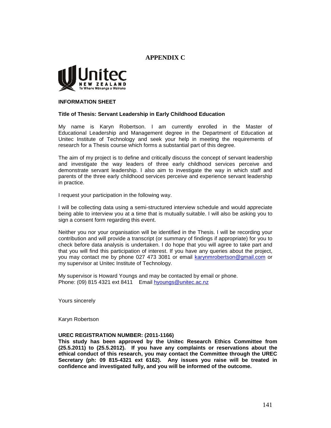## **APPENDIX C**



#### **INFORMATION SHEET**

#### **Title of Thesis: Servant Leadership in Early Childhood Education**

My name is Karyn Robertson. I am currently enrolled in the Master of Educational Leadership and Management degree in the Department of Education at Unitec Institute of Technology and seek your help in meeting the requirements of research for a Thesis course which forms a substantial part of this degree.

The aim of my project is to define and critically discuss the concept of servant leadership and investigate the way leaders of three early childhood services perceive and demonstrate servant leadership. I also aim to investigate the way in which staff and parents of the three early childhood services perceive and experience servant leadership in practice.

I request your participation in the following way.

I will be collecting data using a semi-structured interview schedule and would appreciate being able to interview you at a time that is mutually suitable. I will also be asking you to sign a consent form regarding this event.

Neither you nor your organisation will be identified in the Thesis. I will be recording your contribution and will provide a transcript (or summary of findings if appropriate) for you to check before data analysis is undertaken. I do hope that you will agree to take part and that you will find this participation of interest. If you have any queries about the project, you may contact me by phone 027 473 3081 or email karynmrobertson@gmail.com or my supervisor at Unitec Institute of Technology.

My supervisor is Howard Youngs and may be contacted by email or phone. Phone: (09) 815 4321 ext 8411 Email hyoungs@unitec.ac.nz

Yours sincerely

Karyn Robertson

#### **UREC REGISTRATION NUMBER: (2011-1166)**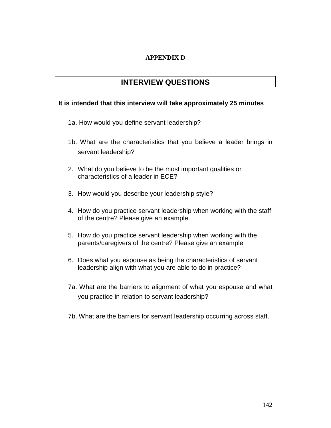## **APPENDIX D**

## **INTERVIEW QUESTIONS**

## **It is intended that this interview will take approximately 25 minutes**

- 1a. How would you define servant leadership?
- 1b. What are the characteristics that you believe a leader brings in servant leadership?
- 2. What do you believe to be the most important qualities or characteristics of a leader in ECE?
- 3. How would you describe your leadership style?
- 4. How do you practice servant leadership when working with the staff of the centre? Please give an example.
- 5. How do you practice servant leadership when working with the parents/caregivers of the centre? Please give an example
- 6. Does what you espouse as being the characteristics of servant leadership align with what you are able to do in practice?
- 7a. What are the barriers to alignment of what you espouse and what you practice in relation to servant leadership?
- 7b. What are the barriers for servant leadership occurring across staff.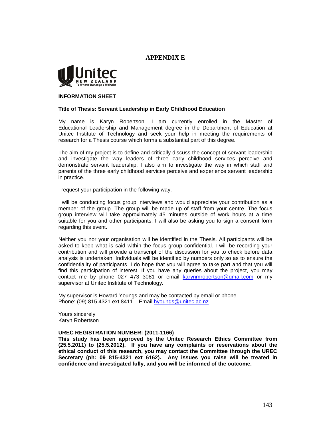## **APPENDIX E**



#### **INFORMATION SHEET**

#### **Title of Thesis: Servant Leadership in Early Childhood Education**

My name is Karyn Robertson. I am currently enrolled in the Master of Educational Leadership and Management degree in the Department of Education at Unitec Institute of Technology and seek your help in meeting the requirements of research for a Thesis course which forms a substantial part of this degree.

The aim of my project is to define and critically discuss the concept of servant leadership and investigate the way leaders of three early childhood services perceive and demonstrate servant leadership. I also aim to investigate the way in which staff and parents of the three early childhood services perceive and experience servant leadership in practice.

I request your participation in the following way.

I will be conducting focus group interviews and would appreciate your contribution as a member of the group. The group will be made up of staff from your centre. The focus group interview will take approximately 45 minutes outside of work hours at a time suitable for you and other participants. I will also be asking you to sign a consent form regarding this event.

Neither you nor your organisation will be identified in the Thesis. All participants will be asked to keep what is said within the focus group confidential. I will be recording your contribution and will provide a transcript of the discussion for you to check before data analysis is undertaken. Individuals will be identified by numbers only so as to ensure the confidentiality of participants. I do hope that you will agree to take part and that you will find this participation of interest. If you have any queries about the project, you may contact me by phone 027 473 3081 or email karynmrobertson@gmail.com or my supervisor at Unitec Institute of Technology.

My supervisor is Howard Youngs and may be contacted by email or phone. Phone: (09) 815 4321 ext 8411 Email hyoungs@unitec.ac.nz

Yours sincerely Karyn Robertson

#### **UREC REGISTRATION NUMBER: (2011-1166)**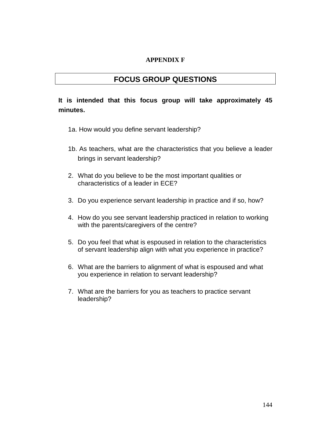## **APPENDIX F**

## **FOCUS GROUP QUESTIONS**

## **It is intended that this focus group will take approximately 45 minutes.**

- 1a. How would you define servant leadership?
- 1b. As teachers, what are the characteristics that you believe a leader brings in servant leadership?
- 2. What do you believe to be the most important qualities or characteristics of a leader in ECE?
- 3. Do you experience servant leadership in practice and if so, how?
- 4. How do you see servant leadership practiced in relation to working with the parents/caregivers of the centre?
- 5. Do you feel that what is espoused in relation to the characteristics of servant leadership align with what you experience in practice?
- 6. What are the barriers to alignment of what is espoused and what you experience in relation to servant leadership?
- 7. What are the barriers for you as teachers to practice servant leadership?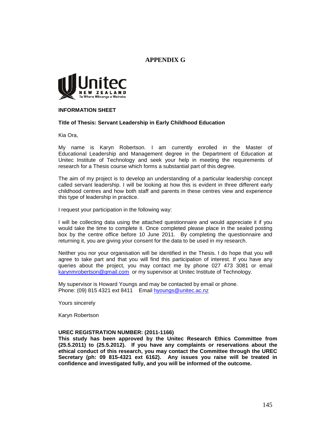## **APPENDIX G**



#### **INFORMATION SHEET**

#### **Title of Thesis: Servant Leadership in Early Childhood Education**

Kia Ora,

My name is Karyn Robertson. I am currently enrolled in the Master of Educational Leadership and Management degree in the Department of Education at Unitec Institute of Technology and seek your help in meeting the requirements of research for a Thesis course which forms a substantial part of this degree.

The aim of my project is to develop an understanding of a particular leadership concept called servant leadership. I will be looking at how this is evident in three different early childhood centres and how both staff and parents in these centres view and experience this type of leadership in practice.

I request your participation in the following way:

I will be collecting data using the attached questionnaire and would appreciate it if you would take the time to complete it. Once completed please place in the sealed posting box by the centre office before 10 June 2011. By completing the questionnaire and returning it, you are giving your consent for the data to be used in my research.

Neither you nor your organisation will be identified in the Thesis. I do hope that you will agree to take part and that you will find this participation of interest. If you have any queries about the project, you may contact me by phone 027 473 3081 or email karynmrobertson@gmail.com or my supervisor at Unitec Institute of Technology.

My supervisor is Howard Youngs and may be contacted by email or phone. Phone: (09) 815 4321 ext 8411 Email hyoungs@unitec.ac.nz

Yours sincerely

Karyn Robertson

#### **UREC REGISTRATION NUMBER: (2011-1166)**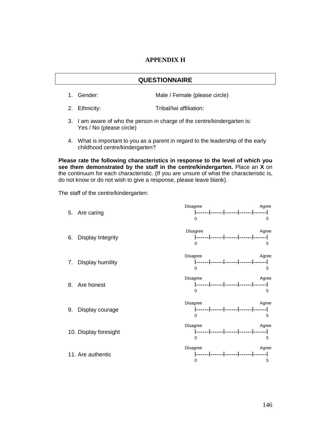## **APPENDIX H**

### **QUESTIONNAIRE**

- 1. Gender: Male / Female (please circle)
- 2. Ethnicity: Tribal/Iwi affiliation:
- 3. I am aware of who the person in charge of the centre/kindergarten is: Yes / No (please circle)
- 4. What is important to you as a parent in regard to the leadership of the early childhood centre/kindergarten?

**Please rate the following characteristics in response to the level of which you see them demonstrated by the staff in the centre/kindergarten.** Place an **X** on the continuum for each characteristic. (If you are unsure of what the characteristic is, do not know or do not wish to give a response, please leave blank).

The staff of the centre/kindergarten:

|    | 5. Are caring            | Disagree<br>Agree<br>$\Omega$                                                    | 5 |
|----|--------------------------|----------------------------------------------------------------------------------|---|
| 6. | <b>Display Integrity</b> | Disagree<br>Agree<br> ------ ------ ------ ------ ------ <br>0                   | 5 |
| 7. | Display humility         | Disagree<br>Agree<br> ------ ------ ------ ------ ------ <br>$\Omega$            | 5 |
|    | 8. Are honest            | <b>Disagree</b><br>Agree<br> ------ ------ ------ ------ ------ <br><sup>0</sup> | 5 |
| 9. | Display courage          | Disagree<br>Agree<br> ------ ------ ------ ------ ------ <br>$\Omega$            | 5 |
|    | 10. Display foresight    | Disagree<br>Agree<br> ------ ------ ------ ------ ------ <br>$\Omega$            | 5 |
|    | 11. Are authentic        | Disagree<br>Agree<br> ------ ------ ------ ------ ------ <br>0                   | 5 |